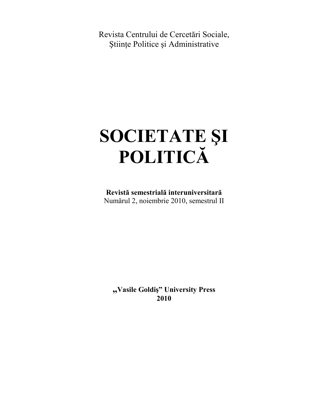Revista Centrului de Cercetări Sociale, Științe Politice și Administrative

# **SOCIETATE ŞI POLITICĂ**

**Revistă semestrială interuniversitară**  Numărul 2, noiembrie 2010, semestrul II

**"Vasile Goldiş" University Press 2010**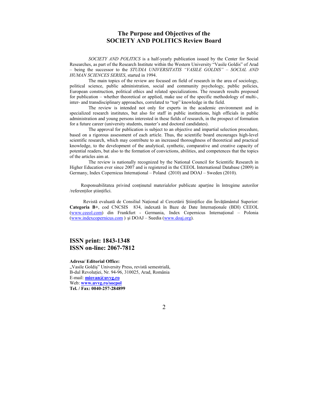#### **The Purpose and Objectives of the SOCIETY AND POLITICS Review Board**

*SOCIETY AND POLITICS* is a half-yearly publication issued by the Center for Social Researches, as part of the Research Institute within the Western University "Vasile Goldis" of Arad – being the successor to the *STUDIA UNIVERSITATIS "VASILE GOLDIS" – SOCIAL AND HUMAN SCIENCES SERIES*, started in 1994.

 The main topics of the review are focused on field of research in the area of sociology, political science, public administration, social and community psychology, public policies, European construction, political ethics and related specializations. The research results proposed for publication – whether theoretical or applied, make use of the specific methodology of multi-, inter- and transdisciplinary approaches, correlated to "top" knowledge in the field.

 The review is intended not only for experts in the academic environment and in specialized research institutes, but also for staff in public institutions, high officials in public administration and young persons interested in these fields of research, in the prospect of formation for a future career (university students, master's and doctoral candidates).

 The approval for publication is subject to an objective and impartial selection procedure, based on a rigorous assessment of each article. Thus, the scientific board encourages high-level scientific research, which may contribute to an increased thoroughness of theoretical and practical knowledge, to the development of the analytical, synthetic, comparative and creative capacity of potential readers, but also to the formation of convictions, abilities, and competences that the topics of the articles aim at.

 The review is nationally recognized by the National Council for Scientific Research in Higher Education ever since 2007 and is registered in the CEEOL International Database (2009) in Germany, Index Copernicus International – Poland (2010) and DOAJ – Sweden (2010).

Responsabilitatea privind continutul materialelor publicate apartine în întregime autorilor /referentilor stiintifici.

Revistă evaluată de Consiliul Național al Cercetării Științifice din Învățământul Superior: Categoria B+, cod CNCSIS 834, indexată în Baze de Date Internaționale (BDI) CEEOL (www.ceeol.com) din Frankfurt - Germania, Index Copernicus Internațional - Polonia (www.indexcopernicus.com ) şi DOAJ – Suedia (www.doaj.org).

#### **ISSN print: 1843-1348 ISSN on-line: 2067-7812**

#### **Adresa/ Editorial Office:**

"Vasile Goldiș" University Press, revistă semestrială, B-dul Revoluției, Nr. 94-96, 310025, Arad, România E-mail: **miovan@uvvg.ro** Web: **www.uvvg.ro/socpol Tel. / Fax: 0040-257-284899**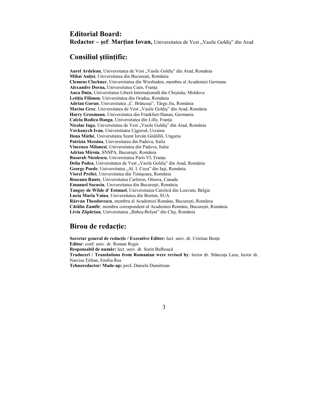## **Editorial Board:**  Redactor - şef: Marțian Iovan, Universitatea de Vest "Vasile Goldiș" din Arad

## **Consiliul științific:**

Aurel Ardelean, Universitatea de Vest "Vasile Goldiș" din Arad, România **Mihai Anitei**, Universitatea din București, România **Clemens Clockner**, Universitatea din Wiesbaden, membru al Academiei Germane **Alexandre Dorna, Universitatea Caen, Franța** Anca Duțu, Universitatea Liberă Internațională din Chișinău, Moldova Letiția Filimon, Universitatea din Oradea, România Adrian Gorun, Universitatea "C. Brâncuși", Târgu Jiu, România Marius Grec, Universitatea de Vest "Vasile Goldiş" din Arad, România **Harry Grosmann**, Universitatea din Frankfurt-Hanau, Germania **Calciu Rodica Hanga, Universitatea din Lille, Franța** Nicolae Iuga, Universitatea de Vest "Vasile Goldiș" din Arad, România **Vovkanych Ivan**, Universitatea Ujgorod, Ucraina **Ilona Máthé**, Universitatea Szent István Gődőllő, Ungaria **Patrizia Messina**, Universitatea din Padova, Italia **Vincenzo Milanesi**, Universitatea din Padova, Italia **Adrian Miroiu**, SNSPA, Bucureşti, România Basarab Nicolescu, Universitatea Paris VI, Franta Delia Podea, Universitatea de Vest "Vasile Goldiş" din Arad, România George Poede, Universitatea "Al. I. Cuza" din Iași, România **Viorel Prelici**, Universitatea din Timişoara, România **Roseann Runte**, Universitatea Carleton, Ottawa, Canada **Emanuel Socaciu**, Universitatea din Bucureşti, România **Tanguy de Wilde d' Estmael**, Universitatea Catolică din Louvain, Belgia **Lucia Maria Vaina**, Universitatea din Boston, SUA **Răzvan Theodorescu**, membru al Academiei Române, Bucureşti, România **Cătălin Zamfir**, membru corespondent al Academiei Române, Bucureşti, România Liviu Zăpârtan, Universitatea "Babes-Bolyai" din Cluj, România

## **Birou de redacție:**

Secretar general de redacție / Executive Editor: lect. univ. dr. Cristian Bențe **Editor**: conf. univ. dr. Roman Regis **Responsabil de număr:** lect. univ. dr. Sorin Bulboacă Traduceri / Translations from Romanian were revised by: lector dr. Stăncuța Laza, lector dr. Narcisa Tirban, Emilia Rus **Tehnoredactor/ Made-up:** prof**.** Daniela Dumitrean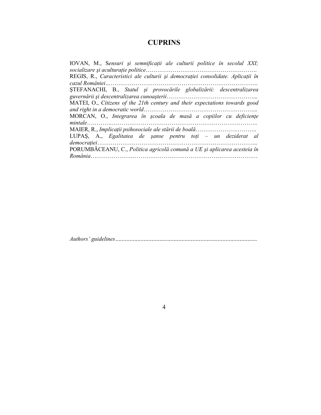# **CUPRINS**

| IOVAN, M., Sensuri și semnificații ale culturii politice în secolul XXI;        |
|---------------------------------------------------------------------------------|
|                                                                                 |
| REGIS, R., Caracteristici ale culturii și democrației consolidate. Aplicații în |
|                                                                                 |
| ȘTEFANACHI, B., Statul și provocările globalizării: descentralizarea            |
|                                                                                 |
| MATEI, O., Citizens of the 21th century and their expectations towards good     |
|                                                                                 |
| MORCAN, O., Integrarea în școala de masă a copiilor cu deficiențe               |
|                                                                                 |
| LUPAŞ, A., Egalitatea de şanse pentru toți – un deziderat al                    |
| PORUMBĂCEANU, C., Politica agricolă comună a UE și aplicarea acesteia în        |
|                                                                                 |

*Authors' guidelines*..........................................................................................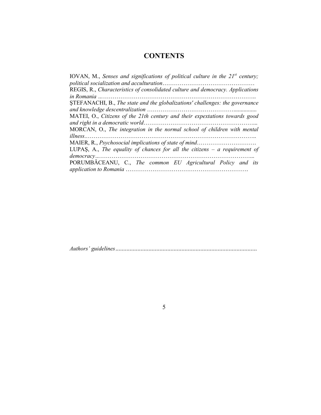# **CONTENTS**

| IOVAN, M., Senses and significations of political culture in the $21^{st}$ century; |
|-------------------------------------------------------------------------------------|
|                                                                                     |
| REGIS, R., Characteristics of consolidated culture and democracy. Applications      |
|                                                                                     |
| STEFANACHI, B., The state and the globalizations' challenges: the governance        |
|                                                                                     |
| MATEI, O., Citizens of the 21th century and their expextations towards good         |
|                                                                                     |
| MORCAN, O., The integration in the normal school of children with mental            |
|                                                                                     |
| MAIER, R., Psychosocial implications of state of mind                               |
| LUPAS, A., The equality of chances for all the citizens $-$ a requirement of        |
|                                                                                     |
| PORUMBACEANU, C., The common EU Agricultural Policy and its                         |
|                                                                                     |

*Authors' guidelines*..........................................................................................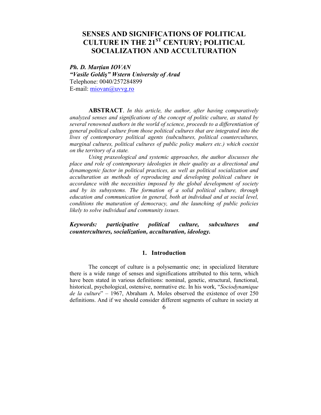# **SENSES AND SIGNIFICATIONS OF POLITICAL CULTURE IN THE 21ST CENTURY; POLITICAL SOCIALIZATION AND ACCULTURATION**

#### **Ph. D. Martian IOVAN**

*"Vasile Goldiş" Wstern University of Arad*  Telephone: 0040/257284899 E-mail: miovan@uvvg.ro

**ABSTRACT**. *In this article, the author, after having comparatively analyzed senses and significations of the concept of politic culture, as stated by several renowned authors in the world of science, proceeds to a differentiation of general political culture from those political cultures that are integrated into the lives of contemporary political agents (subcultures, political countercultures, marginal cultures, political cultures of public policy makers etc.) which coexist on the territory of a state.* 

*Using praxeological and systemic approaches, the author discusses the place and role of contemporary ideologies in their quality as a directional and dynamogenic factor in political practices, as well as political socialization and acculturation as methods of reproducing and developing political culture in accordance with the necessities imposed by the global development of society and by its subsystems. The formation of a solid political culture, through education and communication in general, both at individual and at social level, conditions the maturation of democracy, and the launching of public policies likely to solve individual and community issues.* 

*Keywords: participative political culture, subcultures and countercultures, socialization, acculturation, ideology.* 

#### **1. Introduction**

The concept of culture is a polysemantic one; in specialized literature there is a wide range of senses and significations attributed to this term, which have been stated in various definitions: nominal, genetic, structural, functional, historical, psychological, ostensive, normative etc. In his work, "*Sociodynamique de la culture*" – 1967, Abraham A. Moles observed the existence of over 250 definitions. And if we should consider different segments of culture in society at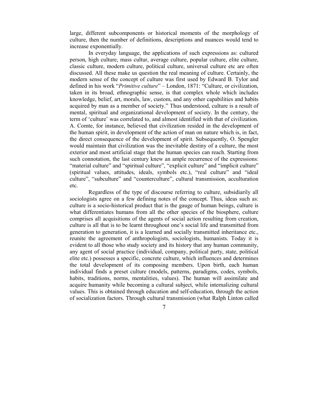large, different subcomponents or historical moments of the morphology of culture, then the number of definitions, descriptions and nuances would tend to increase exponentially.

In everyday language, the applications of such expressions as: cultured person, high culture, mass cultur, average culture, popular culture, elite culture, classic culture, modern culture, political culture, universal culture etc are often discussed. All these make us question the real meaning of culture. Certainly, the modern sense of the concept of culture was first used by Edward B. Tylor and defined in his work "*Primitive culture*" – London, 1871: "Culture, or civilization, taken in its broad, ethnographic sense, is that complex whole which includes knowledge, belief, art, morals, law, custom, and any other capabilities and habits acquired by man as a member of society." Thus understood, culture is a result of mental, spiritual and organizational development of society. In the century, the term of 'culture' was correlated to, and almost identified with that of civilization. A. Comte, for instance, believed that civilization resided in the development of the human spirit, in development of the action of man on nature which is, in fact, the direct consequence of the development of spirit. Subsequently, O. Spengler would maintain that civilization was the inevitable destiny of a culture, the most exterior and most artificial stage that the human species can reach. Starting from such connotation, the last century knew an ample recurrence of the expressions: "material culture" and "spiritual culture", "explicit culture" and "implicit culture" (spiritual values, attitudes, ideals, symbols etc.), "real culture" and "ideal culture", "subculture" and "counterculture", cultural transmission, acculturation etc.

Regardless of the type of discourse referring to culture, subsidiarily all sociologists agree on a few defining notes of the concept. Thus, ideas such as: culture is a socio-historical product that is the gauge of human beings, culture is what differentiates humans from all the other species of the biosphere, culture comprises all acquisitions of the agents of social action resulting from creation, culture is all that is to be learnt throughout one's social life and transmitted from generation to generation, it is a learned and socially transmitted inheritance etc., reunite the agreement of anthropologists, sociologists, humanists. Today it is evident to all those who study society and its history that any human community, any agent of social practice (individual, company, political party, state, political elite etc.) possesses a specific, concrete culture, which influences and determines the total development of its composing members. Upon birth, each human individual finds a preset culture (models, patterns, paradigms, codes, symbols, habits, traditions, norms, mentalities, values). The human will assimilate and acquire humanity while becoming a cultural subject, while internalizing cultural values. This is obtained through education and self-education, through the action of socialization factors. Through cultural transmission (what Ralph Linton called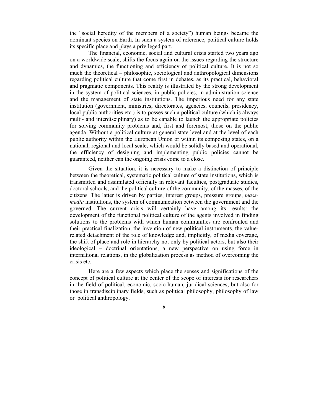the "social heredity of the members of a society") human beings became the dominant species on Earth. In such a system of reference, political culture holds its specific place and plays a privileged part.

The financial, economic, social and cultural crisis started two years ago on a worldwide scale, shifts the focus again on the issues regarding the structure and dynamics, the functioning and efficiency of political culture. It is not so much the theoretical – philosophic, sociological and anthropological dimensions regarding political culture that come first in debates, as its practical, behavioral and pragmatic components. This reality is illustrated by the strong development in the system of political sciences, in public policies, in administration science and the management of state institutions. The imperious need for any state institution (government, ministries, directorates, agencies, councils, presidency, local public authorities etc.) is to posses such a political culture (which is always multi- and interdisciplinary) as to be capable to launch the appropriate policies for solving community problems and, first and foremost, those on the public agenda. Without a political culture at general state level and at the level of each public authority within the European Union or within its composing states, on a national, regional and local scale, which would be solidly based and operational, the efficiency of designing and implementing public policies cannot be guaranteed, neither can the ongoing crisis come to a close.

Given the situation, it is necessary to make a distinction of principle between the theoretical, systematic political culture of state institutions, which is transmitted and assimilated officially in relevant faculties, postgraduate studies, doctoral schools, and the political culture of the community, of the masses, of the citizens. The latter is driven by parties, interest groups, pressure groups, *massmedia* institutions, the system of communication between the government and the governed. The current crisis will certainly have among its results: the development of the functional political culture of the agents involved in finding solutions to the problems with which human communities are confronted and their practical finalization, the invention of new political instruments, the valuerelated detachment of the role of knowledge and, implicitly, of media coverage, the shift of place and role in hierarchy not only by political actors, but also their ideological – doctrinal orientations, a new perspective on using force in international relations, in the globalization process as method of overcoming the crisis etc.

Here are a few aspects which place the senses and significations of the concept of political culture at the center of the scope of interests for researchers in the field of political, economic, socio-human, juridical sciences, but also for those in transdisciplinary fields, such as political philosophy, philosophy of law or political anthropology.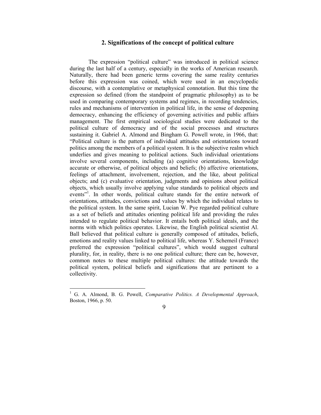#### **2. Significations of the concept of political culture**

The expression "political culture" was introduced in political science during the last half of a century, especially in the works of American research. Naturally, there had been generic terms covering the same reality centuries before this expression was coined, which were used in an encyclopedic discourse, with a contemplative or metaphysical connotation. But this time the expression so defined (from the standpoint of pragmatic philosophy) as to be used in comparing contemporary systems and regimes, in recording tendencies, rules and mechanisms of intervention in political life, in the sense of deepening democracy, enhancing the efficiency of governing activities and public affairs management. The first empirical sociological studies were dedicated to the political culture of democracy and of the social processes and structures sustaining it. Gabriel A. Almond and Bingham G. Powell wrote, in 1966, that: "Political culture is the pattern of individual attitudes and orientations toward politics among the members of a political system. It is the subjective realm which underlies and gives meaning to political actions. Such individual orientations involve several components, including (a) cognitive orientations, knowledge accurate or otherwise, of political objects and beliefs; (b) affective orientations, feelings of attachment, involvement, rejection, and the like, about political objects; and (c) evaluative orientation, judgments and opinions about political objects, which usually involve applying value standards to political objects and events"<sup>1</sup>. In other words, political culture stands for the entire network of orientations, attitudes, convictions and values by which the individual relates to the political system. In the same spirit, Lucian W. Pye regarded political culture as a set of beliefs and attitudes orienting political life and providing the rules intended to regulate political behavior. It entails both political ideals, and the norms with which politics operates. Likewise, the English political scientist Al. Ball believed that political culture is generally composed of attitudes, beliefs, emotions and reality values linked to political life, whereas Y. Schemeil (France) preferred the expression "political cultures", which would suggest cultural plurality, for, in reality, there is no one political culture; there can be, however, common notes to these multiple political cultures: the attitude towards the political system, political beliefs and significations that are pertinent to a collectivity.

<sup>|&</sup>lt;br>|<br>| G. A. Almond, B. G. Powell, *Comparative Politics. A Developmental Approach*, Boston, 1966, p. 50.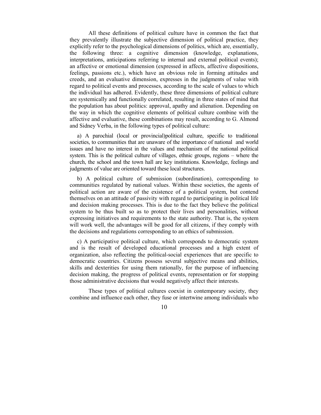All these definitions of political culture have in common the fact that they prevalently illustrate the subjective dimension of political practice, they explicitly refer to the psychological dimensions of politics, which are, essentially, the following three: a cognitive dimension (knowledge, explanations, interpretations, anticipations referring to internal and external political events); an affective or emotional dimension (expressed in affects, affective dispositions, feelings, passions etc.), which have an obvious role in forming attitudes and creeds, and an evaluative dimension, expresses in the judgments of value with regard to political events and processes, according to the scale of values to which the individual has adhered. Evidently, these three dimensions of political culture are systemically and functionally correlated, resulting in three states of mind that the population has about politics: approval, apathy and alienation. Depending on the way in which the cognitive elements of political culture combine with the affective and evaluative, these combinations may result, according to G. Almond and Sidney Verba, in the following types of political culture:

a) A parochial (local or provincial)political culture, specific to traditional societies, to communities that are unaware of the importance of national and world issues and have no interest in the values and mechanism of the national political system. This is the political culture of villages, ethnic groups, regions – where the church, the school and the town hall are key institutions. Knowledge, feelings and judgments of value are oriented toward these local structures.

b) A political culture of submission (subordination), corresponding to communities regulated by national values. Within these societies, the agents of political action are aware of the existence of a political system, but contend themselves on an attitude of passivity with regard to participating in political life and decision making processes. This is due to the fact they believe the political system to be thus built so as to protect their lives and personalities, without expressing initiatives and requirements to the state authority. That is, the system will work well, the advantages will be good for all citizens, if they comply with the decisions and regulations corresponding to an ethics of submission.

c) A participative political culture, which corresponds to democratic system and is the result of developed educational processes and a high extent of organization, also reflecting the political-social experiences that are specific to democratic countries. Citizens possess several subjective means and abilities, skills and dexterities for using them rationally, for the purpose of influencing decision making, the progress of political events, representation or for stopping those administrative decisions that would negatively affect their interests.

These types of political cultures coexist in contemporary society, they combine and influence each other, they fuse or intertwine among individuals who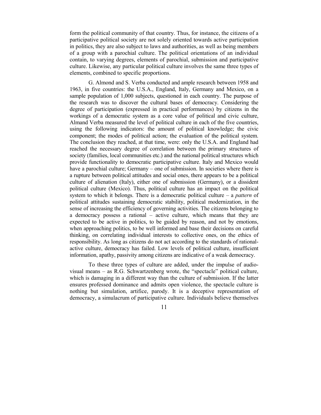form the political community of that country. Thus, for instance, the citizens of a participative political society are not solely oriented towards active participation in politics, they are also subject to laws and authorities, as well as being members of a group with a parochial culture. The political orientations of an individual contain, to varying degrees, elements of parochial, submission and participative culture. Likewise, any particular political culture involves the same three types of elements, combined to specific proportions.

G. Almond and S. Verba conducted and ample research between 1958 and 1963, in five countries: the U.S.A., England, Italy, Germany and Mexico, on a sample population of 1,000 subjects, questioned in each country. The purpose of the research was to discover the cultural bases of democracy. Considering the degree of participation (expressed in practical performances) by citizens in the workings of a democratic system as a core value of political and civic culture, Almand Verba measured the level of political culture in each of the five countries, using the following indicators: the amount of political knowledge; the civic component; the modes of political action; the evaluation of the political system. The conclusion they reached, at that time, were: only the U.S.A. and England had reached the necessary degree of correlation between the primary structures of society (families, local communities etc.) and the national political structures which provide functionality to democratic participative culture. Italy and Mexico would have a parochial culture; Germany – one of submission. In societies where there is a rupture between political attitudes and social ones, there appears to be a political culture of alienation (Italy), either one of submission (Germany), or a dissident political culture (Mexico). Thus, political culture has an impact on the political system to which it belongs. There is a democratic political culture – a *pattern* of political attitudes sustaining democratic stability, political modernization, in the sense of increasing the efficiency of governing activities. The citizens belonging to a democracy possess a rational – active culture, which means that they are expected to be active in politics, to be guided by reason, and not by emotions, when approaching politics, to be well informed and base their decisions on careful thinking, on correlating individual interests to collective ones, on the ethics of responsibility. As long as citizens do not act according to the standards of rationalactive culture, democracy has failed. Low levels of political culture, insufficient information, apathy, passivity among citizens are indicative of a weak democracy.

To these three types of culture are added, under the impulse of audiovisual means – as R.G. Schwartzenberg wrote, the "spectacle" political culture, which is damaging in a different way than the culture of submission. If the latter ensures professed dominance and admits open violence, the spectacle culture is nothing but simulation, artifice, parody. It is a deceptive representation of democracy, a simulacrum of participative culture. Individuals believe themselves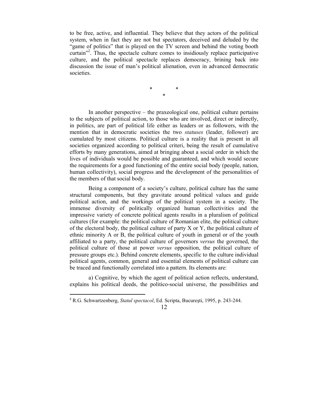to be free, active, and influential. They believe that they actors of the political system, when in fact they are not but spectators, deceived and deluded by the "game of politics" that is played on the TV screen and behind the voting booth curtain"<sup>2</sup>. Thus, the spectacle culture comes to insidiously replace participative culture, and the political spectacle replaces democracy, brining back into discussion the issue of man's political alienation, even in advanced democratic societies.

> \* \* \*

In another perspective – the praxeological one, political culture pertains to the subjects of political action, to those who are involved, direct or indirectly, in politics, are part of political life either as leaders or as followers, with the mention that in democratic societies the two *statuses* (leader, follower) are cumulated by most citizens. Political culture is a reality that is present in all societies organized according to political criteri, being the result of cumulative efforts by many generations, aimed at bringing about a social order in which the lives of individuals would be possible and guaranteed, and which would secure the requirements for a good functioning of the entire social body (people, nation, human collectivity), social progress and the development of the personalities of the members of that social body.

Being a component of a society's culture, political culture has the same structural components, but they gravitate around political values and guide political action, and the workings of the political system in a society. The immense diversity of politically organized human collectivities and the impressive variety of concrete political agents results in a pluralism of political cultures (for example: the political culture of Romanian elite, the political culture of the electoral body, the political culture of party  $X$  or  $Y$ , the political culture of ethnic minority A or B, the political culture of youth in general or of the youth affiliated to a party, the political culture of governors *versus* the governed, the political culture of those at power *versus* opposition, the political culture of pressure groups etc.). Behind concrete elements, specific to the culture individual political agents, common, general and essential elements of political culture can be traced and functionally correlated into a pattern. Its elements are:

a) Cognitive, by which the agent of political action reflects, understand, explains his political deeds, the politico-social universe, the possibilities and

 $\overline{a}$ 

<sup>2</sup> R.G. Schwartzenberg, *Statul spectacol*, Ed. Scripta, Bucureşti, 1995, p. 243-244.

<sup>12</sup>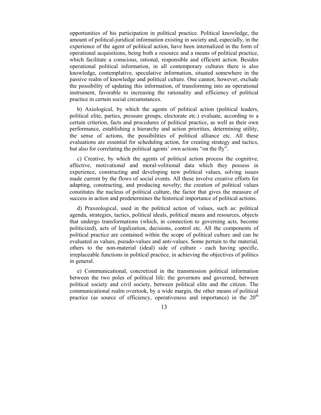opportunities of his participation in political practice. Political knowledge, the amount of political-juridical information existing in society and, especially, in the experience of the agent of political action, have been internalized in the form of operational acquisitions, being both a resource and a means of political practice, which facilitate a conscious, rational, responsible and efficient action. Besides operational political information, in all contemporary cultures there is also knowledge, contemplative, speculative information, situated somewhere in the passive realm of knowledge and political culture. One cannot, however, exclude the possibility of updating this information, of transforming into an operational instrument, favorable to increasing the rationality and efficiency of political practice in certain social circumstances.

b) Axiological, by which the agents of political action (political leaders, political elite, parties, pressure groups, electorate etc.) evaluate, according to a certain criterion, facts and procedures of political practice, as well as their own performance, establishing a hierarchy and action priorities, determining utility, the sense of actions, the possibilities of political alliance etc. All these evaluations are essential for scheduling action, for creating strategy and tactics, but also for correlating the political agents' own actions "on the fly".

c) Creative, by which the agents of political action process the cognitive, affective, motivational and moral-volitional data which they possess in experience, constructing and developing new political values, solving issues made current by the flows of social events. All these involve creative efforts for adapting, constructing, and producing novelty; the creation of political values constitutes the nucleus of political culture, the factor that gives the measure of success in action and predetermines the historical importance of political actions.

d) Praxeological, used in the political action of values, such as: political agenda, strategies, tactics, political ideals, political means and resources, objects that undergo transformations (which, in connection to governing acts, become politicized), acts of legalization, decisions, control etc. All the components of political practice are contained within the scope of political culture and can be evaluated as values, pseudo-values and anti-values. Some pertain to the material, others to the non-material (ideal) side of culture - each having specific, irreplaceable functions in political practice, in achieving the objectives of politics in general.

e) Communicational, concretized in the transmission political information between the two poles of political life: the governors and governed, between political society and civil society, between political elite and the citizen. The communicational realm overtook, by a wide margin, the other means of political practice (as source of efficiency, operativeness and importance) in the  $20<sup>th</sup>$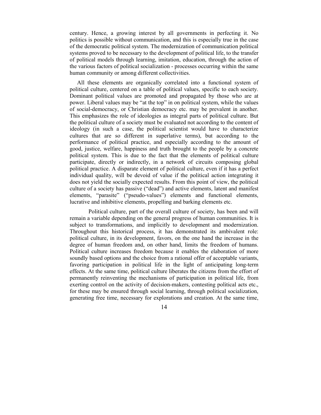century. Hence, a growing interest by all governments in perfecting it. No politics is possible without communication, and this is especially true in the case of the democratic political system. The modernization of communication political systems proved to be necessary to the development of political life, to the transfer of political models through learning, imitation, education, through the action of the various factors of political socialization - processes occurring within the same human community or among different collectivities.

All these elements are organically correlated into a functional system of political culture, centered on a table of political values, specific to each society. Dominant political values are promoted and propagated by those who are at power. Liberal values may be "at the top" in on political system, while the values of social-democracy, or Christian democracy etc. may be prevalent in another. This emphasizes the role of ideologies as integral parts of political culture. But the political culture of a society must be evaluated not according to the content of ideology (in such a case, the political scientist would have to characterize cultures that are so different in superlative terms), but according to the performance of political practice, and especially according to the amount of good, justice, welfare, happiness and truth brought to the people by a concrete political system. This is due to the fact that the elements of political culture participate, directly or indirectly, in a network of circuits composing global political practice. A disparate element of political culture, even if it has a perfect individual quality, will be devoid of value if the political action integrating it does not yield the socially expected results. From this point of view, the political culture of a society has passive ("dead") and active elements, latent and manifest elements, "parasite" ("pseudo-values") elements and functional elements, lucrative and inhibitive elements, propelling and barking elements etc.

Political culture, part of the overall culture of society, has been and will remain a variable depending on the general progress of human communities. It is subject to transformations, and implicitly to development and modernization. Throughout this historical process, it has demonstrated its ambivalent role: political culture, in its development, favors, on the one hand the increase in the degree of human freedom and, on other hand, limits the freedom of humans. Political culture increases freedom because it enables the elaboration of more soundly based options and the choice from a rational offer of acceptable variants, favoring participation in political life in the light of anticipating long-term effects. At the same time, political culture liberates the citizens from the effort of permanently reinventing the mechanisms of participation in political life, from exerting control on the activity of decision-makers, contesting political acts etc., for these may be ensured through social learning, through political socialization, generating free time, necessary for explorations and creation. At the same time,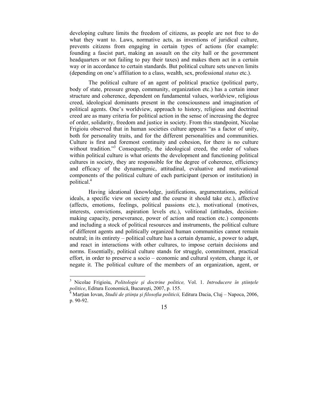developing culture limits the freedom of citizens, as people are not free to do what they want to. Laws, normative acts, as inventions of juridical culture, prevents citizens from engaging in certain types of actions (for example: founding a fascist part, making an assault on the city hall or the government headquarters or not failing to pay their taxes) and makes them act in a certain way or in accordance to certain standards. But political culture sets uneven limits (depending on one's affiliation to a class, wealth, sex, professional *status* etc.).

The political culture of an agent of political practice (political party, body of state, pressure group, community, organization etc.) has a certain inner structure and coherence, dependent on fundamental values, worldview, religious creed, ideological dominants present in the consciousness and imagination of political agents. One's worldview, approach to history, religious and doctrinal creed are as many criteria for political action in the sense of increasing the degree of order, solidarity, freedom and justice in society. From this standpoint, Nicolae Frigioiu observed that in human societies culture appears "as a factor of unity, both for personality traits, and for the different personalities and communities. Culture is first and foremost continuity and cohesion, for there is no culture without tradition."<sup>3</sup> Consequently, the ideological creed, the order of values within political culture is what orients the development and functioning political cultures in society, they are responsible for the degree of coherence, efficiency and efficacy of the dynamogenic, attitudinal, evaluative and motivational components of the political culture of each participant (person or institution) in political.<sup>4</sup>

Having ideational (knowledge, justifications, argumentations, political ideals, a specific view on society and the course it should take etc.), affective (affects, emotions, feelings, political passions etc.), motivational (motives, interests, convictions, aspiration levels etc.), volitional (attitudes, decisionmaking capacity, perseverance, power of action and reaction etc.) components and including a stock of political resources and instruments, the political culture of different agents and politically organized human communities cannot remain neutral; in its entirety – political culture has a certain dynamic, a power to adapt, and react in interactions with other cultures, to impose certain decisions and norms. Essentially, political culture stands for struggle, commitment, practical effort, in order to preserve a socio – economic and cultural system, change it, or negate it. The political culture of the members of an organization, agent, or

 $\overline{a}$ 

<sup>&</sup>lt;sup>3</sup> Nicolae Frigioiu, *Politologie și doctrine politice*, Vol. 1. Introducere în științele *politice*, Editura Economică, Bucureşti, 2007, p. 155.

<sup>4</sup> Marțian Iovan, *Studii de știința și filosofia politicii*, Editura Dacia, Cluj – Napoca, 2006, p. 90-92.

<sup>15</sup>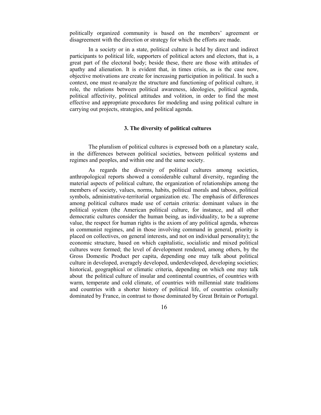politically organized community is based on the members' agreement or disagreement with the direction or strategy for which the efforts are made.

In a society or in a state, political culture is held by direct and indirect participants to political life, supporters of political actors and electors, that is, a great part of the electoral body; beside these, there are those with attitudes of apathy and alienation. It is evident that, in times crisis, as is the case now, objective motivations are create for increasing participation in political. In such a context, one must re-analyze the structure and functioning of political culture, it role, the relations between political awareness, ideologies, political agenda, political affectivity, political attitudes and volition, in order to find the most effective and appropriate procedures for modeling and using political culture in carrying out projects, strategies, and political agenda.

#### **3. The diversity of political cultures**

The pluralism of political cultures is expressed both on a planetary scale, in the differences between political societies, between political systems and regimes and peoples, and within one and the same society.

As regards the diversity of political cultures among societies, anthropological reports showed a considerable cultural diversity, regarding the material aspects of political culture, the organization of relationships among the members of society, values, norms, habits, political morals and taboos, political symbols, administrative-territorial organization etc. The emphasis of differences among political cultures made use of certain criteria: dominant values in the political system (the American political culture, for instance, and all other democratic cultures consider the human being, as individuality, to be a supreme value, the respect for human rights is the axiom of any political agenda, whereas in communist regimes, and in those involving command in general, priority is placed on collectives, on general interests, and not on individual personality); the economic structure, based on which capitalistic, socialistic and mixed political cultures were formed; the level of development rendered, among others, by the Gross Domestic Product per capita, depending one may talk about political culture in developed, averagely developed, underdeveloped, developing societies; historical, geographical or climatic criteria, depending on which one may talk about the political culture of insular and continental countries, of countries with warm, temperate and cold climate, of countries with millennial state traditions and countries with a shorter history of political life, of countries colonially dominated by France, in contrast to those dominated by Great Britain or Portugal.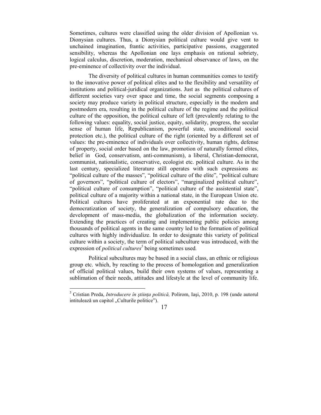Sometimes, cultures were classified using the older division of Apollonian vs. Dionysian cultures. Thus, a Dionysian political culture would give vent to unchained imagination, frantic activities, participative passions, exaggerated sensibility, whereas the Apollonian one lays emphasis on rational sobriety, logical calculus, discretion, moderation, mechanical observance of laws, on the pre-eminence of collectivity over the individual.

The diversity of political cultures in human communities comes to testify to the innovative power of political elites and to the flexibility and versatility of institutions and political-juridical organizations. Just as the political cultures of different societies vary over space and time, the social segments composing a society may produce variety in political structure, especially in the modern and postmodern era, resulting in the political culture of the regime and the political culture of the opposition, the political culture of left (prevalently relating to the following values: equality, social justice, equity, solidarity, progress, the secular sense of human life, Republicanism, powerful state, unconditional social protection etc.), the political culture of the right (oriented by a different set of values: the pre-eminence of individuals over collectivity, human rights, defense of property, social order based on the law, promotion of naturally formed elites, belief in God, conservatism, anti-communism), a liberal, Christian-democrat, communist, nationalistic, conservative, ecologist etc. political culture. As in the last century, specialized literature still operates with such expressions as: "political culture of the masses", "political culture of the elite", "political culture of governors", "political culture of electors", "marginalized political culture", "political culture of consumption", "political culture of the assistential state", political culture of a majority within a national state, in the European Union etc. Political cultures have proliferated at an exponential rate due to the democratization of society, the generalization of compulsory education, the development of mass-media, the globalization of the information society. Extending the practices of creating and implementing public policies among thousands of political agents in the same country led to the formation of political cultures with highly individualize. In order to designate this variety of political culture within a society, the term of political subculture was introduced, with the expression of *political cultures<sup>5</sup>* being sometimes used*.* 

Political subcultures may be based in a social class, an ethnic or religious group etc. which, by reacting to the process of homologation and generalization of official political values, build their own systems of values, representing a sublimation of their needs, attitudes and lifestyle at the level of community life.

<sup>&</sup>lt;sup>5</sup> Cristian Preda, *Introducere în știința politică*, Polirom, Iași, 2010, p. 198 (unde autorul intitulează un capitol "Culturile politice").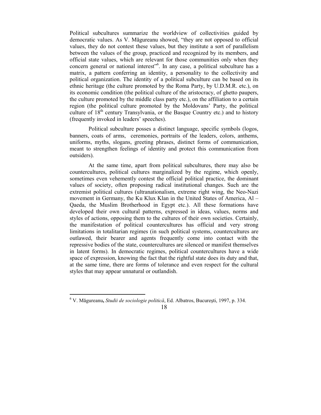Political subcultures summarize the worldview of collectivities guided by democratic values. As V. Măgureanu showed, "they are not opposed to official values, they do not contest these values, but they institute a sort of parallelism between the values of the group, practiced and recognized by its members, and official state values, which are relevant for those communities only when they concern general or national interest"<sup>6</sup> . In any case, a political subculture has a matrix, a pattern conferring an identity, a personality to the collectivity and political organization. The identity of a political subculture can be based on its ethnic heritage (the culture promoted by the Roma Party, by U.D.M.R. etc.), on its economic condition (the political culture of the aristocracy, of ghetto paupers, the culture promoted by the middle class party etc.), on the affiliation to a certain region (the political culture promoted by the Moldovans' Party, the political culture of  $18<sup>th</sup>$  century Transylvania, or the Basque Country etc.) and to history (frequently invoked in leaders' speeches).

Political subculture posses a distinct language, specific symbols (logos, banners, coats of arms, ceremonies, portraits of the leaders, colors, anthems, uniforms, myths, slogans, greeting phrases, distinct forms of communication, meant to strengthen feelings of identity and protect this communication from outsiders).

At the same time, apart from political subcultures, there may also be countercultures, political cultures marginalized by the regime, which openly, sometimes even vehemently contest the official political practice, the dominant values of society, often proposing radical institutional changes. Such are the extremist political cultures (ultranationalism, extreme right wing, the Neo-Nazi movement in Germany, the Ku Klux Klan in the United States of America, Al – Qaeda, the Muslim Brotherhood in Egypt etc.). All these formations have developed their own cultural patterns, expressed in ideas, values, norms and styles of actions, opposing them to the cultures of their own societies. Certainly, the manifestation of political countercultures has official and very strong limitations in totalitarian regimes (in such political systems, countercultures are outlawed, their bearer and agents frequently come into contact with the repressive bodies of the state, countercultures are silenced or manifest themselves in latent forms). In democratic regimes, political countercultures have a wide space of expression, knowing the fact that the rightful state does its duty and that, at the same time, there are forms of tolerance and even respect for the cultural styles that may appear unnatural or outlandish.

 $\overline{a}$ 

<sup>6</sup> V. Măgureanu**,** *Studii de sociologie politică*, Ed. Albatros, Bucureşti, 1997, p. 334.

<sup>18</sup>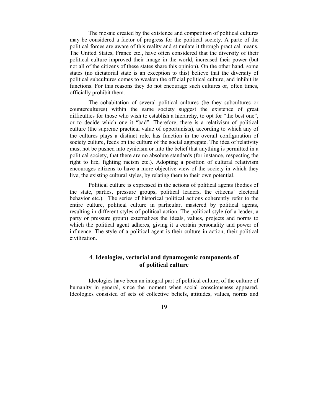The mosaic created by the existence and competition of political cultures may be considered a factor of progress for the political society. A parte of the political forces are aware of this reality and stimulate it through practical means. The United States, France etc., have often considered that the diversity of their political culture improved their image in the world, increased their power (but not all of the citizens of these states share this opinion). On the other hand, some states (no dictatorial state is an exception to this) believe that the diversity of political subcultures comes to weaken the official political culture, and inhibit its functions. For this reasons they do not encourage such cultures or, often times, officially prohibit them.

The cohabitation of several political cultures (be they subcultures or countercultures) within the same society suggest the existence of great difficulties for those who wish to establish a hierarchy, to opt for "the best one", or to decide which one it "bad". Therefore, there is a relativism of political culture (the supreme practical value of opportunists), according to which any of the cultures plays a distinct role, has function in the overall configuration of society culture, feeds on the culture of the social aggregate. The idea of relativity must not be pushed into cynicism or into the belief that anything is permitted in a political society, that there are no absolute standards (for instance, respecting the right to life, fighting racism etc.). Adopting a position of cultural relativism encourages citizens to have a more objective view of the society in which they live, the existing cultural styles, by relating them to their own potential.

Political culture is expressed in the actions of political agents (bodies of the state, parties, pressure groups, political leaders, the citizens' electoral behavior etc.). The series of historical political actions coherently refer to the entire culture, political culture in particular, mastered by political agents, resulting in different styles of political action. The political style (of a leader, a party or pressure group) externalizes the ideals, values, projects and norms to which the political agent adheres, giving it a certain personality and power of influence. The style of a political agent is their culture in action, their political civilization.

## 4. **Ideologies, vectorial and dynamogenic components of of political culture**

Ideologies have been an integral part of political culture, of the culture of humanity in general, since the moment when social consciousness appeared. Ideologies consisted of sets of collective beliefs, attitudes, values, norms and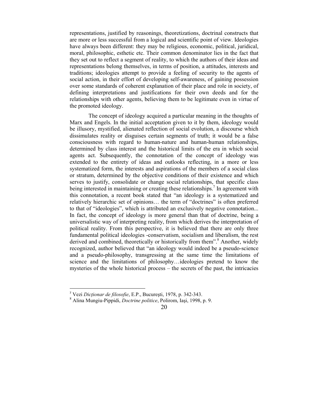representations, justified by reasonings, theoretizations, doctrinal constructs that are more or less successful from a logical and scientific point of view. Ideologies have always been different: they may be religious, economic, political, juridical, moral, philosophic, esthetic etc. Their common denominator lies in the fact that they set out to reflect a segment of reality, to which the authors of their ideas and representations belong themselves, in terms of position, a attitudes, interests and traditions; ideologies attempt to provide a feeling of security to the agents of social action, in their effort of developing self-awareness, of gaining possession over some standards of coherent explanation of their place and role in society, of defining interpretations and justifications for their own deeds and for the relationships with other agents, believing them to be legitimate even in virtue of the promoted ideology.

The concept of ideology acquired a particular meaning in the thoughts of Marx and Engels. In the initial acceptation given to it by them, ideology would be illusory, mystified, alienated reflection of social evolution, a discourse which dissimulates reality or disguises certain segments of truth; it would be a false consciousness with regard to human-nature and human-human relationships, determined by class interest and the historical limits of the era in which social agents act. Subsequently, the connotation of the concept of ideology was extended to the entirety of ideas and outlooks reflecting, in a more or less systematized form, the interests and aspirations of the members of a social class or stratum, determined by the objective conditions of their existence and which serves to justify, consolidate or change social relationships, that specific class being interested in maintaining or creating these relationships.<sup>7</sup> In agreement with this connotation, a recent book stated that "an ideology is a systematized and relatively hierarchic set of opinions… the term of "doctrines" is often preferred to that of "ideologies", which is attributed an exclusively negative connotation... In fact, the concept of ideology is more general than that of doctrine, being a universalistic way of interpreting reality, from which derives the interpretation of political reality. From this perspective, it is believed that there are only three fundamental political ideologies -conservatism, socialism and liberalism, the rest derived and combined, theoretically or historically from them".<sup>8</sup> Another, widely recognized, author believed that "an ideology would indeed be a pseudo-science and a pseudo-philosophy, transgressing at the same time the limitations of science and the limitations of philosophy…ideologies pretend to know the mysteries of the whole historical process – the secrets of the past, the intricacies

 $\overline{a}$ <sup>7</sup> Vezi *Dicționar de filosofie*, E.P., București, 1978, p. 342-343.

<sup>8</sup> Alina Mungiu-Pippidi, *Doctrine politice*, Polirom, Iaşi, 1998, p. 9.

<sup>20</sup>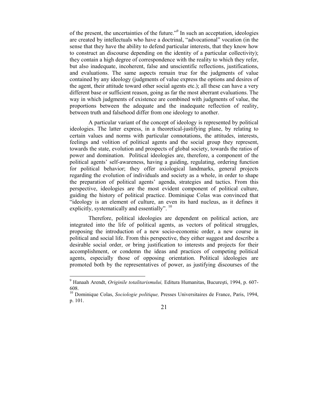of the present, the uncertainties of the future."<sup>9</sup> In such an acceptation, ideologies are created by intellectuals who have a doctrinal, "advocational" vocation (in the sense that they have the ability to defend particular interests, that they know how to construct an discourse depending on the identity of a particular collectivity); they contain a high degree of correspondence with the reality to which they refer, but also inadequate, incoherent, false and unscientific reflections, justifications, and evaluations. The same aspects remain true for the judgments of value contained by any ideology (judgments of value express the options and desires of the agent, their attitude toward other social agents etc.); all these can have a very different base or sufficient reason, going as far the most aberrant evaluations. The way in which judgments of existence are combined with judgments of value, the proportions between the adequate and the inadequate reflection of reality, between truth and falsehood differ from one ideology to another.

A particular variant of the concept of ideology is represented by political ideologies. The latter express, in a theoretical-justifying plane, by relating to certain values and norms with particular connotations, the attitudes, interests, feelings and volition of political agents and the social group they represent, towards the state, evolution and prospects of global society, towards the ratios of power and domination. Political ideologies are, therefore, a component of the political agents' self-awareness, having a guiding, regulating, ordering function for political behavior; they offer axiological landmarks, general projects regarding the evolution of individuals and society as a whole, in order to shape the preparation of political agents' agenda, strategies and tactics. From this perspective, ideologies are the most evident component of political culture, guiding the history of political practice. Dominique Colas was convinced that "ideology is an element of culture, an even its hard nucleus, as it defines it explicitly, systematically and essentially".  $^{10}$ 

Therefore, political ideologies are dependent on political action, are integrated into the life of political agents, as vectors of political struggles, proposing the introduction of a new socio-economic order, a new course in political and social life. From this perspective, they either suggest and describe a desirable social order, or bring justification to interests and projects for their accomplishment, or condemn the ideas and practices of competing political agents, especially those of opposing orientation. Political ideologies are promoted both by the representatives of power, as justifying discourses of the

 $\overline{a}$ 

<sup>9</sup> Hanaah Arendt, *Originile totalitarismului,* Editura Humanitas, Bucureşti, 1994, p. 607- 608.

<sup>10</sup> Dominique Colas, *Sociologie politique,* Presses Universitaires de France, Paris, 1994, p. 101.

<sup>21</sup>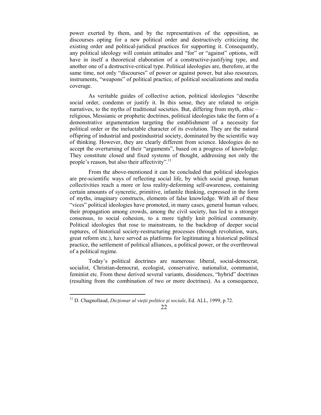power exerted by them, and by the representatives of the opposition, as discourses opting for a new political order and destructively criticizing the existing order and political-juridical practices for supporting it. Consequently, any political ideology will contain attitudes and "for" or "against" options, will have in itself a theoretical elaboration of a constructive-justifying type, and another one of a destructive-critical type. Political ideologies are, therefore, at the same time, not only "discourses" of power or against power, but also resources, instruments, "weapons" of political practice, of political socializations and media coverage.

As veritable guides of collective action, political ideologies "describe social order, condemn or justify it. In this sense, they are related to origin narratives, to the myths of traditional societies. But, differing from myth, ethic – religious, Messianic or prophetic doctrines, political ideologies take the form of a demonstrative argumentation targeting the establishment of a necessity for political order or the ineluctable character of its evolution. They are the natural offspring of industrial and postindustrial society, dominated by the scientific way of thinking. However, they are clearly different from science. Ideologies do no accept the overturning of their "arguments", based on a progress of knowledge. They constitute closed and fixed systems of thought, addressing not only the people's reason, but also their affectivity".<sup>11</sup>

From the above-mentioned it can be concluded that political ideologies are pre-scientific ways of reflecting social life, by which social group, human collectivities reach a more or less reality-deforming self-awareness, containing certain amounts of syncretic, primitive, infantile thinking, expressed in the form of myths, imaginary constructs, elements of false knowledge. With all of these "vices" political ideologies have promoted, in many cases, general human values; their propagation among crowds, among the civil society, has led to a stronger consensus, to social cohesion, to a more tightly knit political community. Political ideologies that rose to mainstream, to the backdrop of deeper social ruptures, of historical society-restructuring processes (through revolution, wars, great reform etc.), have served as platforms for legitimating a historical political practice, the settlement of political alliances, a political power, or the overthrowal of a political regime.

Today's political doctrines are numerous: liberal, social-democrat, socialist, Christian-democrat, ecologist, conservative, nationalist, communist, feminist etc. From these derived several variants, dissidences, "hybrid" doctrines (resulting from the combination of two or more doctrines). As a consequence,

 $\overline{a}$ 

<sup>&</sup>lt;sup>11</sup> D. Chagnollaud, *Dicționar al vieții politice și sociale*, Ed. ALL, 1999, p.72.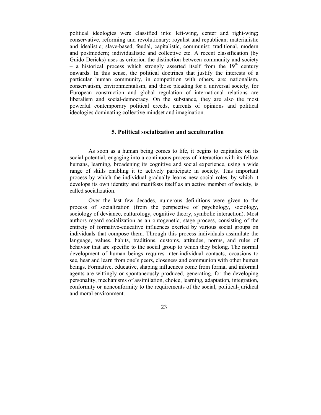political ideologies were classified into: left-wing, center and right-wing; conservative, reforming and revolutionary; royalist and republican; materialistic and idealistic; slave-based, feudal, capitalistic, communist; traditional, modern and postmodern; individualistic and collective etc. A recent classification (by Guido Dericks) uses as criterion the distinction between community and society – a historical process which strongly asserted itself from the  $19<sup>th</sup>$  century onwards. In this sense, the political doctrines that justify the interests of a particular human community, in competition with others, are: nationalism, conservatism, environmentalism, and those pleading for a universal society, for European construction and global regulation of international relations are liberalism and social-democracy. On the substance, they are also the most powerful contemporary political creeds, currents of opinions and political ideologies dominating collective mindset and imagination.

#### **5. Political socialization and acculturation**

As soon as a human being comes to life, it begins to capitalize on its social potential, engaging into a continuous process of interaction with its fellow humans, learning, broadening its cognitive and social experience, using a wide range of skills enabling it to actively participate in society. This important process by which the individual gradually learns new social roles, by which it develops its own identity and manifests itself as an active member of society, is called socialization.

Over the last few decades, numerous definitions were given to the process of socialization (from the perspective of psychology, sociology, sociology of deviance, culturology, cognitive theory, symbolic interaction). Most authors regard socialization as an ontogenetic, stage process, consisting of the entirety of formative-educative influences exerted by various social groups on individuals that compose them. Through this process individuals assimilate the language, values, habits, traditions, customs, attitudes, norms, and rules of behavior that are specific to the social group to which they belong. The normal development of human beings requires inter-individual contacts, occasions to see, hear and learn from one's peers, closeness and communion with other human beings. Formative, educative, shaping influences come from formal and informal agents are wittingly or spontaneously produced, generating, for the developing personality, mechanisms of assimilation, choice, learning, adaptation, integration, conformity or nonconformity to the requirements of the social, political-juridical and moral environment.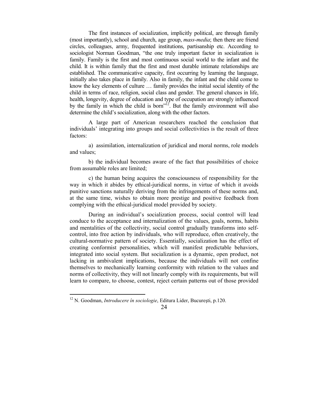The first instances of socialization, implicitly political, are through family (most importantly), school and church, age group, *mass-media*; then there are friend circles, colleagues, army, frequented institutions, partisanship etc. According to sociologist Norman Goodman, "the one truly important factor in socialization is family. Family is the first and most continuous social world to the infant and the child. It is within family that the first and most durable intimate relationships are established. The communicative capacity, first occurring by learning the language, initially also takes place in family. Also in family, the infant and the child come to know the key elements of culture … family provides the initial social identity of the child in terms of race, religion, social class and gender. The general chances in life, health, longevity, degree of education and type of occupation are strongly influenced by the family in which the child is born"<sup>12</sup>. But the family environment will also determine the child's socialization, along with the other factors.

A large part of American researchers reached the conclusion that individuals' integrating into groups and social collectivities is the result of three factors:

a) assimilation, internalization of juridical and moral norms, role models and values;

b) the individual becomes aware of the fact that possibilities of choice from assumable roles are limited;

c) the human being acquires the consciousness of responsibility for the way in which it abides by ethical-juridical norms, in virtue of which it avoids punitive sanctions naturally deriving from the infringements of these norms and, at the same time, wishes to obtain more prestige and positive feedback from complying with the ethical-juridical model provided by society.

During an individual's socialization process, social control will lead conduce to the acceptance and internalization of the values, goals, norms, habits and mentalities of the collectivity, social control gradually transforms into selfcontrol, into free action by individuals, who will reproduce, often creatively, the cultural-normative pattern of society. Essentially, socialization has the effect of creating conformist personalities, which will manifest predictable behaviors, integrated into social system. But socialization is a dynamic, open product, not lacking in ambivalent implications, because the individuals will not confine themselves to mechanically learning conformity with relation to the values and norms of collectivity, they will not linearly comply with its requirements, but will learn to compare, to choose, contest, reject certain patterns out of those provided

 $\overline{a}$ 

<sup>12</sup> N. Goodman, *Introducere în sociologie*, Editura Lider, Bucureşti, p.120.

<sup>24</sup>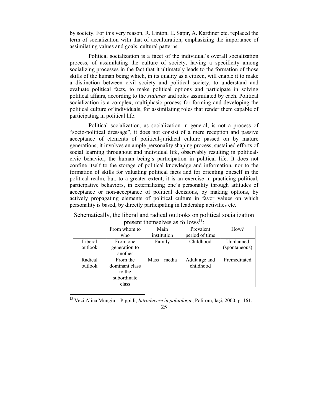by society. For this very reason, R. Linton, E. Sapir, A. Kardiner etc. replaced the term of socialization with that of acculturation, emphasizing the importance of assimilating values and goals, cultural patterns.

Political socialization is a facet of the individual's overall socialization process, of assimilating the culture of society, having a specificity among socializing processes in the fact that it ultimately leads to the formation of those skills of the human being which, in its quality as a citizen, will enable it to make a distinction between civil society and political society, to understand and evaluate political facts, to make political options and participate in solving political affairs, according to the *statuses* and roles assimilated by each. Political socialization is a complex, multiphasic process for forming and developing the political culture of individuals, for assimilating roles that render them capable of participating in political life.

Political socialization, as socialization in general, is not a process of "socio-political dressage", it does not consist of a mere reception and passive acceptance of elements of political-juridical culture passed on by mature generations; it involves an ample personality shaping process, sustained efforts of social learning throughout and individual life, observably resulting in politicalcivic behavior, the human being's participation in political life. It does not confine itself to the storage of political knowledge and information, nor to the formation of skills for valuating political facts and for orienting oneself in the political realm, but, to a greater extent, it is an exercise in practicing political, participative behaviors, in externalizing one's personality through attitudes of acceptance or non-acceptance of political decisions, by making options, by actively propagating elements of political culture in favor values on which personality is based, by directly participating in leadership activities etc.

|         | From whom to   | Main         | Prevalent      | How?          |
|---------|----------------|--------------|----------------|---------------|
|         | who            | institution  | period of time |               |
| Liberal | From one       | Family       | Childhood      | Unplanned     |
| outlook | generation to  |              |                | (spontaneous) |
|         | another        |              |                |               |
| Radical | From the       | Mass – media | Adult age and  | Premeditated  |
| outlook | dominant class |              | childhood      |               |
|         | to the         |              |                |               |
|         | subordinate    |              |                |               |
|         | class          |              |                |               |

Schematically, the liberal and radical outlooks on political socialization present themselves as follows $^{13}$ :

<sup>13</sup> Vezi Alina Mungiu – Pippidi, *Introducere în politologie*, Polirom, Iaşi, 2000, p. 161.

 $\overline{a}$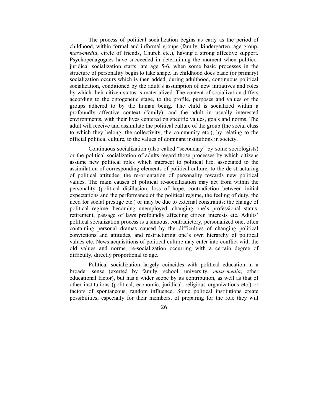The process of political socialization begins as early as the period of childhood, within formal and informal groups (family, kindergarten, age group, *mass-media*, circle of friends, Church etc.), having a strong affective support. Psychopedagogues have succeeded in determining the moment when politicojuridical socialization starts: ate age 5-6, when some basic processes in the structure of personality begin to take shape. In childhood does basic (or primary) socialization occurs which is then added, during adulthood, continuous political socialization, conditioned by the adult's assumption of new initiatives and roles by which their citizen status is materialized. The content of socialization differs according to the ontogenetic stage, to the profile, purposes and values of the groups adhered to by the human being. The child is socialized within a profoundly affective context (family), and the adult in usually interested environments, with their lives centered on specific values, goals and norms. The adult will receive and assimilate the political culture of the group (the social class to which they belong, the collectivity, the community etc.), by relating to the official political culture, to the values of dominant institutions in society.

Continuous socialization (also called "secondary" by some sociologists) or the political socialization of adults regard those processes by which citizens assume new political roles which intersect to political life, associated to the assimilation of corresponding elements of political culture, to the de-structuring of political attitudes, the re-orientation of personality towards new political values. The main causes of political re-socialization may act from within the personality (political disillusion, loss of hope, contradiction between initial expectations and the performance of the political regime, the feeling of duty, the need for social prestige etc.) or may be due to external constraints: the change of political regime, becoming unemployed, changing one's professional status, retirement, passage of laws profoundly affecting citizen interests etc. Adults' political socialization process is a sinuous, contradictory, personalized one, often containing personal dramas caused by the difficulties of changing political convictions and attitudes, and restructuring one's own hierarchy of political values etc. News acquisitions of political culture may enter into conflict with the old values and norms, re-socialization occurring with a certain degree of difficulty, directly proportional to age.

Political socialization largely coincides with political education in a broader sense (exerted by family, school, university, *mass-media*, other educational factor), but has a wider scope by its contribution, as well as that of other institutions (political, economic, juridical, religious organizations etc.) or factors of spontaneous, random influence. Some political institutions create possibilities, especially for their members, of preparing for the role they will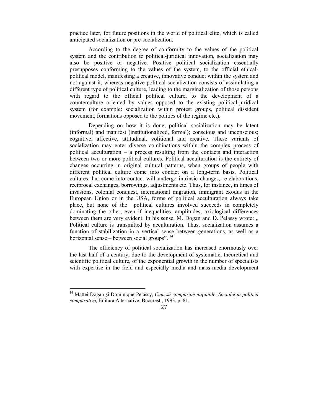practice later, for future positions in the world of political elite, which is called anticipated socialization or pre-socialization.

According to the degree of conformity to the values of the political system and the contribution to political-juridical innovation, socialization may also be positive or negative. Positive political socialization essentially presupposes conforming to the values of the system, to the official ethicalpolitical model, manifesting a creative, innovative conduct within the system and not against it, whereas negative political socialization consists of assimilating a different type of political culture, leading to the marginalization of those persons with regard to the official political culture, to the development of a counterculture oriented by values opposed to the existing political-juridical system (for example: socialization within protest groups, political dissident movement, formations opposed to the politics of the regime etc.).

Depending on how it is done, political socialization may be latent (informal) and manifest (institutionalized, formal); conscious and unconscious; cognitive, affective, attitudinal, volitional and creative. These variants of socialization may enter diverse combinations within the complex process of political acculturation  $-$  a process resulting from the contacts and interaction between two or more political cultures. Political acculturation is the entirety of changes occurring in original cultural patterns, when groups of people with different political culture come into contact on a long-term basis. Political cultures that come into contact will undergo intrinsic changes, re-elaborations, reciprocal exchanges, borrowings, adjustments etc. Thus, for instance, in times of invasions, colonial conquest, international migration, immigrant exodus in the European Union or in the USA, forms of political acculturation always take place, but none of the political cultures involved succeeds in completely dominating the other, even if inequalities, amplitudes, axiological differences between them are very evident. In his sense, M. Dogan and D. Pelassy wrote:  $\ldots$ Political culture is transmitted by acculturation. Thus, socialization assumes a function of stabilization in a vertical sense between generations, as well as a horizontal sense – between social groups". <sup>14</sup>

The efficiency of political socialization has increased enormously over the last half of a century, due to the development of systematic, theoretical and scientific political culture, of the exponential growth in the number of specialists with expertise in the field and especially media and mass-media development

 $\overline{a}$ 



<sup>&</sup>lt;sup>14</sup> Mattei Dogan și Dominique Pelassy, Cum să comparăm națiunile. Sociologia politică *comparativă,* Editura Alternative, Bucureşti, 1993, p. 81*.*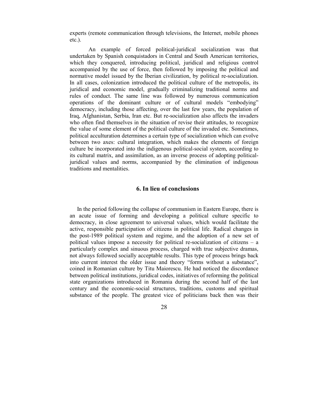experts (remote communication through televisions, the Internet, mobile phones etc.).

An example of forced political-juridical socialization was that undertaken by Spanish conquistadors in Central and South American territories, which they conquered, introducing political, juridical and religious control accompanied by the use of force, then followed by imposing the political and normative model issued by the Iberian civilization, by political re-socialization. In all cases, colonization introduced the political culture of the metropolis, its juridical and economic model, gradually criminalizing traditional norms and rules of conduct. The same line was followed by numerous communication operations of the dominant culture or of cultural models "embodying" democracy, including those affecting, over the last few years, the population of Iraq, Afghanistan, Serbia, Iran etc. But re-socialization also affects the invaders who often find themselves in the situation of revise their attitudes, to recognize the value of some element of the political culture of the invaded etc. Sometimes, political acculturation determines a certain type of socialization which can evolve between two axes: cultural integration, which makes the elements of foreign culture be incorporated into the indigenous political-social system, according to its cultural matrix, and assimilation, as an inverse process of adopting politicaljuridical values and norms, accompanied by the elimination of indigenous traditions and mentalities.

#### **6. In lieu of conclusions**

In the period following the collapse of communism in Eastern Europe, there is an acute issue of forming and developing a political culture specific to democracy, in close agreement to universal values, which would facilitate the active, responsible participation of citizens in political life. Radical changes in the post-1989 political system and regime, and the adoption of a new set of political values impose a necessity for political re-socialization of citizens – a particularly complex and sinuous process, charged with true subjective dramas, not always followed socially acceptable results. This type of process brings back into current interest the older issue and theory "forms without a substance", coined in Romanian culture by Titu Maiorescu. He had noticed the discordance between political institutions, juridical codes, initiatives of reforming the political state organizations introduced in Romania during the second half of the last century and the economic-social structures, traditions, customs and spiritual substance of the people. The greatest vice of politicians back then was their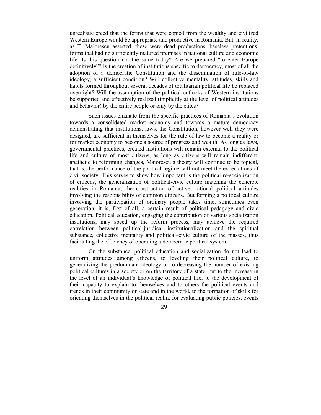unrealistic creed that the forms that were copied from the wealthy and civilized Western Europe would be appropriate and productive in Romania. But, in reality, as T. Maiorescu asserted, these were dead productions, baseless pretentions, forms that had no sufficiently matured premises in national culture and economic life. Is this question not the same today? Are we prepared "to enter Europe definitively"? Is the creation of institutions specific to democracy, most of all the adoption of a democratic Constitution and the dissemination of rule-of-law ideology, a sufficient condition? Will collective mentality, attitudes, skills and habits formed throughout several decades of totalitarian political life be replaced overnight? Will the assumption of the political outlooks of Western institutions be supported and effectively realized (implicitly at the level of political attitudes and behavior) by the entire people or only by the elites?

Such issues emanate from the specific practices of Romania's evolution towards a consolidated market economy and towards a mature democracy demonstrating that institutions, laws, the Constitution, however well they were designed, are sufficient in themselves for the rule of law to become a reality or for market economy to become a source of progress and wealth. As long as laws, governmental practices, created institutions will remain external to the political life and culture of most citizens, as long as citizens will remain indifferent, apathetic to reforming changes, Maiorescu's theory will continue to be topical, that is, the performance of the political regime will not meet the expectations of civil society. This serves to show how important is the political re-socialization of citizens, the generalization of political-civic culture matching the concrete realities in Romania, the construction of active, rational political attitudes involving the responsibility of common citizens. But forming a political culture involving the participation of ordinary people takes time, sometimes even generation; it is, first of all, a certain result of political pedagogy and civic education. Political education, engaging the contribution of various socialization institutions, may speed up the reform process, may achieve the required correlation between political-juridical institutionalization and the spiritual substance, collective mentality and political–civic culture of the masses, thus facilitating the efficiency of operating a democratic political system.

On the substance, political education and socialization do not lead to uniform attitudes among citizens, to leveling their political culture, to generalizing the predominant ideology or to decreasing the number of existing political cultures in a society or on the territory of a state, but to the increase in the level of an individual's knowledge of political life, to the development of their capacity to explain to themselves and to others the political events and trends in their community or state and in the world, to the formation of skills for orienting themselves in the political realm, for evaluating public policies, events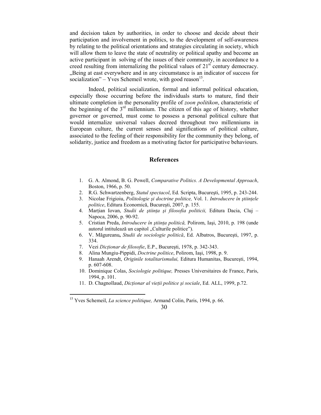and decision taken by authorities, in order to choose and decide about their participation and involvement in politics, to the development of self-awareness by relating to the political orientations and strategies circulating in society, which will allow them to leave the state of neutrality or political apathy and become an active participant in solving of the issues of their community, in accordance to a creed resulting from internalizing the political values of  $21<sup>st</sup>$  century democracy. . Being at east everywhere and in any circumstance is an indicator of success for socialization" – Yves Schemeil wrote, with good reason<sup>15</sup>.

Indeed, political socialization, formal and informal political education, especially those occurring before the individuals starts to mature, find their ultimate completion in the personality profile of *zoon politikon*, characteristic of the beginning of the  $3<sup>rd</sup>$  millennium. The citizen of this age of history, whether governor or governed, must come to possess a personal political culture that would internalize universal values decreed throughout two millenniums in European culture, the current senses and significations of political culture, associated to the feeling of their responsibility for the community they belong, of solidarity, justice and freedom as a motivating factor for participative behaviours.

#### **References**

- 1. G. A. Almond, B. G. Powell, *Comparative Politics. A Developmental Approach*, Boston, 1966, p. 50.
- 2. R.G. Schwartzenberg, *Statul spectacol*, Ed. Scripta, Bucureşti, 1995, p. 243-244.
- 3. Nicolae Frigioiu, *Politologie și doctrine politice*, Vol. 1. *Introducere în științele politice*, Editura Economică, Bucureşti, 2007, p. 155.
- 4. Marțian Iovan, *Studii de știința și filosofia politicii*, Editura Dacia, Cluj Napoca, 2006, p. 90-92.
- 5. Cristian Preda, *Introducere în știința politică*, Polirom, Iași, 2010, p. 198 (unde autorul intitulează un capitol "Culturile politice").
- 6. V. Măgureanu**,** *Studii de sociologie politică*, Ed. Albatros, Bucureşti, 1997, p. 334.
- 7. Vezi Dicționar de filosofie, E.P., București, 1978, p. 342-343.
- 8. Alina Mungiu-Pippidi, *Doctrine politice*, Polirom, Iaşi, 1998, p. 9.
- 9. Hanaah Arendt, *Originile totalitarismului,* Editura Humanitas, Bucureşti, 1994, p. 607-608.
- 10. Dominique Colas, *Sociologie politique,* Presses Universitaires de France, Paris, 1994, p. 101.
- 11. D. Chagnollaud, *Dicționar al vieții politice și sociale*, Ed. ALL, 1999, p.72.

 $\overline{a}$ 

<sup>15</sup> Yves Schemeil, *La science politique,* Armand Colin, Paris, 1994, p. 66.

<sup>30</sup>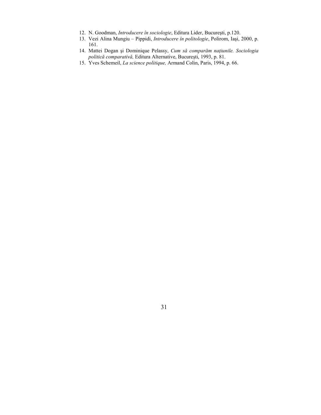- 12. N. Goodman, *Introducere în sociologie*, Editura Lider, Bucureşti, p.120.
- 13. Vezi Alina Mungiu Pippidi, *Introducere în politologie*, Polirom, Iaşi, 2000, p. 161.
- 14. Mattei Dogan și Dominique Pelassy, Cum să comparăm națiunile. Sociologia *politică comparativă,* Editura Alternative, Bucureşti, 1993, p. 81.
- 15. Yves Schemeil, *La science politique,* Armand Colin, Paris, 1994, p. 66.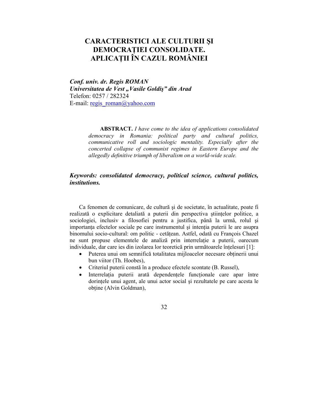# **CARACTERISTICI ALE CULTURII ŞI DEMOCRATIEI CONSOLIDATE. APLICAłII ÎN CAZUL ROMÂNIEI**

*Conf. univ. dr. Regis ROMAN Universitatea de Vest "Vasile Goldiş" din Arad* Telefon: 0257 / 282324 E-mail: regis\_roman@yahoo.com

> **ABSTRACT.** *I have come to the idea of applications consolidated democracy in Romania: political party and cultural politics, communicative roll and sociologic mentality. Especially after the concerted collapse of communist regimes in Eastern Europe and the allegedly definitive triumph of liberalism on a world-wide scale.*

#### *Keywords: consolidated democracy, political science, cultural politics, institutions.*

Ca fenomen de comunicare, de cultură şi de societate, în actualitate, poate fi realizată o explicitare detaliată a puterii din perspectiva științelor politice, a sociologiei, inclusiv a filosofiei pentru a justifica, până la urmă, rolul şi importanța efectelor sociale pe care instrumentul și intenția puterii le are asupra binomului socio-cultural: om politic - cetățean. Astfel, odată cu François Chazel ne sunt propuse elementele de analiză prin interrelație a puterii, oarecum individuale, dar care ies din izolarea lor teoretică prin următoarele înțelesuri [1]:

- Puterea unui om semnifică totalitatea mijloacelor necesare obținerii unui bun viitor (Th. Hoobes),
- Criteriul puterii constă în a produce efectele scontate (B. Russel),
- Interrelația puterii arată dependențele funcționale care apar între dorințele unui agent, ale unui actor social și rezultatele pe care acesta le obtine (Alvin Goldman),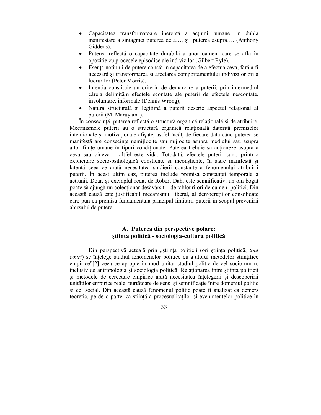- Capacitatea transformatoare inerentă a acțiunii umane, în dubla manifestare a sintagmei puterea de a…, şi puterea asupra…. (Anthony Giddens),
- Puterea reflectă o capacitate durabilă a unor oameni care se află în opoziție cu procesele episodice ale indivizilor (Gilbert Ryle),
- Esenta notiunii de putere constă în capacitatea de a efectua ceva, fără a fi necesară şi transformarea şi afectarea comportamentului indivizilor ori a lucrurilor (Peter Morris),
- Intenția constituie un criteriu de demarcare a puterii, prin intermediul căreia delimităm efectele scontate ale puterii de efectele nescontate, involuntare, informale (Dennis Wrong),
- Natura structurală și legitimă a puterii descrie aspectul relațional al puterii (M. Maruyama).

În consecință, puterea reflectă o structură organică relațională și de atribuire. Mecanismele puterii au o structură organică relațională datorită premiselor intentionale și motivationale afișate, astfel încât, de fiecare dată când puterea se manifestă are consecinte nemijlocite sau mijlocite asupra mediului sau asupra altor fiinte umane în tipuri conditionate. Puterea trebuie să actioneze asupra a ceva sau cineva – altfel este vidă. Totodată, efectele puterii sunt, printr-o explicitare socio-psihologică conştiente şi inconştiente, în stare manifestă şi latentă ceea ce arată necesitatea studierii constante a fenomenului atribuirii puterii. În acest ultim caz, puterea include premisa constantei temporale a actiunii. Doar, și exemplul redat de Robert Dahl este semnificativ, un om bogat poate să ajungă un colecționar desăvârșit – de tablouri ori de oameni politici. Din această cauză este justificabil mecanismul liberal, al democrațiilor consolidate care pun ca premisă fundamentală principul limitării puterii în scopul prevenirii abuzului de putere.

#### **A. Puterea din perspective polare:**  stiinta politică - sociologia-cultura politică

Din perspectivă actuală prin "stiinta politicii (ori știința politică, *tout court*) se înțelege studiul fenomenelor politice cu ajutorul metodelor științifice empirice"[2] ceea ce apropie în mod unitar studiul politic de cel socio-uman, inclusiv de antropologia și sociologia politică. Relationarea între știința politicii si metodele de cercetare empirice arată necesitatea înțelegerii și descoperirii unităților empirice reale, purtătoare de sens și semnificatie între domeniul politic şi cel social. Din această cauză fenomenul politic poate fi analizat ca demers teoretic, pe de o parte, ca știință a procesualităților și evenimentelor politice în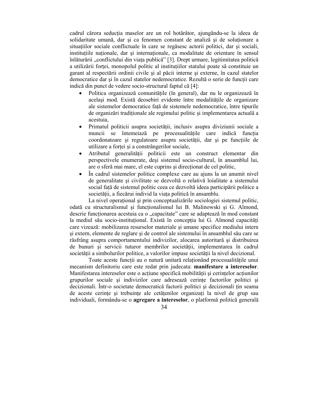cadrul cărora seducția maselor are un rol hotărâtor, ajungându-se la ideea de solidaritate umană, dar și ca fenomen constant de analiză și de soluționare a situațiilor sociale conflictuale în care se regăsesc actorii politici, dar și sociali, instituțiile naționale, dar și internaționale, ca modalitate de orientare în sensul înlăturării "conflictului din viata publică" [3]. Drept urmare, legitimitatea politică a utilizării fortei, monopolul politic al institutiilor statului poate să constituie un garant al respectării ordinii civile şi al păcii interne şi externe, în cazul statelor democratice dar și în cazul statelor nedemocratice. Rezultă o serie de funcții care indică din punct de vedere socio-structural faptul că [4]:

- Politica organizează comunitățile (în general), dar nu le organizează în acelasi mod. Există deosebiri evidente între modalitățile de organizare ale sistemelor democratice față de sistemele nedemocratice, între tipurile de organizări traditionale ale regimului politic și implementarea actuală a acestuia,
- Primatul politicii asupra societății, inclusiv asupra diviziunii sociale a muncii se întemeiază pe procesualitățile care indică funcția coordonatoare și regulatoare asupra societății, dar și pe funcțiile de utilizare a forței și a constrângerilor sociale,
- Atributul generalității politicii este un construct elementar din perspectivele enumerate, deşi sistemul socio-cultural, în ansamblul lui, are o sferă mai mare, el este cuprins și direcționat de cel politic,
- În cadrul sistemelor politice complexe care au ajuns la un anumit nivel de generalitate şi civilitate se dezvoltă o relativă loialitate a sistemului social față de sistemul politic ceea ce dezvoltă ideea participării politice a societății, a fiecărui individ la viata politică în ansamblu.

La nivel operațional și prin conceptualizările sociologiei sistemul politic, odată cu structuralismul și funcționalismul lui B. Malinowski și G. Almond, descrie funcționarea acestuia ca o "capacitate" care se adaptează în mod constant la mediul său socio-institutional. Există în conceptia lui G. Almond capacități care vizează: mobilizarea resurselor materiale şi umane specifice mediului intern şi extern, elemente de reglare şi de control ale sistemului în ansamblul său care se răsfrâng asupra comportamentului indivizilor, alocarea autoritară şi distribuirea de bunuri și servicii tuturor membrilor societății, implementarea în cadrul societății a simbolurilor politice, a valorilor impuse societății la nivel decizional.

Toate aceste functii au o natură unitară relationând procesualitătile unui mecanism definitoriu care este redat prin judecata: **manifestare a intereselor**. Manifestarea intereselor este o acțiune specifică mobilității și cerințelor acțiunilor grupurilor sociale și indivizilor care adresează cerințe factorilor politici și decizionali. Într-o societate democratică factorii politici și decizionali tin seama de aceste cerinte si trebuinte ale cetătenilor organizați la nivel de grup sau individuali, formându-se o **agregare a intereselor**, o platformă politică generală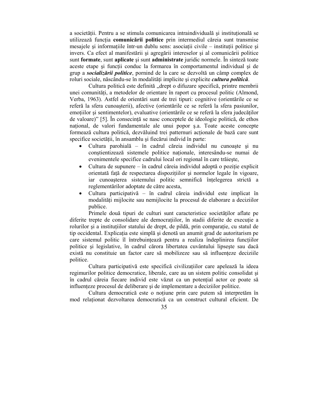a societății. Pentru a se stimula comunicarea intraindividuală și institutională se utilizează functia **comunicării politice** prin intermediul căreia sunt transmise mesajele și informațiile într-un dublu sens: asociații civile – instituții politice și invers. Ca efect al manifestării şi agregării intereselor şi al comunicării politice sunt **formate**, sunt **aplicate** şi sunt **administrate** juridic normele. În sinteză toate aceste etape si functii conduc la formarea în comportamentul individual si de grup a *socializării politice*, pornind de la care se dezvoltă un câmp complex de roluri sociale, născându-se în modalități implicite și explicite *cultura politică*.

Cultura politică este definită "drept o difuzare specifică, printre membrii unei comunități, a metodelor de orientare în raport cu procesul politic (Almond, Verba, 1963). Astfel de orientări sunt de trei tipuri: cognitive (orientările ce se referă la sfera cunoaşterii), afective (orientările ce se referă la sfera pasiunilor, emoțiilor și sentimentelor), evaluative (orientările ce se referă la sfera judecăților de valoare)" [5]. În consecintă se nasc conceptele de ideologie politică, de ethos national, de valori fundamentale ale unui popor s.a. Toate aceste concepte formează cultura politică, dezvăluind trei patternuri acționale de bază care sunt specifice societății, în ansamblu și fiecărui individ în parte:

- Cultura parohială în cadrul căreia individul nu cunoaşte şi nu conștientizează sistemele politice naționale, interesându-se numai de evenimentele specifice cadrului local ori regional în care trăieşte,
- $\bullet$  Cultura de supunere în cadrul căreia individul adoptă o poziție explicit orientată față de respectarea dispozițiilor și normelor legale în vigoare, iar cunoasterea sistemului politic semnifică întelegerea strictă a reglementărilor adoptate de către acesta,
- Cultura participativă în cadrul căreia individul este implicat în modalități mijlocite sau nemijlocite la procesul de elaborare a deciziilor publice.

Primele două tipuri de culturi sunt caracteristice societătilor aflate pe diferite trepte de consolidare ale democratiilor, în stadii diferite de executie a rolurilor și a instituțiilor statului de drept, de pildă, prin comparație, cu statul de tip occidental. Explicația este simplă și denotă un anumit grad de autoritarism pe care sistemul politic îl întrebuințează pentru a realiza îndeplinirea funcțiilor politice şi legislative, în cadrul cărora libertatea cuvântului lipseşte sau dacă există nu constituie un factor care să mobilizeze sau să influențeze deciziile politice.

Cultura participativă este specifică civilizatiilor care apelează la ideea regimurilor politice democratice, liberale, care au un sistem politic consolidat şi în cadrul căreia fiecare individ este văzut ca un potențial actor ce poate să influenteze procesul de deliberare și de implementare a deciziilor politice.

Cultura democratică este o noțiune prin care putem să interpretăm în mod relaționat dezvoltarea democratică ca un construct cultural eficient. De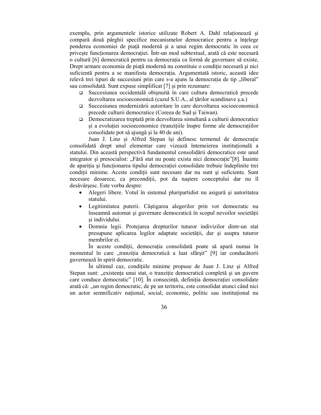exemplu, prin argumentele istorice utilizate Robert A. Dahl relationează și compară două pârghii specifice mecanismelor democratice pentru a înțelege ponderea economiei de piață modernă și a unui regim democratic în ceea ce privește funcționarea democrației. Într-un mod subtextual, arată că este necesară o cultură [6] democratică pentru ca democratia ca formă de guvernare să existe, Drept urmare economia de piată modernă nu constituie o conditie necesară și nici suficientă pentru a se manifesta democrația. Argumentată istoric, această idee relevă trei tipuri de succesiuni prin care s-a ajuns la democrația de tip "liberal" sau consolidată. Sunt expuse simplificat [7] şi prin rezumare:

- Succesiunea occidentală obişnuită în care cultura democratică precede dezvoltarea socioeconomică (cazul S.U.A., al tărilor scandinave s.a.)
- Succesiunea modernizării autoritare în care dezvoltarea socioeconomică precede culturii democratice (Coreea de Sud şi Taiwan).
- Democratizarea treptată prin dezvoltarea simultană a culturii democratice si a evolutiei socioeconomice (tranzițiile înspre forme ale democrațiilor consolidate pot să ajungă şi la 40 de ani).

Juan J. Linz și Alfred Stepan își definesc termenul de democrație consolidată drept unul elementar care vizează întemeierea instituțională a statului. Din această perspectivă fundamentul consolidării democratice este unul integrator și presocialist: "Fără stat nu poate exista nici democratie"[8]. Înainte de apariția și funcționarea tipului democrației consolidate trebuie îndeplinite trei conditii minime. Aceste conditii sunt necesare dar nu sunt și suficiente. Sunt necesare deoarece, ca precondiții, pot da naștere conceptului dar nu îl desăvârsesc. Este vorba despre:

- Alegeri libere. Votul în sistemul pluripartidist nu asigură şi autoritatea statului.
- Legitimitatea puterii. Câştigarea alegerilor prin vot democratic nu înseamnă automat și guvernare democratică în scopul nevoilor societății şi individului.
- Domnia legii. Protejarea drepturilor tuturor indivizilor dintr-un stat presupune aplicarea legilor adaptate societății, dar și asupra tuturor membrilor ei.

În aceste condiții, democrația consolidată poate să apară numai în momentul în care "tranziția democratică a luat sfârșit" [9] iar conducătorii guvernează în spirit democratic.

În ultimul caz, conditiile minime propuse de Juan J. Linz și Alfred Stepan sunt: "existenta unui stat, o tranziție democratică completă și un guvern care conduce democratic" [10]. În consecință, definiția democrației consolidate arată că: "un regim democratic, de pe un teritoriu, este consolidat atunci când nici un actor semnificativ national, social, economic, politic sau institutional nu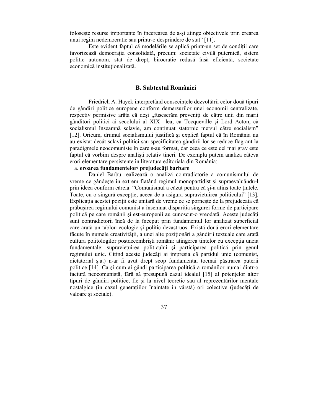foloseşte resurse importante în încercarea de a-şi atinge obiectivele prin crearea unui regim nedemocratic sau printr-o desprindere de stat" [11].

Este evident faptul că modelările se aplică printr-un set de condiții care favorizează democrația consolidată, precum: societate civilă puternică, sistem politic autonom, stat de drept, birocrație redusă însă eficientă, societate economică institutionalizată.

## **B. Subtextul României**

Friedrich A. Hayek interpretând consecintele dezvoltării celor două tipuri de gândiri politice europene conform demersurilor unei economii centralizate, respectiv permisive arăta că deși "fuseserăm preveniți de către unii din marii gânditori politici ai secolului al XIX –lea, ca Tocqueville şi Lord Acton, că socialismul înseamnă sclavie, am continuat statornic mersul către socialism" [12]. Oricum, drumul socialismului justifică şi explică faptul că în România nu au existat decât sclavi politici sau specificitatea gândirii lor se reduce flagrant la paradigmele neocomuniste în care s-au format, dar ceea ce este cel mai grav este faptul că vorbim despre analişti relativ tineri. De exemplu putem analiza câteva erori elementare persistente în literatura editorială din România:

## a. **eroarea fundamentelor/ prejudecăti barbare**

Daniel Barbu realizează o analiză contradictorie a comunismului de vreme ce gândeşte în extrem flatând regimul monopartidist şi supraevaluându-l prin ideea conform căreia: "Comunismul a căzut pentru că și-a atins toate țintele. Toate, cu o singură excepție, aceea de a asigura supraviețuirea politicului" [13]. Explicația acestei poziții este unitară de vreme ce se pornește de la prejudecata că prăbușirea regimului comunist a însemnat dispariția singurei forme de participare politică pe care românii și est-europenii au cunoscut-o vreodată. Aceste judecăti sunt contradictorii încă de la început prin fundamentul lor analizat superficial care arată un tablou ecologic şi politic dezastruos. Există două erori elementare făcute în numele creativității, a unei alte poziționări a gândirii textuale care arată cultura politologilor postdecembriști români: atingerea țintelor cu excepția uneia fundamentale: supraviețuirea politicului și participarea politică prin genul regimului unic. Citind aceste judecăti ai impresia că partidul unic (comunist, dictatorial ş.a.) n-ar fi avut drept scop fundamental tocmai păstrarea puterii politice [14]. Ca şi cum ai gândi participarea politică a românilor numai dintr-o factură neocomunistă, fără să presupună cazul idealul [15] al potentelor altor tipuri de gândiri politice, fie şi la nivel teoretic sau al reprezentărilor mentale nostalgice (în cazul generațiilor înaintate în vârstă) ori colective (judecăți de valoare şi sociale).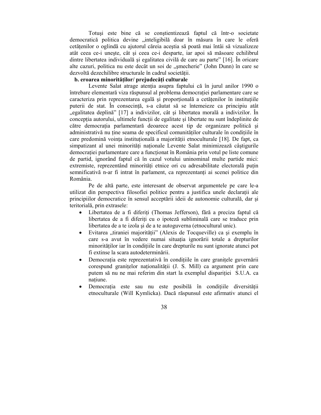Totuşi este bine că se conştientizează faptul că într-o societate democratică politica devine "inteligibilă doar în măsura în care le oferă cetățenilor o oglindă cu ajutorul căreia aceștia să poată mai întâi să vizualizeze atât ceea ce-i uneşte, cât şi ceea ce-i desparte, iar apoi să măsoare echilibrul dintre libertatea individuală şi egalitatea civilă de care au parte" [16]. În oricare alte cazuri, politica nu este decât un soi de "șmecherie" (John Dunn) în care se dezvoltă dezechilibre structurale în cadrul societății.

## **b. eroarea minorităților/ prejudecăți culturale**

Levente Salat atrage atenția asupra faptului că în jurul anilor 1990 o întrebare elementară viza răspunsul al problema democratiei parlamentare care se caracteriza prin reprezentarea egală și proportională a cetătenilor în institutiile puterii de stat. În consecință, s-a căutat să se întemeieze ca principiu atât "egalitatea deplină" [17] a indivizilor, cât și libertatea morală a indivizilor. În concepția autorului, ultimele funcții de egalitate și libertate nu sunt îndeplinite de către democrația parlamentară deoarece acest tip de organizare politică și administrativă nu ține seama de specificul comunităților culturale în condițiile în care predomină voința instituțională a majorității etnoculturale [18]. De fapt, ca simpatizant al unei minorități nationale Levente Salat minimizează câștigurile democratiei parlamentare care a functionat în România prin votul pe liste comune de partid, ignorând faptul că în cazul votului uninominal multe partide mici: extremiste, reprezentând minorități etnice ori cu adresabilitate electorală puțin semnificativă n-ar fi intrat în parlament, ca reprezentanți ai scenei politice din România.

 Pe de altă parte, este interesant de observat argumentele pe care le-a utilizat din perspectiva filosofiei politice pentru a justifica unele declarații ale principiilor democratice în sensul acceptării ideii de autonomie culturală, dar şi teritorială, prin extrasele:

- Libertatea de a fi diferiți (Thomas Jefferson), fără a preciza faptul că libertatea de a fi diferiți cu o ipoteză subliminală care se traduce prin libertatea de a te izola şi de a te autoguverna (etnocultural unic).
- Evitarea "tiraniei majorității" (Alexis de Tocqueville) ca și exemplu în care s-a avut în vedere numai situația ignorării totale a drepturilor minoritătilor iar în conditiile în care drepturile nu sunt ignorate atunci pot fi extinse la scara autodeterminării.
- Democrația este reprezentativă în condițiile în care granițele guvernării corespund granitelor nationalității (J. S. Mill) ca argument prin care putem să nu ne mai referim din start la exemplul dispariției S.U.A. ca natiune.
- Democrația este sau nu este posibilă în condițiile diversității etnoculturale (Will Kymlicka). Dacă răspunsul este afirmativ atunci el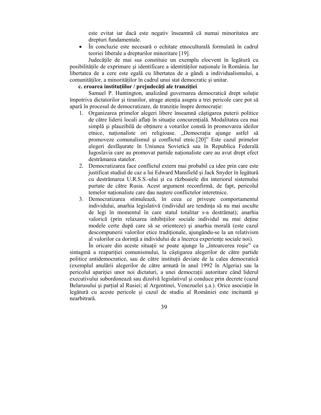este evitat iar dacă este negativ înseamnă că numai minoritatea are drepturi fundamentale.

• În concluzie este necesară o echitate etnoculturală formulată în cadrul teoriei liberale a drepturilor minoritare [19].

Judecătile de mai sus constituie un exemplu elocvent în legătură cu posibilitățile de exprimare și identificare a identităților naționale în România. Iar libertatea de a cere este egală cu libertatea de a gândi a individualismului, a comunităților, a minorităților în cadrul unui stat democratic și unitar.

## c. eroarea instituțiilor / prejudecăți ale tranziției

Samuel P. Huntington, analizând guvernarea democratică drept soluție împotriva dictatorilor și tiranilor, atrage atenția asupra a trei pericole care pot să apară în procesul de democratizare, de tranzitie înspre democratie:

- 1. Organizarea primelor alegeri libere înseamnă câştigarea puterii politice de către liderii locali aflați în situație concurențială. Modalitatea cea mai simplă și plauzibilă de obținere a voturilor constă în promovarea ideilor etnice, nationaliste ori religioase. "Democratia ajunge astfel să promoveze comunalismul şi conflictul etnic.[20]" Este cazul primelor alegeri desfăşurate în Uniunea Sovietică sau în Republica Federală Iugoslavia care au promovat partide naționaliste care au avut drept efect destrămarea statelor.
- 2. Democratizarea face conflictul extern mai probabil ca idee prin care este justificat studiul de caz a lui Edward Mansfield şi Jack Snyder în legătură cu destrămarea U.R.S.S.-ului şi cu războaiele din interiorul sistemului purtate de către Rusia. Acest argument reconfirmă, de fapt, pericolul temelor naționaliste care dau naștere conflictelor interetnice.
- 3. Democratizarea stimulează, în ceea ce priveşte comportamentul individului, anarhia legislativă (individul are tendinta să nu mai asculte de legi în momentul în care statul totalitar s-a destrămat); anarhia valorică (prin relaxarea inhibițiilor sociale individul nu mai deține modele certe după care să se orienteze) şi anarhia morală (este cazul descompunerii valorilor etice tradiționale, ajungându-se la un relativism al valorilor ca dorință a individului de a încerca experiențe sociale noi).

În oricare din aceste situații se poate ajunge la "întoarcerea roșie" ca sintagmă a reapariției comunismului, la câștigarea alegerilor de către partide politice antidemocratice, sau de către instituții deviate de la calea democratică (exemplul anulării alegerilor de către armată în anul 1992 în Algeria) sau la pericolul apariției unor noi dictaturi, a unei democrații autoritare când liderul executivului subordonează sau dizolvă legislativul şi conduce prin decrete (cazul Belarusului și parțial al Rusiei; al Argentinei, Venezuelei ș.a.). Orice asociație în legătură cu aceste pericole şi cazul de studiu al României este incitantă şi nearbitrară.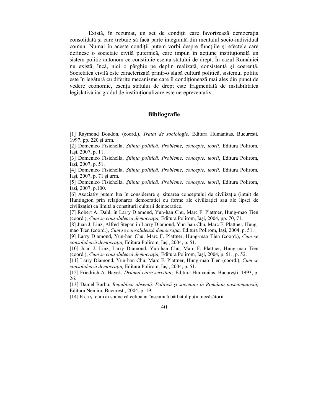Există, în rezumat, un set de condiții care favorizează democrația consolidată şi care trebuie să facă parte integrantă din mentalul socio-individual comun. Numai în aceste condiții putem vorbi despre funcțiile și efectele care definesc o societate civilă puternică, care impun în acțiune instituțională un sistem politic autonom ce constituie esenta statului de drept. În cazul României nu există, încă, nici o pârghie pe deplin realizată, consistentă şi coerentă. Societatea civilă este caracterizată printr-o slabă cultură politică, sistemul politic este în legătură cu diferite mecanisme care îl conditionează mai ales din punct de vedere economic, esența statului de drept este fragmentată de instabilitatea legislativă iar gradul de instituționalizare este nereprezentativ.

### **Bibliografie**

[1] Raymond Boudon, (coord.), *Tratat de sociologie*, Editura Humanitas, Bucureşti, 1997, pp. 220 şi urm.

[2] Domenico Fisichella, *Știința politică. Probleme, concepte, teorii*, Editura Polirom, Iaşi, 2007, p. 11.

[3] Domenico Fisichella, *Știința politică. Probleme, concepte, teorii*, Editura Polirom, Iaşi, 2007, p. 51.

[4] Domenico Fisichella, *Știința politică. Probleme, concepte, teorii*, Editura Polirom, Iaşi, 2007, p. 71 şi urm.

[5] Domenico Fisichella, *Știința politică. Probleme, concepte, teorii*, Editura Polirom, Iaşi, 2007, p.100.

[6] Asociativ putem lua în considerare și situarea conceptului de civilizație (intuit de Huntington prin relationarea democratiei cu forme ale civilizatiei sau ale lipsei de civilizație) ca limită a constiturii culturii democratice.

[7] Robert A. Dahl, în Larry Diamond, Yun-han Chu, Marc F. Plattner, Hung-mao Tien (coord.), *Cum se consolidează democrația*, Editura Polirom, Iași, 2004, pp. 70, 71.

[8] Juan J. Linz, Alfred Stepan în Larry Diamond, Yun-han Chu, Marc F. Plattner, Hungmao Tien (coord.), *Cum se consolidează democrația*, Editura Polirom, Iași, 2004, p. 51.

[9] Larry Diamond, Yun-han Chu, Marc F. Plattner, Hung-mao Tien (coord.), *Cum se*  consolidează democrația, Editura Polirom, Iași, 2004, p. 51.

[10] Juan J. Linz, Larry Diamond, Yun-han Chu, Marc F. Plattner, Hung-mao Tien (coord.), *Cum se consolidează democratia*, Editura Polirom, Iași, 2004, p. 51., p. 52.

[11] Larry Diamond, Yun-han Chu, Marc F. Plattner, Hung-mao Tien (coord.), *Cum se consolidează democrația, Editura Polirom, Iași, 2004, p. 51.* 

[12] Friedrich A. Hayek, *Drumul către servitute,* Editura Humanitas, Bucureşti, 1993, p. 26.

[13] Daniel Barbu, *Republica absentă. Politică şi societate în România postcomunistă,*  Editura Nemira, Bucureşti, 2004, p. 19.

 $[14]$  E ca și cum ai spune că celibatar înseamnă bărbatul puțin necăsătorit.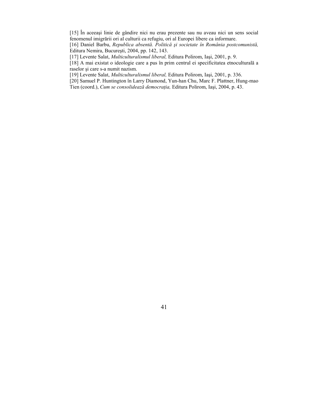[15] În aceeaşi linie de gândire nici nu erau prezente sau nu aveau nici un sens social fenomenul imigrării ori al culturii ca refugiu, ori al Europei libere ca informare.

[16] Daniel Barbu, *Republica absentă. Politică şi societate în România postcomunistă,*  Editura Nemira, Bucureşti, 2004, pp. 142, 143.

[17] Levente Salat, *Multiculturalismul liberal,* Editura Polirom, Iaşi, 2001, p. 9.

[18] A mai existat o ideologie care a pus în prim centrul ei specificitatea etnoculturală a raselor şi care s-a numit nazism.

[19] Levente Salat, *Multiculturalismul liberal,* Editura Polirom, Iaşi, 2001, p. 336.

[20] Samuel P. Huntington în Larry Diamond, Yun-han Chu, Marc F. Plattner, Hung-mao

Tien (coord.), *Cum se consolidează democrația*, Editura Polirom, Iași, 2004, p. 43.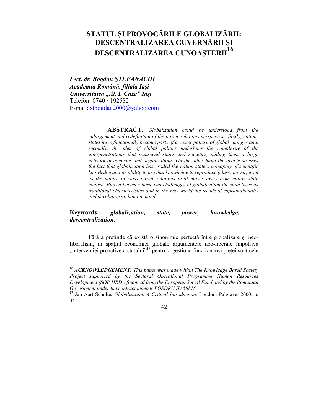# **STATUL ŞI PROVOCĂRILE GLOBALIZĂRII: DESCENTRALIZAREA GUVERNĂRII ŞI DESCENTRALIZAREA CUNOAŞTERII<sup>16</sup>**

*Lect. dr. Bogdan ŞTEFANACHI Academia Română, filiala Iaşi Universitatea "Al. I. Cuza" Iaşi*  Telefon: 0740 / 192582 E-mail: stbogdan2000@yahoo.com

 $\overline{a}$ 

**ABSTRACT**. *Globalization could be understood from the enlargement and redefinition of the power relations perspective: firstly, nationstates have functionally became parts of a vaster pattern of global changes and, secondly, the idea of global politics underlines the complexity of the interpenetrations that transcend states and societies, adding them a large network of agencies and organizations. On the other hand the article stresses the fact that globalization has eroded the nation state's monopoly of scientific knowledge and its ability to use that knowledge to reproduce (class) power, even as the nature of class power relations itself moves away from nation state control. Placed between these two challenges of globalization the state loses its traditional characteristics and in the new world the trends of supranationality and devolution go hand in hand.*

# **Keywords:** *globalization, state, power, knowledge, descentralization.*

Fără a pretinde că există o sinonimie perfectă între globalizare şi neoliberalism, în spațiul economiei globale argumentele neo-liberale împotriva  $...$ intervenției proactive a statului $"$ <sup>17</sup> pentru a gestiona funcționarea pieței sunt cele

<sup>16</sup> *ACKNOWLEDGEMENT: This paper was made within The Knowledge Based Society Project supported by the Sectoral Operational Programme Human Resources Development (SOP HRD), financed from the European Social Fund and by the Romanian Government under the contract number POSDRU ID 56815.*

<sup>17</sup> Jan Aart Scholte, *Globalization. A Critical Introduction,* London: Palgrave, 2000, p. 34.

<sup>42</sup>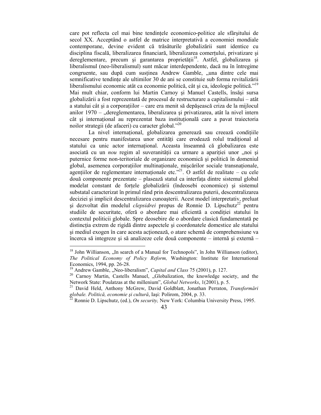care pot reflecta cel mai bine tendintele economico-politice ale sfârșitului de secol XX. Acceptând o astfel de matrice interpretativă a economiei mondiale contemporane, devine evident că trăsăturile globalizării sunt identice cu disciplina fiscală, liberalizarea financiară, liberalizarea comerțului, privatizare și dereglementare, precum și garantarea proprietății<sup>18</sup>. Astfel, globalizarea și liberalismul (neo-liberalismul) sunt măcar interdependente, dacă nu în întregime congruente, sau după cum sustinea Andrew Gamble, "una dintre cele mai semnificative tendințe ale ultimilor 30 de ani se constituie sub forma revitalizării liberalismului economic atât ca economie politică, cât și ca, ideologie politică.<sup>19</sup> Mai mult chiar, conform lui Martin Carnoy şi Manuel Castells, însăşi sursa globalizării a fost reprezentată de procesul de restructurare a capitalismului – atât a statului cât și a corporațiilor – care era menit să depășească criza de la mijlocul anilor 1970 – "dereglementarea, liberalizarea și privatizarea, atât la nivel intern cât și international au reprezentat baza institutională care a pavat traiectoria noilor strategii (de afaceri) cu caracter global."<sup>20</sup>

La nivel internațional, globalizarea generează sau creează condițiile necesare pentru manifestarea unor entități care erodează rolul tradițional al statului ca unic actor internațional. Aceasta înseamnă că globalizarea este asociată cu un *nou* regim al suveranității ca urmare a apariției unor "noi și puternice forme non-teritoriale de organizare economică şi politică în domeniul global, asemenea corporațiilor multinaționale, mișcărilor sociale transnaționale, agentiilor de reglementare internationale etc."<sup>21</sup>. O astfel de realitate – cu cele două componente prezentate – plasează statul ca interfața dintre sistemul global modelat constant de fortele globalizării (îndeosebi economice) și sistemul substatal caracterizat în primul rând prin descentralizarea puterii, descentralizarea deciziei şi implicit descentralizarea cunoaşterii. Acest model interpretativ, preluat şi dezvoltat din modelul *clepsidrei* propus de Ronnie D. Lipschutz<sup>22</sup> pentru studiile de securitate, oferă o abordare mai eficientă a condiției statului în contextul politicii globale. Spre deosebire de o abordare clasică fundamentată pe distinctia extrem de rigidă dintre aspectele și coordonatele domestice ale statului și mediul exogen în care acesta acționează, o atare schemă de comprehensiune va încerca să integreze şi să analizeze cele două componente – internă şi externă –

l

 $18$  John Willianson, "In search of a Manual for Technopols", în John Willianson (editor), *The Political Economy of Policy Reform,* Washington: Institute for International Economics, 1994, pp. 26-28.

<sup>&</sup>lt;sup>19</sup> Andrew Gamble, "Neo-liberalism", *Capital and Class 75* (2001), p. 127.

<sup>&</sup>lt;sup>20</sup> Carnoy Martin, Castells Manuel, "Globalization, the knowledge society, and the Network State: Poulatzas at the millenium", *Global Networks*, 1(2001), p. 5.

<sup>21</sup> David Held, Anthony McGrew, David Goldblatt, Jonathan Perraton, *Transformări globale. Politică, economie şi cultură*, Iaşi: Polirom, 2004, p. 33.

<sup>22</sup> Ronnie D. Lipschutz, (ed.), *On security,* New York: Columbia University Press, 1995.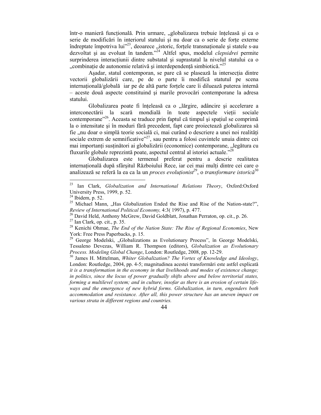într-o manieră funcțională. Prin urmare, "globalizarea trebuie înțeleasă și ca o serie de modificări în interiorul statului și nu doar ca o serie de forțe externe îndreptate împotriva lui"<sup>23</sup>, deoarece "istoric, forțele transnaționale și statele s-au dezvoltat şi au evoluat în tandem."<sup>24</sup> Altfel spus, modelul *clepsidrei* permite surprinderea interacțiunii dintre substatal și suprastatal la nivelul statului ca o ". combinatie de autonomie relativă și interdependență simbiotică.<sup>225</sup>

Asadar, statul contemporan, se pare că se plasează la intersecția dintre vectorii globalizării care, pe de o parte îi modifică statutul pe scena internațională/globală iar pe de altă parte forțele care îi diluează puterea internă – aceste două aspecte constituind şi marile provocări contemporane la adresa statului.

Globalizarea poate fi înțeleasă ca o "lărgire, adâncire și accelerare a interconectării la scară mondială în toate aspectele vieții sociale contemporane"<sup>26</sup>. Aceasta se traduce prin faptul că timpul și spațiul se comprimă la o intensitate şi în moduri fără precedent, fapt care proiectează globalizarea să fie "nu doar o simplă teorie socială ci, mai curând o descriere a unei noi realități sociale extrem de semnificative"<sup>27</sup>, sau pentru a folosi cuvintele unuia dintre cei mai importanți susținători ai globalizării (economice) contemporane, "legătura cu fluxurile globale reprezintă poate, aspectul central al istoriei actuale.<sup>528</sup>

Globalizarea este termenul preferat pentru a descrie realitatea internațională după sfârșitul Războiului Rece, iar cei mai mulți dintre cei care o analizează se referă la ea ca la un *proces evoluționist<sup>29</sup>*, o *transformare istorică*<sup>30</sup>

 $\overline{a}$ 

<sup>23</sup> Ian Clark, *Globalization and International Relations Theory*, Oxford:Oxford University Press, 1999, p. 52.

 $^{24}$  Ibidem, p. 52.

<sup>&</sup>lt;sup>25</sup> Michael Mann, "Has Globalization Ended the Rise and Rise of the Nation-state?", *Review of International Political Economy,* 4:3( 1997), p. 477.

<sup>&</sup>lt;sup>26</sup> David Held, Anthony McGrew, David Goldblatt, Jonathan Perraton, op. cit., p. 26.

 $^{27}$  Ian Clark, op. cit., p. 35.

<sup>28</sup> Kenichi Ohmae, *The End of the Nation State: The Rise of Regional Economies*, New York: Free Press Paperbacks, p. 15.

<sup>&</sup>lt;sup>29</sup> George Modelski, "Globalizations as Evolutionary Process", în George Modelski, Tessaleno Devezas, William R. Thompson (editors), *Globalization as Evolutionary Process. Modeling Global Change*, London: Routledge, 2008, pp. 12-29.

<sup>30</sup> James H. Mittelman, *Whiter Globalization? The Vortex of Knowledge and Ideology*, London: Routledge, 2004, pp. 4-5; magnitudinea acestei transformări este astfel explicată *it is a transformation in the economy in that livelihoods and modes of existence change; in politics, since the locus of power gradually shifts above and below territorial states, forming a multilevel system; and in culture, insofar as there is an erosion of certain lifeways and the emergence of new hybrid forms. Globalization, in turn, engenders both accommodation and resistance. After all, this power structure has an uneven impact on various strata in different regions and countries.*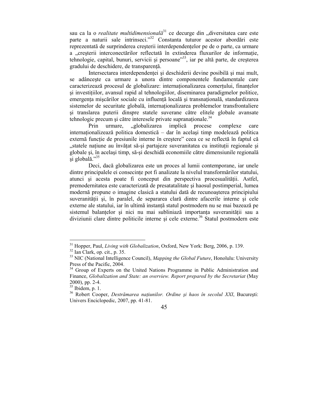sau ca la o *realitate multidimensională*<sup>31</sup> ce decurge din "diversitatea care este parte a naturii sale intrinseci."<sup>32</sup> Constanta tuturor acestor abordări este reprezentată de surprinderea creșterii interdependențelor pe de o parte, ca urmare a "creșterii interconectărilor reflectată în extinderea fluxurilor de informație, tehnologie, capital, bunuri, servicii și persoane<sup>33</sup>, iar pe altă parte, de creșterea gradului de deschidere, de transparentă.

Intersectarea interdependenței și deschiderii devine posibilă și mai mult, se adânceşte ca urmare a unora dintre componentele fundamentale care caracterizează procesul de globalizare: internaționalizarea comerțului, finanțelor si investitiilor, avansul rapid al tehnologiilor, diseminarea paradigmelor politice, emergenta miscărilor sociale cu influență locală și transnatională, standardizarea sistemelor de securitate globală, internaționalizarea problemelor transfrontaliere şi translarea puterii dinspre statele suverane către elitele globale avansate tehnologic precum și către interesele private supranaționale.<sup>34</sup>

Prin urmare, "globalizarea implică procese complexe care internaționalizează politica domestică – dar în același timp modelează politica externă funcție de presiunile interne în creștere" ceea ce se reflectă în faptul că "statele națiune au învățat să-și partajeze suveranitatea cu instituții regionale și globale şi, în acelaşi timp, să-şi deschidă economiile către dimensiunile regională şi globală."<sup>35</sup>

Deci, dacă globalizarea este un proces al lumii contemporane, iar unele dintre principalele ei consecințe pot fi analizate la nivelul transformărilor statului, atunci și acesta poate fi conceput din perspectiva procesualității. Astfel, premodernitatea este caracterizată de presatatalitate şi haosul postimperial, lumea modernă propune o imagine clasică a statului dată de recunoaşterea principiului suveranității și, în paralel, de separarea clară dintre afacerile interne și cele externe ale statului, iar în ultimă instantă statul postmodern nu se mai bazează pe sistemul balanțelor și nici nu mai subliniază importanța suveranității sau a diviziunii clare dintre politicile interne și cele externe.<sup>36</sup> Statul postmodern este

<sup>31</sup> Hopper, Paul, *Living with Globalization*, Oxford, New York: Berg, 2006, p. 139.

 $32$  Ian Clark, op. cit., p. 35.

<sup>33</sup> NIC (National Intelligence Council), *Mapping the Global Future*, Honolulu: University Press of the Pacific, 2004.

<sup>&</sup>lt;sup>34</sup> Group of Experts on the United Nations Programme in Public Administration and Finance, *Globalization and State: an overview. Report prepared by the Secretariat* (May 2000), pp. 2-4.

 $35$  Ibidem, p. 1.

<sup>&</sup>lt;sup>36</sup> Robert Cooper, *Destrămarea națiunilor. Ordine și haos în secolul XXI*, București: Univers Enciclopedic, 2007, pp. 41-81.

<sup>45</sup>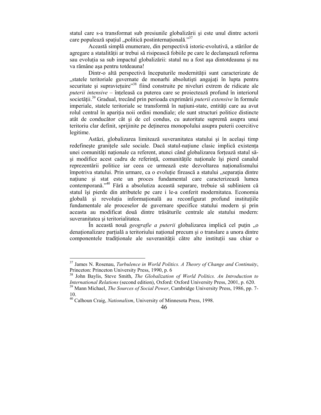statul care s-a transformat sub presiunile globalizării şi este unul dintre actorii care populează spațiul "politică postinternațională."37

Această simplă enumerare, din perspectivă istoric-evolutivă, a stărilor de agregare a statalității ar trebui să risipească fobiile pe care le declanșează reforma sau evolutia sa sub impactul globalizării: statul nu a fost asa dintotdeauna și nu va rămâne aşa pentru totdeauna!

Dintr-o altă perspectivă începuturile modernității sunt caracterizate de "statele teritoriale guvernate de monarhi absolutiști angajați în lupta pentru  $s$ ecuritate și supraviețuire $^{338}$  fiind construite pe niveluri extrem de ridicate ale *puterii intensive* – înțeleasă ca puterea care se proiectează profund în interiorul societății.<sup>39</sup> Gradual, trecând prin perioada exprimării *puterii extensive* în formule imperiale, statele teritoriale se transformă în națiuni-state, entități care au avut rolul central în apariția noii ordini mondiale; ele sunt structuri politice distincte atât de conducător cât şi de cel condus, cu autoritate supremă asupra unui teritoriu clar definit, sprijinite pe deținerea monopolului asupra puterii coercitive legitime.

Astăzi, globalizarea limitează suveranitatea statului şi în acelaşi timp redefineste granitele sale sociale. Dacă statul-natiune clasic implică existenta unei comunități naționale ca referent, atunci când globalizarea forțează statul săși modifice acest cadru de referință, comunitățile naționale își pierd canalul reprezentării politice iar ceea ce urmează este dezvoltarea naționalismului împotriva statului. Prin urmare, ca o evoluție firească a statului "separația dintre națiune și stat este un proces fundamental care caracterizează lumea contemporană."<sup>40</sup> Fără a absolutiza această separare, trebuie să subliniem că statul îşi pierde din atributele pe care i le-a conferit modernitatea. Economia globală și revoluția informațională au reconfigurat profund instituțiile fundamentale ale proceselor de guvernare specifice statului modern şi prin aceasta au modificat două dintre trăsăturile centrale ale statului modern: suveranitatea şi teritorialitatea.

 $\hat{\text{In}}$  această nouă *geografie a puterii* globalizarea implică cel puțin "o denationalizare parțială a teritoriului național precum și o translare a unora dintre componentele tradiționale ale suveranității către alte instituții sau chiar o

<sup>37</sup> James N. Rosenau, *Turbulence in World Politics. A Theory of Change and Continuity*, Princeton: Princeton University Press, 1990, p. 6

<sup>38</sup> John Baylis, Steve Smith, *The Globalization of World Politics. An Introduction to International Relations* (second edition), Oxford: Oxford University Press, 2001, p. 620.

<sup>39</sup> Mann Michael, *The Sources of Social Power*, Cambridge University Press, 1986, pp. 7- 10.

<sup>40</sup> Calhoun Craig, *Nationalism*, University of Minnesota Press, 1998.

<sup>46</sup>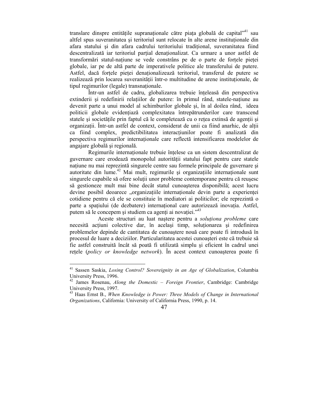translare dinspre entitățile supranaționale către piata globală de capital $1^{34}$  sau altfel spus suveranitatea și teritoriul sunt relocate în alte arene instituționale din afara statului și din afara cadrului teritoriului tradițional, suveranitatea fiind descentralizată iar teritoriul parțial denaționalizat. Ca urmare a unor astfel de transformări statul-natiune se vede constrâns pe de o parte de fortele pietei globale, iar pe de altă parte de imperativele politice ale transferului de putere. Astfel, dacă forțele pieței denaționalizează teritoriul, transferul de putere se realizează prin locarea suveranității într-o multitudine de arene instituționale, de tipul regimurilor (legale) transnationale.

Într-un astfel de cadru, globalizarea trebuie înteleasă din perspectiva extinderii și redefinirii relatiilor de putere: în primul rând, statele-natiune au devenit parte a unui model al schimburilor globale şi, în al doilea rând, ideea politicii globale evidențiază complexitatea întrepătrunderilor care transcend statele și societățile prin faptul că le completează cu o rețea extinsă de agenții și organizatii. Într-un astfel de context, considerat de unii ca fiind anarhic, de altii ca fiind complex, predictibilitatea interacțiunilor poate fi analizată din perspectiva regimurilor internationale care reflectă intensificarea modelelor de angajare globală şi regională.

Regimurile internationale trebuie întelese ca un sistem descentralizat de guvernare care erodează monopolul autorității statului fapt pentru care statele națiune nu mai reprezintă singurele centre sau formele principale de guvernare și autoritate din lume.<sup>42</sup> Mai mult, regimurile și organizațiile internaționale sunt singurele capabile să ofere soluții unor probleme contemporane pentru că reusesc să gestioneze mult mai bine decât statul cunoaşterea disponibilă; acest lucru devine posibil deoarece "organizațiile internaționale devin parte a experienței cotidiene pentru că ele se constituie în mediatori ai politicilor; ele reprezintă o parte a spatiului (de dezbatere) international care autorizează inovatia. Astfel, putem să le concepem și studiem ca agenți ai novației."<sup>43</sup>

Aceste structuri au luat naștere pentru a *soluționa probleme* care necesită actiuni colective dar, în același timp, soluționarea și redefinirea problemelor depinde de cantitatea de cunoaştere nouă care poate fi introdusă în procesul de luare a deciziilor. Particularitatea acestei cunoaşteri este că trebuie să fie astfel construită încât să poată fi utilizată simplu şi eficient în cadrul unei retele (*policy or knowledge network*). În acest context cunoasterea poate fi

<sup>41</sup> Sassen Saskia, *Losing Control? Sovereignity in an Age of Globalization*, Columbia University Press, 1996.

<sup>42</sup> James Rosenau, *Along the Domestic – Foreign Frontier*, Cambridge: Cambridge University Press, 1997.

<sup>43</sup> Haas Ernst B., *When Knowledge is Power: Three Models of Change in International Organizations*, California: University of California Press, 1990, p. 14.

<sup>47</sup>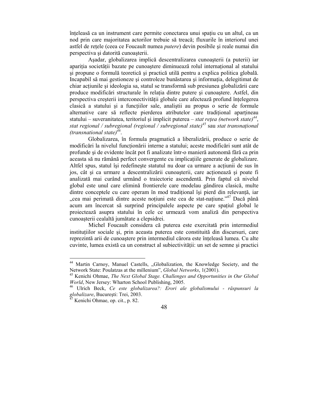înteleasă ca un instrument care permite conectarea unui spatiu cu un altul, ca un nod prin care majoritatea actorilor trebuie să treacă; fluxurile în interiorul unei astfel de rețele (ceea ce Foucault numea *putere*) devin posibile și reale numai din perspectiva şi datorită cunoaşterii.

Aşadar, globalizarea implică descentralizarea cunoaşterii (a puterii) iar aparitia societății bazate pe cunoaștere diminuează rolul internațional al statului şi propune o formulă teoretică şi practică utilă pentru a explica politica globală. Incapabil să mai gestioneze și controleze bunăstarea și informația, delegitimat de chiar acțiunile și ideologia sa, statul se transformă sub presiunea globalizării care produce modificări structurale în relația dintre putere și cunoaștere. Astfel, din perspectiva cresterii interconectivității globale care afectează profund întelegerea clasică a statului și a funcțiilor sale, analiștii au propus o serie de formule alternative care să reflecte pierderea atributelor care tradițional aparțineau statului – suveranitatea, teritoriul și implicit puterea – *stat rețea (network state)<sup>44</sup>*, *stat regional / subregional (regional / subregional state)*<sup>45</sup> sau *stat transnational (transnational state)<sup>46</sup>* .

Globalizarea, în formula pragmatică a liberalizării, produce o serie de modificări la nivelul funcționării interne a statului; aceste modificări sunt atât de profunde şi de evidente încât pot fi analizate într-o manieră autonomă fără ca prin aceasta să nu rămână perfect convergente cu implicatiile generate de globalizare. Altfel spus, statul își redefinește statutul nu doar ca urmare a actiunii de sus în jos, cât și ca urmare a descentralizării cunoașterii, care actionează și poate fi analizată mai curând urmând o traiectorie ascendentă. Prin faptul că nivelul global este unul care elimină frontierele care modelau gândirea clasică, multe dintre conceptele cu care operam în mod tradițional își pierd din relevanță, iar "cea mai perimată dintre aceste noțiuni este cea de stat-națiune."<sup>47</sup> Dacă până acum am încercat să surprind principalele aspecte pe care spațiul global le proiectează asupra statului în cele ce urmează vom analiză din perspectiva cunoaşterii cealaltă jumătate a clepsidrei.

Michel Foucault considera că puterea este exercitată prin intermediul institutiilor sociale și, prin aceasta puterea este constituită din discursuri, care reprezintă arii de cunoaștere prin intermediul cărora este înțeleasă lumea. Cu alte cuvinte, lumea există ca un construct al subiectivității: un set de semne și practici

<sup>&</sup>lt;sup>44</sup> Martin Carnoy, Manuel Castells, "Globalization, the Knowledge Society, and the Network State: Poulatzas at the millenium", *Global Networks*, 1(2001).

<sup>45</sup> Kenichi Ohmae, *The Next Global Stage. Challenges and Opportunities in Our Global World*, New Jersey: Wharton School Publishing, 2005.

<sup>46</sup> Ulrich Beck, *Ce este globalizarea?: Erori ale globalismului - răspunsuri la globalizare*, Bucureşti: Trei, 2003.

<sup>47</sup> Kenichi Ohmae, op. cit., p. 82.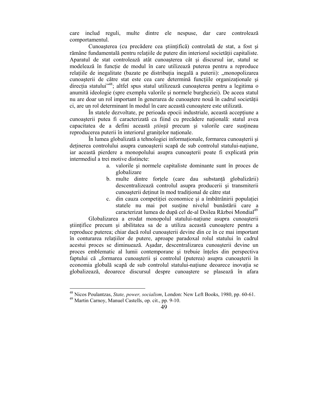care includ reguli, multe dintre ele nespuse, dar care controlează comportamentul.

Cunoașterea (cu precădere cea științifică) controlată de stat, a fost și rămâne fundamentală pentru relațiile de putere din interiorul societății capitaliste. Aparatul de stat controlează atât cunoaşterea cât şi discursul iar, statul se modelează în functie de modul în care utilizează puterea pentru a reproduce relațiile de inegalitate (bazate pe distribuția inegală a puterii): "monopolizarea cunoașterii de către stat este cea care determină funcțiile organizaționale și direcția statului<sup> $348$ </sup>; altfel spus statul utilizează cunoașterea pentru a legitima o anumită ideologie (spre exemplu valorile şi normele burgheziei). De aceea statul nu are doar un rol important în generarea de cunoastere nouă în cadrul societății ci, are un rol determinant în modul în care această cunoaştere este utilizată.

În statele dezvoltate, pe perioada epocii industriale, această accepțiune a cunoașterii putea fi caracterizată ca fiind cu precădere națională: statul avea capacitatea de a defini această *știință* precum și valorile care sustineau reproducerea puterii în interiorul granitelor naționale.

În lumea globalizată a tehnologiei informaționale, formarea cunoașterii și deținerea controlului asupra cunoașterii scapă de sub controlul statului-națiune, iar această pierdere a monopolului asupra cunoaşterii poate fi explicată prin intermediul a trei motive distincte:

- a. valorile şi normele capitaliste dominante sunt în proces de globalizare
- b. multe dintre forțele (care dau substanță globalizării) descentralizează controlul asupra producerii şi transmiterii cunoașterii deținut în mod tradițional de către stat
- c. din cauza competiției economice și a îmbătrânirii populației statele nu mai pot sustine nivelul bunăstării care a caracterizat lumea de după cel de-al Doilea Război Mondial<sup>49</sup>

Globalizarea a erodat monopolul statului-națiune asupra cunoașterii stiințifice precum și abilitatea sa de a utiliza această cunoaștere pentru a reproduce puterea; chiar dacă rolul cunoaşterii devine din ce în ce mai important în conturarea relațiilor de putere, aproape paradoxal rolul statului în cadrul acestui proces se diminuează. Aşadar, descentralizarea cunoaşterii devine un proces emblematic al lumii contemporane si trebuie înteles din perspectiva faptului că "formarea cunoașterii și controlul (puterea) asupra cunoașterii în economia globală scapă de sub controlul statului-națiune deoarece inovația se globalizează, deoarece discursul despre cunoaştere se plasează în afara

<sup>48</sup> Nicos Poulantzas, *State, power, socialism*, London: New Left Books, 1980, pp. 60-61.

<sup>49</sup> Martin Carnoy, Manuel Castells, op. cit., pp. 9-10.

<sup>49</sup>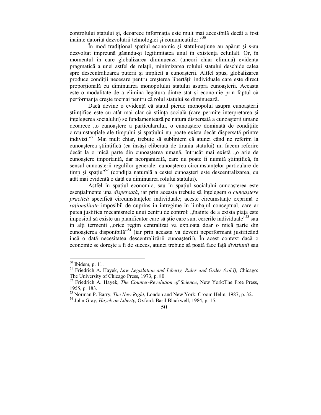controlului statului și, deoarece informația este mult mai accesibilă decât a fost înainte datorită dezvoltării tehnologiei și comunicațiilor."<sup>50</sup>

În mod tradițional spațiul economic și statul-națiune au apărut și s-au dezvoltat împreună găsindu-și legitimitatea unul în existența celuilalt. Or, în momentul în care globalizarea diminuează (uneori chiar elimină) evidenta pragmatică a unei astfel de relatii, minimizarea rolului statului deschide calea spre descentralizarea puterii şi implicit a cunoaşterii. Altfel spus, globalizarea produce condiții necesare pentru creșterea libertății individuale care este direct proportională cu diminuarea monopolului statului asupra cunoașterii. Aceasta este o modalitate de a elimina legătura dintre stat şi economie prin faptul că performanta crește tocmai pentru că rolul statului se diminuează.

Dacă devine o evidență că statul pierde monopolul asupra cunoașterii științifice este cu atât mai clar că știința socială (care permite interpretarea și întelegerea socialului) se fundamentează pe natura dispersată a cunoașterii umane deoarece "o cunoaștere a particularului, o cunoaștere dominată de condițiile circumstanțiale ale timpului și spațiului nu poate exista decât dispersată printre indivizi."<sup>51</sup> Mai mult chiar, trebuie să subliniem că atunci când ne referim la cunoașterea științifică (ea însăși eliberată de tirania statului) nu facem referire decât la o mică parte din cunoașterea umană, întrucât mai există "o arie de cunoaștere importantă, dar neorganizată, care nu poate fi numită științifică, în sensul cunoașterii regulilor generale: cunoașterea circumstanțelor particulare de  $t$ timp și spațiu<sup>"52</sup> (condiția naturală a cestei cunoașteri este descentralizarea, cu atât mai evidentă o dată cu diminuarea rolului statului).

Astfel în spatiul economic, sau în spatiul socialului cunoasterea este esențialmente una *dispersată*, iar prin aceasta trebuie să înțelegem o *cunoaștere practică* specifică circumstanțelor individuale; aceste circumstanțe exprimă o *rationalitate* imposibil de cuprins în întregime în limbajul conceptual, care ar putea justifica mecanismele unui centru de control: "înainte de a exista piata este imposibil să existe un planificator care să știe care sunt cererile individuale<sup>753</sup> sau în alți termenii "orice regim centralizat va exploata doar o mică parte din cunoașterea disponibilă<sup> $554$ </sup> (iar prin aceasta va deveni neperformant justificând încă o dată necesitatea descentralizării cunoaşterii). În acest context dacă o economie se dorește a fi de succes, atunci trebuie să poată face față *diviziunii* sau

 $50$  Ibidem, p. 11.

<sup>51</sup> Friedrich A. Hayek, *Law Legislation and Liberty, Rules and Order (vol.I),* Chicago: The University of Chicago Press, 1973, p. 80.

<sup>52</sup> Friedrich A. Hayek, *The Counter-Revolution of Science*, New York:The Free Press, 1955, p. 183.

<sup>53</sup> Norman P. Barry, *The New Right*, London and New York: Croom Helm, 1987, p. 32.

<sup>54</sup> John Gray, *Hayek on Liberty,* Oxford: Basil Blackwell, 1984, p. 15.

<sup>50</sup>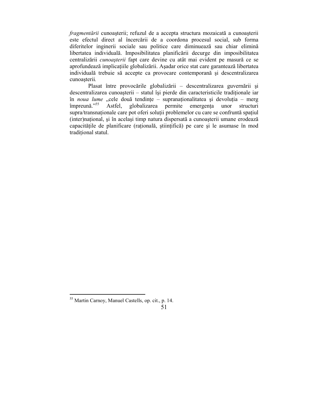*fragmentării* cunoaşterii; refuzul de a accepta structura mozaicată a cunoaşterii este efectul direct al încercării de a coordona procesul social, sub forma diferitelor inginerii sociale sau politice care diminuează sau chiar elimină libertatea individuală. Imposibilitatea planificării decurge din imposibilitatea centralizării *cunoaşterii* fapt care devine cu atât mai evident pe masură ce se aprofundează implicațiile globalizării. Așadar orice stat care garantează libertatea individuală trebuie să accepte ca provocare contemporană şi descentralizarea cunoaşterii*.*

Plasat între provocările globalizării – descentralizarea guvernării şi descentralizarea cunoașterii – statul își pierde din caracteristicile tradiționale iar în *noua lume* "cele două tendințe – supranaționalitatea și devoluția – merg<br>împreună.<sup>555</sup> Astfel, globalizarea permite emergenta unor structuri globalizarea permite emergența unor structuri supra/transnaționale care pot oferi soluții problemelor cu care se confruntă spațiul (inter)național, și în același timp natura dispersată a cunoașterii umane erodează capacitățile de planificare (rațională, științifică) pe care și le asumase în mod traditional statul.

<sup>55</sup> Martin Carnoy, Manuel Castells, op. cit., p. 14.

<sup>51</sup>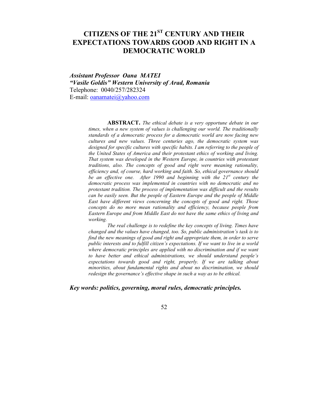# **CITIZENS OF THE 21ST CENTURY AND THEIR EXPECTATIONS TOWARDS GOOD AND RIGHT IN A DEMOCRATIC WORLD**

*Assistant Professor Oana MATEI "Vasile Goldis" Western University of Arad, Romania* Telephone: 0040/257/282324 E-mail: oanamatei@yahoo.com

> **ABSTRACT.** *The ethical debate is a very opportune debate in our times, when a new system of values is challenging our world. The traditionally standards of a democratic process for a democratic world are now facing new cultures and new values. Three centuries ago, the democratic system was designed for specific cultures with specific habits. I am referring to the people of the United States of America and their protestant ethics of working and living. That system was developed in the Western Europe, in countries with protestant traditions, also. The concepts of good and right were meaning rationality, efficiency and, of course, hard working and faith. So, ethical governance should be an effective one. After 1990 and beginning with the 21st century the democratic process was implemented in countries with no democratic and no protestant tradition. The process of implementation was difficult and the results can be easily seen. But the people of Eastern Europe and the people of Middle East have different views concerning the concepts of good and right. Those concepts do no more mean rationality and efficiency, because people from Eastern Europe and from Middle East do not have the same ethics of living and working.*

> *The real challenge is to redefine the key concepts of living. Times have changed and the values have changed, too. So, public administration's task is to find the new meanings of good and right and appropriate them, in order to serve public interests and to fulfill citizen's expectations. If we want to live in a world where democratic principles are applied with no discrimination and if we want to have better and ethical administrations, we should understand people's expectations towards good and right, properly. If we are talking about minorities, about fundamental rights and about no discrimination, we should redesign the governance's effective shape in such a way as to be ethical.*

### *Key words: politics, governing, moral rules, democratic principles.*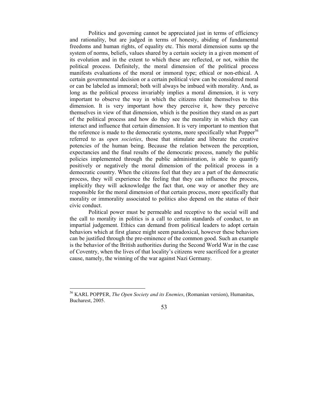Politics and governing cannot be appreciated just in terms of efficiency and rationality, but are judged in terms of honesty, abiding of fundamental freedoms and human rights, of equality etc. This moral dimension sums up the system of norms, beliefs, values shared by a certain society in a given moment of its evolution and in the extent to which these are reflected, or not, within the political process. Definitely, the moral dimension of the political process manifests evaluations of the moral or immoral type; ethical or non-ethical. A certain governmental decision or a certain political view can be considered moral or can be labeled as immoral; both will always be imbued with morality. And, as long as the political process invariably implies a moral dimension, it is very important to observe the way in which the citizens relate themselves to this dimension. It is very important how they perceive it, how they perceive themselves in view of that dimension, which is the position they stand on as part of the political process and how do they see the morality in which they can interact and influence that certain dimension. It is very important to mention that the reference is made to the democratic systems, more specifically what Popper<sup>56</sup> referred to as *open societies*, those that stimulate and liberate the creative potencies of the human being. Because the relation between the perception, expectancies and the final results of the democratic process, namely the public policies implemented through the public administration, is able to quantify positively or negatively the moral dimension of the political process in a democratic country. When the citizens feel that they are a part of the democratic process, they will experience the feeling that they can influence the process, implicitly they will acknowledge the fact that, one way or another they are responsible for the moral dimension of that certain process, more specifically that morality or immorality associated to politics also depend on the status of their civic conduct.

Political power must be permeable and receptive to the social will and the call to morality in politics is a call to certain standards of conduct, to an impartial judgement. Ethics can demand from political leaders to adopt certain behaviors which at first glance might seem paradoxical, however these behaviors can be justified through the pre-eminence of the common good. Such an example is the behavior of the British authorities during the Second World War in the case of Coventry, when the lives of that locality's citizens were sacrificed for a greater cause, namely, the winning of the war against Nazi Germany.

 $\overline{a}$ 

<sup>56</sup> KARL POPPER, *The Open Society and its Enemies*, (Romanian version), Humanitas, Bucharest, 2005.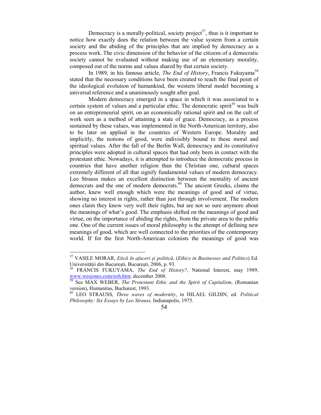Democracy is a morally-political, society project<sup>57</sup>, thus is it important to notice how exactly does the relation between the value system from a certain society and the abiding of the principles that are implied by democracy as a process work. The civic dimension of the behavior of the citizens of a democratic society cannot be evaluated without making use of an elementary morality, composed out of the norms and values shared by that certain society.

In 1989, in his famous article, *The End of History*, Francis Fukuyama<sup>58</sup> stated that the necessary conditions have been created to reach the final point of the ideological evolution of humankind, the western liberal model becoming a universal reference and a unanimously sought after goal.

Modern democracy emerged in a space in which it was associated to a certain system of values and a particular ethic. The democratic spirit<sup>59</sup> was built on an entrepreneurial spirit, on an economically rational spirit and on the cult of work seen as a method of attaining a state of grace. Democracy, as a process sustained by these values, was implemented in the North-American territory, also to be later on applied in the countries of Western Europe. Morality and implicitly, the notions of good, were indivisibly bound to these moral and spiritual values. After the fall of the Berlin Wall, democracy and its constitutive principles were adopted in cultural spaces that had only been in contact with the protestant ethic. Nowadays, it is attempted to introduce the democratic process in countries that have another religion than the Christian one, cultural spaces extremely different of all that signify fundamental values of modern democracy. Leo Strauss makes an excellent distinction between the mentality of ancient democrats and the one of modern democrats.<sup>60</sup> The ancient Greeks, claims the author, knew well enough which were the meanings of good and of virtue, showing no interest in rights, rather than just through involvement. The modern ones claim they know very well their rights, but are not so sure anymore about the meanings of what's good. The emphasis shifted on the meanings of good and virtue, on the importance of abiding the rights, from the private area to the public one. One of the current issues of moral philosophy is the attempt of defining new meanings of good, which are well connected to the priorities of the contemporary world. If for the first North-American colonists the meanings of good was

<sup>57</sup> VASILE MORAR, *Etică în afaceri şi politică*, (*Ethics in Businesses and Politics*) Ed. Universității din București, București, 2006, p. 93.

<sup>58</sup> FRANCIS FUKUYAMA, *The End of History?*, National Interest, may 1989, www.wesjones.com/eoh.htm; december 2008.

<sup>59</sup> See MAX WEBER, *The Protestant Ethic and the Spirit of Capitalism*, (Romanian version), Humanitas, Bucharest, 1993.

<sup>60</sup> LEO STRAUSS, *Three waves of modernity*, in HILAEL GILDIN, ed. *Political Philosophy: Six Essays by Leo Strauss,* Indianapolis, 1975.

<sup>54</sup>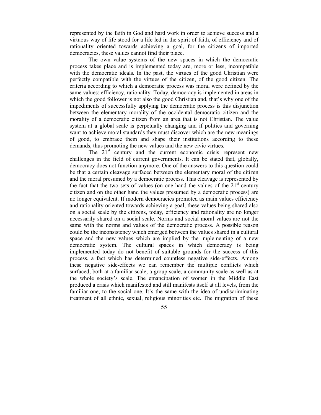represented by the faith in God and hard work in order to achieve success and a virtuous way of life stood for a life led in the spirit of faith, of efficiency and of rationality oriented towards achieving a goal, for the citizens of imported democracies, these values cannot find their place.

The own value systems of the new spaces in which the democratic process takes place and is implemented today are, more or less, incompatible with the democratic ideals. In the past, the virtues of the good Christian were perfectly compatible with the virtues of the citizen, of the good citizen. The criteria according to which a democratic process was moral were defined by the same values: efficiency, rationality. Today, democracy is implemented in areas in which the good follower is not also the good Christian and, that's why one of the impediments of successfully applying the democratic process is this disjunction between the elementary morality of the occidental democratic citizen and the morality of a democratic citizen from an area that is not Christian. The value system at a global scale is perpetually changing and if politics and governing want to achieve moral standards they must discover which are the new meanings of good, to embrace them and shape their institutions according to these demands, thus promoting the new values and the new civic virtues.

The  $21<sup>st</sup>$  century and the current economic crisis represent new challenges in the field of current governments. It can be stated that, globally, democracy does not function anymore. One of the answers to this question could be that a certain cleavage surfaced between the elementary moral of the citizen and the moral presumed by a democratic process. This cleavage is represented by the fact that the two sets of values (on one hand the values of the  $21<sup>st</sup>$  century citizen and on the other hand the values presumed by a democratic process) are no longer equivalent. If modern democracies promoted as main values efficiency and rationality oriented towards achieving a goal, these values being shared also on a social scale by the citizens, today, efficiency and rationality are no longer necessarily shared on a social scale. Norms and social moral values are not the same with the norms and values of the democratic process. A possible reason could be the inconsistency which emerged between the values shared in a cultural space and the new values which are implied by the implementing of a new democratic system. The cultural spaces in which democracy is being implemented today do not benefit of suitable grounds for the success of this process, a fact which has determined countless negative side-effects. Among these negative side-effects we can remember the multiple conflicts which surfaced, both at a familiar scale, a group scale, a community scale as well as at the whole society's scale. The emancipation of women in the Middle East produced a crisis which manifested and still manifests itself at all levels, from the familiar one, to the social one. It's the same with the idea of undiscriminating treatment of all ethnic, sexual, religious minorities etc. The migration of these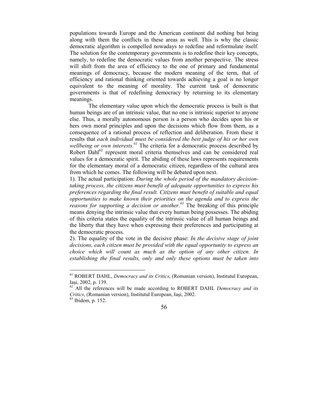populations towards Europe and the American continent did nothing but bring along with them the conflicts in these areas as well. This is why the classic democratic algorithm is compelled nowadays to redefine and reformulate itself. The solution for the contemporary governments is to redefine their key concepts, namely, to redefine the democratic values from another perspective. The stress will shift from the area of efficiency to the one of primary and fundamental meanings of democracy, because the modern meaning of the term, that of efficiency and rational thinking oriented towards achieving a goal is no longer equivalent to the meaning of morality. The current task of democratic governments is that of redefining democracy by returning to its elementary meanings.

The elementary value upon which the democratic process is built is that human beings are of an intrinsic value, that no one is intrinsic superior to anyone else. Thus, a morally autonomous person is a person who decides upon his or hers own moral principles and upon the decisions which flow from them, as a consequence of a rational process of reflection and deliberation. From these it results that *each individual must be considered the best judge of his or her own wellbeing or own interests.<sup>61</sup>* The criteria for a democratic process described by Robert Dahl<sup>62</sup> represent moral criteria themselves and can be considered real values for a democratic spirit. The abiding of these laws represents requirements for the elementary moral of a democratic citizen, regardless of the cultural area from which he comes. The following will be debated upon next.

1). The actual participation: *During the whole period of the mandatory decisiontaking process, the citizens must benefit of adequate opportunities to express his preferences regarding the final result. Citizens must benefit of suitable and equal opportunities to make known their priorities on the agenda and to express the reasons for supporting a decision or another.<sup>63</sup>* The breaking of this principle means denying the intrinsic value that every human being possesses. The abiding of this criteria states the equality of the intrinsic value of all human beings and the liberty that they have when expressing their preferences and participating at the democratic process.

2). The equality of the vote in the decisive phase: *In the decisive stage of joint decisions, each citizen must be provided with the equal opportunity to express an choice which will count as much as the option of any other citizen. In establishing the final results, only and only these options must be taken into* 

<sup>61</sup> ROBERT DAHL, *Democracy and its Critics*, (Romanian version), Institutul European, Iaşi, 2002, p. 139.

<sup>62</sup> All the references will be made according to ROBERT DAHL *Democracy and its Critics*, (Romanian version), Institutul European, Iaşi, 2002.

 $<sup>63</sup>$  Ibidem, p. 152.</sup>

<sup>56</sup>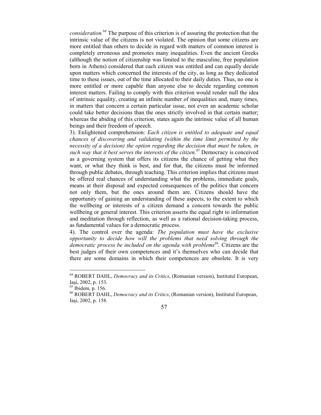*consideration.<sup>64</sup>* The purpose of this criterion is of assuring the protection that the intrinsic value of the citizens is not violated. The opinion that some citizens are more entitled than others to decide in regard with matters of common interest is completely erroneous and promotes many inequalities. Even the ancient Greeks (although the notion of citizenship was limited to the masculine, free population born in Athens) considered that each citizen was entitled and can equally decide upon matters which concerned the interests of the city, as long as they dedicated time to these issues, out of the time allocated to their daily duties. Thus, no one is more entitled or more capable than anyone else to decide regarding common interest matters. Failing to comply with this criterion would render null the idea of intrinsic equality, creating an infinite number of inequalities and, many times, in matters that concern a certain particular issue, not even an academic scholar could take better decisions than the ones strictly involved in that certain matter; whereas the abiding of this criterion, states again the intrinsic value of all human beings and their freedom of speech.

3). Enlightened comprehension: *Each citizen is entitled to adequate and equal chances of discovering and validating (within the time limit permitted by the necessity of a decision) the option regarding the decision that must be taken, in such way that it best serves the interests of the citizen.<sup>65</sup>* Democracy is conceived as a governing system that offers its citizens the chance of getting what they want, or what they think is best, and for that, the citizens must be informed through public debates, through teaching. This criterion implies that citizens must be offered real chances of understanding what the problems, immediate goals, means at their disposal and expected consequences of the politics that concern not only them, but the ones around them are. Citizens should have the opportunity of gaining an understanding of these aspects, to the extent to which the wellbeing or interests of a citizen demand a concern towards the public wellbeing or general interest. This criterion asserts the equal right to information and meditation through reflection, as well as a rational decision-taking process, as fundamental values for a democratic process.

4). The control over the agenda: *The population must have the exclusive opportunity to decide how will the problems that need solving through the democratic process be included on the agenda with problems<sup>66</sup> .* Citizens are the best judges of their own competences and it's themselves who can decide that there are some domains in which their competences are obsolete. It is very

<sup>64</sup> ROBERT DAHL, *Democracy and its Critics*, (Romanian version), Institutul European, Iaşi, 2002, p. 153.

<sup>65</sup> Ibidem, p. 156.

<sup>66</sup> ROBERT DAHL, *Democracy and its Critics*, (Romanian version), Institutul European, Iaşi, 2002, p. 158.

<sup>57</sup>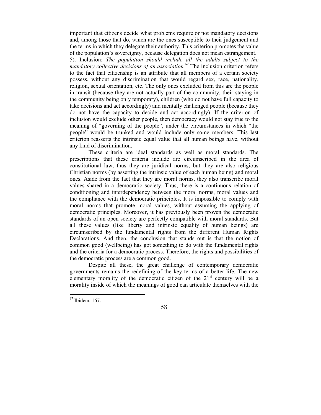important that citizens decide what problems require or not mandatory decisions and, among those that do, which are the ones susceptible to their judgement and the terms in which they delegate their authority. This criterion promotes the value of the population's sovereignty, because delegation does not mean estrangement.

5). Inclusion: *The population should include all the adults subject to the mandatory collective decisions of an association.<sup>67</sup>* The inclusion criterion refers to the fact that citizenship is an attribute that all members of a certain society possess, without any discrimination that would regard sex, race, nationality, religion, sexual orientation, etc. The only ones excluded from this are the people in transit (because they are not actually part of the community, their staying in the community being only temporary), children (who do not have full capacity to take decisions and act accordingly) and mentally challenged people (because they do not have the capacity to decide and act accordingly). If the criterion of inclusion would exclude other people, then democracy would not stay true to the meaning of "governing of the people", under the circumstances in which "the people" would be trunked and would include only some members. This last criterion reasserts the intrinsic equal value that all human beings have, without any kind of discrimination.

These criteria are ideal standards as well as moral standards. The prescriptions that these criteria include are circumscribed in the area of constitutional law, thus they are juridical norms, but they are also religious Christian norms (by asserting the intrinsic value of each human being) and moral ones. Aside from the fact that they are moral norms, they also transcribe moral values shared in a democratic society. Thus, there is a continuous relation of conditioning and interdependency between the moral norms, moral values and the compliance with the democratic principles. It is impossible to comply with moral norms that promote moral values, without assuming the applying of democratic principles. Moreover, it has previously been proven the democratic standards of an open society are perfectly compatible with moral standards. But all these values (like liberty and intrinsic equality of human beings) are circumscribed by the fundamental rights from the different Human Rights Declarations. And then, the conclusion that stands out is that the notion of common good (wellbeing) has got something to do with the fundamental rights and the criteria for a democratic process. Therefore, the rights and possibilities of the democratic process are a common good.

Despite all these, the great challenge of contemporary democratic governments remains the redefining of the key terms of a better life. The new elementary morality of the democratic citizen of the  $21<sup>st</sup>$  century will be a morality inside of which the meanings of good can articulate themselves with the

 $\overline{a}$ 

 $67$  Ibidem, 167.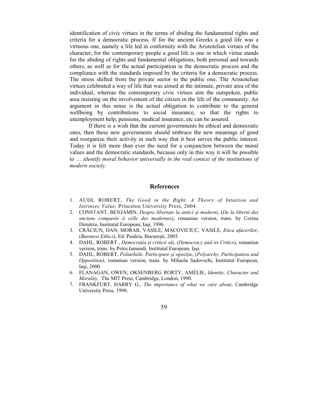identification of civic virtues in the terms of abiding the fundamental rights and criteria for a democratic process. If for the ancient Greeks a good life was a virtuous one, namely a life led in conformity with the Aristotelian virtues of the character, for the contemporary people a good life is one in which virtue stands for the abiding of rights and fundamental obligations, both personal and towards others, as well as for the actual participation in the democratic process and the compliance with the standards imposed by the criteria for a democratic process. The stress shifted from the private sector to the public one. The Aristotelian virtues celebrated a way of life that was aimed at the intimate, private area of the individual, whereas the contemporary civic virtues aim the outspoken, public area insisting on the involvement of the citizen in the life of the community. An argument in this sense is the actual obligation to contribute to the general wellbeing by contributions to social insurance, so that the rights to unemployment help, pensions, medical insurance, etc can be assured.

If there is a wish that the current governments be ethical and democratic ones, then these new governments should embrace the new meanings of good and reorganize their activity in such way that it best serves the public interest. Today it is felt more than ever the need for a conjunction between the moral values and the democratic standards, because only in this way it will be possible to … *identify moral behavior universally in the real context of the institutions of modern society.* 

#### **References**

- 1. AUDI, ROBERT, *The Good in the Right*. *A Theory of Intuition and Intrinsec Value,* Princeton University Press, 2004.
- 2. CONSTANT, BENJAMIN, *Despre libertate la antici şi moderni*, (*De la liberté des anciens comparée à celle des modernes*), romanian version, trans. by Corina Dimitriu, Institutul European, Iaşi, 1996.
- 3. CRĂCIUN, DAN; MORAR, VASILE; MACOVICIUC, VASILE, *Etica afacerilor*, (*Business Ethics*), Ed. Paideia, Bucureşti, 2005.
- 4. DAHL, ROBERT, *Democrația și criticii săi*, (Democracy and its Critics), romanian version, trans. by Petru Iamandi, Institutul European, Iaşi.
- 5. DAHL, ROBERT, *Poliarhiile. Participare și opoziție*, (Polyarchy. Participation and *Opposition*), romanian version, trans. by Mihaela Sadovschi, Institutul European, Iaşi, 2000.
- 6. FLANAGAN, OWEN; OKSENBERG RORTY, AMÉLIE, *Identity, Character and Morality,* The MIT Press, Cambridge, London, 1990.
- 7. FRANKFURT, HARRY G., *The importance of what we care about*, Cambridge University Press, 1998.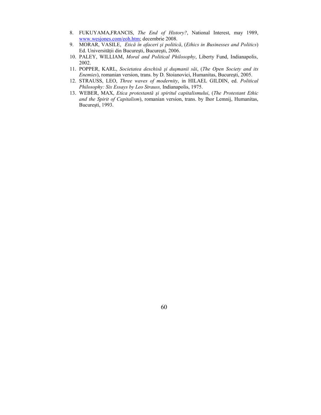- 8. FUKUYAMA,FRANCIS, *The End of History?*, National Interest, may 1989, www.wesjones.com/eoh.htm; decembrie 2008.
- 9. MORAR, VASILE, *Etică în afaceri şi politică*, (*Ethics in Businesses and Politics*) Ed. Universității din București, București, 2006.
- 10. PALEY, WILLIAM, *Moral and Political Philosophy*, Liberty Fund, Indianapolis, 2002.
- 11. POPPER, KARL, *Societatea deschisă şi duşmanii săi*, (*The Open Society and its Enemies*), romanian version, trans. by D. Stoianovici, Humanitas, Bucureşti, 2005.
- 12. STRAUSS, LEO, *Three waves of modernity*, in HILAEL GILDIN, ed. *Political Philosophy: Six Essays by Leo Strauss,* Indianapolis, 1975.
- 13. WEBER, MAX, *Etica protestantă şi spiritul capitalismului*, (*The Protestant Ethic and the Spirit of Capitalism*), romanian version, trans. by Ihor Lemnij, Humanitas, Bucureşti, 1993.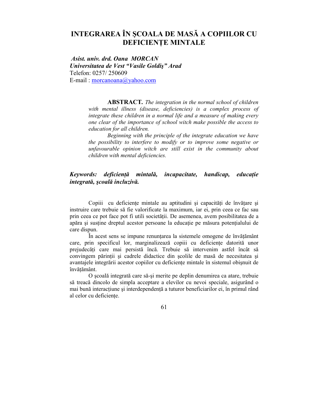# **INTEGRAREA ÎN ŞCOALA DE MASĂ A COPIILOR CU DEFICIENłE MINTALE**

*Asist. univ. drd. Oana MORCAN Universitatea de Vest "Vasile Goldiş" Arad*  Telefon: 0257/ 250609 E-mail: morcanoana@yahoo.com

> **ABSTRACT***. The integration in the normal school of children with mental illness (disease, deficiencies) is a complex process of integrate these children in a normal life and a measure of making every one clear of the importance of school witch make possible the access to education for all children.*

> *Beginning with the principle of the integrate education we have the possibility to interfere to modify or to improve some negative or unfavourable opinion witch are still exist in the community about children with mental deficiencies.*

# Keywords: deficiență mintală, incapacitate, handicap, educație *integrată, şcoală incluzivă.*

Copiii cu deficiente mintale au aptitudini și capacităti de învătare și instruire care trebuie să fie valorificate la maximum, iar ei, prin ceea ce fac sau prin ceea ce pot face pot fi utili societății. De asemenea, avem posibilitatea de a apăra și sustine dreptul acestor persoane la educație pe măsura potentialului de care dispun.

În acest sens se impune renunțarea la sistemele omogene de învățământ care, prin specificul lor, marginalizează copiii cu deficiente datorită unor prejudecăți care mai persistă încă. Trebuie să intervenim astfel încât să convingem părinții și cadrele didactice din scolile de masă de necesitatea și avantajele integrării acestor copiilor cu deficiențe mintale în sistemul obișnuit de învătământ.

O şcoală integrată care să-şi merite pe deplin denumirea ca atare, trebuie să treacă dincolo de simpla acceptare a elevilor cu nevoi speciale, asigurând o mai bună interactiune și interdependentă a tuturor beneficiarilor ei, în primul rând al celor cu deficiente.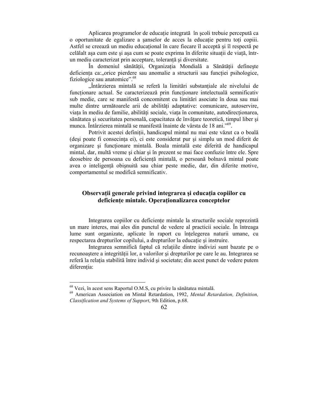Aplicarea programelor de educație integrată în școli trebuie percepută ca o oportunitate de egalizare a sanselor de acces la educatie pentru toti copiii. Astfel se creează un mediu educațional în care fiecare îl acceptă și îl respectă pe celălalt așa cum este și așa cum se poate exprima în diferite situații de viață, întrun mediu caracterizat prin acceptare, tolerantă și diversitate.

În domeniul sănătății, Organizația Mondială a Sănătății definește deficienta ca:,,orice pierdere sau anomalie a structurii sau funcției psihologice, fiziologice sau anatomice". $68$ 

"Întârzierea mintală se referă la limitări substanțiale ale nivelului de funcționare actual. Se caracterizează prin funcționare intelectuală semnificativ sub medie, care se manifestă concomitent cu limitări asociate în doua sau mai multe dintre următoarele arii de abilități adaptative: comunicare, autoservire, viața în mediu de familie, abilități sociale, viața în comunitate, autodirecționarea, sănătatea și securitatea personală, capacitatea de învătare teoretică, timpul liber și munca. Întârzierea mintală se manifestă înainte de vârsta de 18 ani."<sup>69</sup> .

Potrivit acestei definiții, handicapul mintal nu mai este văzut ca o boală (deși poate fi consecința ei), ci este considerat pur și simplu un mod diferit de organizare și funcționare mintală. Boala mintală este diferită de handicapul mintal, dar, multă vreme şi chiar şi în prezent se mai face confuzie între ele. Spre deosebire de persoana cu deficientă mintală, o persoană bolnavă mintal poate avea o inteligență obișnuită sau chiar peste medie, dar, din diferite motive, comportamentul se modifică semnificativ.

# **Observații generale privind integrarea și educația copiilor cu** deficiente mintale. Operationalizarea conceptelor

Integrarea copiilor cu deficiente mintale la structurile sociale reprezintă un mare interes, mai ales din punctul de vedere al practicii sociale. În întreaga lume sunt organizate, aplicate în raport cu înțelegerea naturii umane, cu respectarea drepturilor copilului, a drepturilor la educatie și instruire.

Integrarea semnifică faptul că relațiile dintre indivizi sunt bazate pe o recunoaștere a integrității lor, a valorilor și drepturilor pe care le au. Integrarea se referă la relatia stabilită între individ și societate; din acest punct de vedere putem diferentia:

l

<sup>68</sup> Vezi, în acest sens Raportul O.M.S, cu privire la sănătatea mintală.

<sup>69</sup> American Association on Mintal Retardation, 1992, *Mental Retardation, Definition, Classification and Systems of Support*, 9th Edition, p.68.

<sup>62</sup>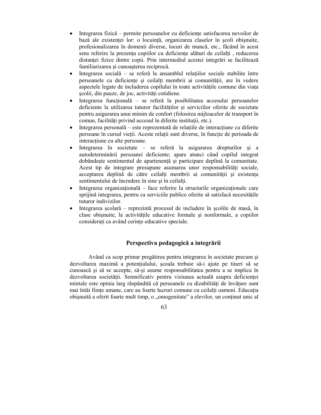- Integrarea fizică permite persoanelor cu deficiențe satisfacerea nevoilor de bază ale existenței lor: o locuință, organizarea claselor în școli obișnuite, profesionalizarea în domenii diverse, locuri de muncă, etc., făcând în acest sens referire la prezenta copiilor cu deficiente alături de ceilalti, reducerea distanței fizice dintre copii. Prin intermediul acestei integrări se facilitează familiarizarea şi cunoaşterea reciprocă.
- $\bullet$  Integrarea socială se referă la ansamblul relațiilor sociale stabilite între persoanele cu deficiențe și ceilalți membrii ai comunității, are în vedere aspectele legate de includerea copilului în toate activitățile comune din viața scolii, din pauze, de joc, activități cotidiene.
- $\bullet$  Integrarea funcțională se referă la posibilitatea accesului persoanelor deficiente la utilizarea tuturor facilitătilor și serviciilor oferite de societate pentru asigurarea unui minim de confort (folosirea mijloacelor de transport în comun, facilități privind accesul în diferite institutii, etc.).
- Integrarea personală este reprezentată de relațiile de interacțiune cu diferite persoane în cursul vieții. Aceste relații sunt diverse, în funcție de perioada de interactiune cu alte persoane.
- Integrarea în societate se referă la asigurarea drepturilor şi a autodeterminării persoanei deficiente; apare atunci când copilul integrat dobândește sentimentul de apartenență și participare deplină la comunitate. Acest tip de integrare presupune asumarea unor responsabilităti sociale, acceptarea deplină de către ceilalti membrii ai comunității și existenta sentimentului de încredere în sine și în ceilalți.
- Integrarea organizațională face referire la structurile organizationale care sprijină integrarea, pentru ca serviciile publice oferite să satisfacă necesitățile tuturor indivizilor.
- Integrarea şcolară reprezintă procesul de includere în şcolile de masă, în clase obișnuite, la activitățile educative formale și nonformale, a copiilor considerați ca având cerințe educative speciale.

# **Perspectiva pedagogică a integrării**

Având ca scop primar pregătirea pentru integrarea în societate precum şi dezvoltarea maximă a potențialului, școala trebuie să-i ajute pe tineri să se cunoască şi să se accepte, să-şi asume responsabilitatea pentru a se implica în dezvoltarea societății. Semnificativ pentru viziunea actuală asupra deficienței mintale este opinia larg răspândită că persoanele cu dizabilități de învătare sunt mai întâi ființe umane, care au foarte lucruri comune cu ceilalți oameni. Educația obișnuită a oferit foarte mult timp, o "omogenitate" a elevilor, un conținut unic al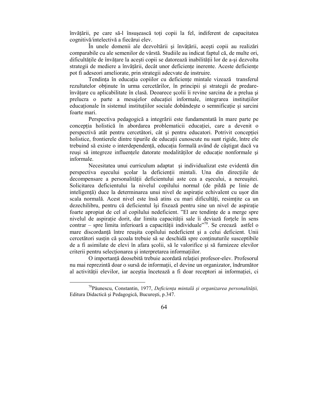învățării, pe care să-l însușească toți copii la fel, indiferent de capacitatea cognitivă/intelectivă a fiecărui elev.

În unele domenii ale dezvoltării și învățării, acești copii au realizări comparabile cu ale semenilor de vârstă. Studiile au indicat faptul că, de multe ori, dificultătile de învătare la acesti copii se datorează inabilității lor de a-si dezvolta strategii de mediere a învătării, decât unor deficiente inerente. Aceste deficiente pot fi adeseori ameliorate, prin strategii adecvate de instruire.

Tendința în educația copiilor cu deficiențe mintale vizează transferul rezultatelor obținute în urma cercetărilor, în principii și strategii de predareînvătare cu aplicabilitate în clasă. Deoarece scolii îi revine sarcina de a prelua și prelucra o parte a mesajelor educatiei informale, integrarea institutiilor educaționale în sistemul instituțiilor sociale dobândește o semnificație și sarcini foarte mari.

Perspectiva pedagogică a integrării este fundamentată în mare parte pe conceptia holistică în abordarea problematicii educației, care a devenit o perspectivă atât pentru cercetători, cât și pentru educatori. Potrivit concepției holistice, frontierele dintre tipurile de educații cunoscute nu sunt rigide, între ele trebuind să existe o interdependentă, educația formală având de câștigat dacă va reusi să integreze influentele datorate modalităților de educație nonformale și informale.

Necesitatea unui curriculum adaptat şi individualizat este evidentă din perspectiva esecului școlar la deficienții mintali. Una din direcțiile de decompensare a personalității deficientului aste cea a eșecului, a nereușitei. Solicitarea deficientului la nivelul copilului normal (de pildă pe linie de inteligentă) duce la determinarea unui nivel de aspiratie echivalent cu usor din scala normală. Acest nivel este însă atins cu mari dificultăți, resimțite ca un dezechilibru, pentru că deficientul își fixează pentru sine un nivel de aspiratie foarte apropiat de cel al copilului nedeficient. "El are tendinte de a merge spre nivelul de aspirație dorit, dar limita capacității sale îi deviază forțele în sens contrar – spre limita inferioară a capacității individuale<sup> $n/0$ </sup>. Se creează astfel o mare discordanță între reușita copilului nedeficient și a celui deficient. Unii cercetători susțin că școala trebuie să se deschidă spre conținuturile susceptibile de a fi asimilate de elevi în afara şcolii, să le valorifice şi să furnizeze elevilor criterii pentru selectionarea și interpretarea informatiilor.

O importanță deosebită trebuie acordată relației profesor-elev. Profesorul nu mai reprezintă doar o sursă de informații, el devine un organizator, îndrumător al activității elevilor, iar aceștia încetează a fi doar receptori ai informației, ci

l



<sup>&</sup>lt;sup>70</sup>Păunescu, Constantin, 1977, *Deficiența mintală și organizarea personalității,* Editura Didactică şi Pedagogică, Bucureşti, p.347.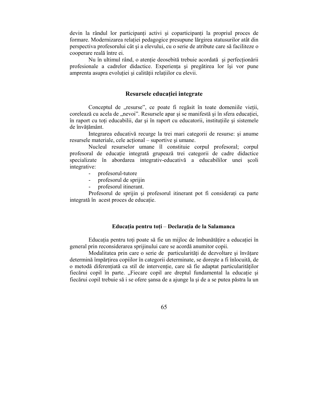devin la rândul lor participanti activi și coparticipanti la propriul proces de formare. Modernizarea relatiei pedagogice presupune lărgirea statusurilor atât din perspectiva profesorului cât şi a elevului, cu o serie de atribute care să faciliteze o cooperare reală între ei.

Nu în ultimul rând, o atentie deosebită trebuie acordată și perfectionării profesionale a cadrelor didactice. Experienta și pregătirea lor își vor pune amprenta asupra evoluției și calității relațiilor cu elevii.

## **Resursele educației integrate**

Conceptul de "resurse", ce poate fi regăsit în toate domeniile vietii, corelează cu acela de "nevoi". Resursele apar și se manifestă și în sfera educatiei, în raport cu toți educabilii, dar și în raport cu educatorii, instituțiile și sistemele de învățământ.

Integrarea educativă recurge la trei mari categorii de resurse: şi anume resursele materiale, cele actional – suportive și umane.

Nucleul resurselor umane îl constituie corpul profesoral; corpul profesoral de educatie integrată grupează trei categorii de cadre didactice specializate în abordarea integrativ-educativă a educabililor unei şcoli integrative:

- profesorul-tutore
- profesorul de sprijin
- profesorul itinerant.

Profesorul de sprijin și profesorul itinerant pot fi considerați ca parte integrată în acest proces de educație.

#### **Educatia pentru toti – Declaratia de la Salamanca**

Educația pentru toți poate să fie un mijloc de îmbunătățire a educației în general prin reconsiderarea sprijinului care se acordă anumitor copii.

Modalitatea prin care o serie de particularităti de dezvoltare și învătare determină împărțirea copiilor în categorii determinate, se dorește a fi înlocuită, de o metodă diferențiată ca stil de intervenție, care să fie adaptat particularităților fiecărui copil în parte. "Fiecare copil are dreptul fundamental la educatie și fiecărui copil trebuie să i se ofere şansa de a ajunge la şi de a se putea păstra la un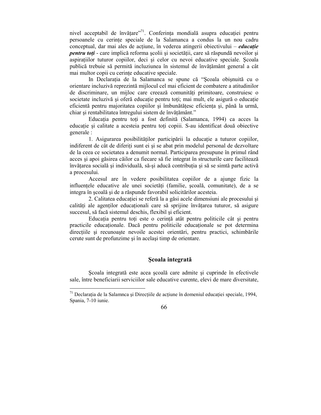nivel acceptabil de învățare"<sup>71</sup>. Conferința mondială asupra educației pentru persoanele cu cerințe speciale de la Salamanca a condus la un nou cadru conceptual, dar mai ales de acțiune, în vederea atingerii obiectivului – *educație pentru toți* - care implică reforma școlii și societății, care să răspundă nevoilor și aspiratiilor tuturor copiilor, deci și celor cu nevoi educative speciale. Scoala publică trebuie să permită incluziunea în sistemul de învătământ general a cât mai multor copii cu cerințe educative speciale.

In Declarația de la Salamanca se spune că "Școala obișnuită cu o orientare incluzivă reprezintă mijlocul cel mai eficient de combatere a atitudinilor de discriminare, un mijloc care creează comunităti primitoare, construiesc o societate incluzivă și oferă educatie pentru toti; mai mult, ele asigură o educatie eficientă pentru majoritatea copiilor și îmbunătățesc eficiența și, până la urmă, chiar și rentabilitatea întregului sistem de învățământ."

Educația pentru toți a fost definită (Salamanca, 1994) ca acces la educație și calitate a acesteia pentru toți copiii. S-au identificat două obiective generale :

1. Asigurarea posibilităților participării la educație a tuturor copiilor, indiferent de cât de diferiți sunt ei și se abat prin modelul personal de dezvoltare de la ceea ce societatea a denumit normal. Participarea presupune în primul rând acces și apoi găsirea căilor ca fiecare să fie integrat în structurile care facilitează învătarea socială și individuală, să-și aducă contribuția și să se simtă parte activă a procesului.

Accesul are în vedere posibilitatea copiilor de a ajunge fizic la influențele educative ale unei societăți (familie, școală, comunitate), de a se integra în şcoală şi de a răspunde favorabil solicitărilor acesteia.

2. Calitatea educației se referă la a găsi acele dimensiuni ale procesului și calități ale agentilor educationali care să sprijine învătarea tuturor, să asigure succesul, să facă sistemul deschis, flexibil şi eficient.

Educația pentru toți este o cerință atât pentru politicile cât și pentru practicile educaționale. Dacă pentru politicile educaționale se pot determina direcțiile și recunoaște nevoile acestei orientări, pentru practici, schimbările cerute sunt de profunzime şi în acelaşi timp de orientare.

# **Şcoala integrată**

Şcoala integrată este acea şcoală care admite şi cuprinde în efectivele sale, între beneficiarii serviciilor sale educative curente, elevi de mare diversitate,

 $71$  Declarația de la Salamnca și Direcțiile de acțiune în domeniul educației speciale, 1994, Spania, 7-10 iunie.

<sup>66</sup>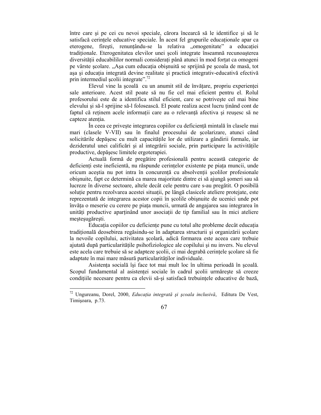între care şi pe cei cu nevoi speciale, cărora încearcă să le identifice şi să le satisfacă cerințele educative speciale. În acest fel grupurile educaționale apar ca eterogene, firești, renunțându-se la relativa "omogenitate" a educației tradiționale. Eterogenitatea elevilor unei școli integrate înseamnă recunoașterea diversității educabililor normali considerati până atunci în mod fortat ca omogeni pe vârste scolare. "Asa cum educatia obisnuită se sprijină pe scoala de masă, tot așa și educația integrată devine realitate și practică integrativ-educativă efectivă prin intermediul scolii integrate". $^{72}$ 

Elevul vine la școală cu un anumit stil de învățare, propriu experienței sale anterioare. Acest stil poate să nu fie cel mai eficient pentru el. Rolul profesorului este de a identifica stilul eficient, care se potriveşte cel mai bine elevului și să-l sprijine să-l folosească. El poate realiza acest lucru ținând cont de faptul că reținem acele informații care au o relevanță afectiva și reușesc să ne capteze atentia.

În ceea ce privește integrarea copiilor cu deficiență mintală în clasele mai mari (clasele V-VII) sau în finalul procesului de şcolarizare, atunci când solicitările depășesc cu mult capacitățile lor de utilizare a gândirii formale, iar dezideratul unei calificări și al integrării sociale, prin participare la activitățile productive, depăşesc limitele ergoterapiei.

Actuală formă de pregătire profesională pentru această categorie de deficienți este ineficientă, nu răspunde cerințelor existente pe piața muncii, unde oricum acestia nu pot intra în concurentă cu absolventii scolilor profesionale obişnuite, fapt ce determină ca marea majoritate dintre ei să ajungă şomeri sau să lucreze în diverse sectoare, altele decât cele pentru care s-au pregătit. O posibilă soluție pentru rezolvarea acestei situații, pe lângă clasicele ateliere protejate, este reprezentată de integrarea acestor copii în şcolile obişnuite de ucenici unde pot învăta o meserie cu cerere pe piata muncii, urmată de angajarea sau integrarea în unități productive apartinând unor asociații de tip familial sau în mici ateliere meşteşugăreşti.

Educația copiilor cu deficiențe pune cu totul alte probleme decât educația tradițională deosebirea regăsindu-se în adaptarea structurii și organizării școlare la nevoile copilului, activitatea şcolară, adică formarea este aceea care trebuie ajutată după particularitățile psihofiziologice ale copilului și nu invers. Nu elevul este acela care trebuie să se adapteze scolii, ci mai degrabă cerintele scolare să fie adaptate în mai mare măsură particularităților individuale.

Asistența socială își face tot mai mult loc în ultima perioadă în școală. Scopul fundamental al asistenței sociale în cadrul școlii urmărește să creeze condițiile necesare pentru ca elevii să-și satisfacă trebuințele educative de bază,

<sup>&</sup>lt;sup>72</sup> Ungureanu, Dorel, 2000, *Educația integrată și școala inclusivă*, Editura De Vest, Timişoara, p.73.

<sup>67</sup>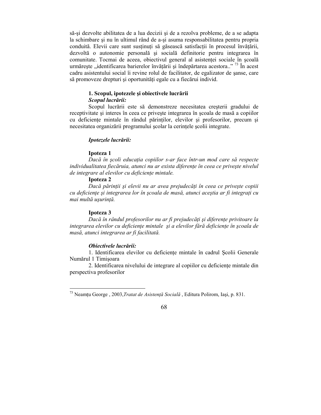să-şi dezvolte abilitatea de a lua decizii şi de a rezolva probleme, de a se adapta la schimbare şi nu în ultimul rând de a-şi asuma responsabilitatea pentru propria conduită. Elevii care sunt susținuți să găsească satisfacții în procesul învățării, dezvoltă o autonomie personală şi socială definitorie pentru integrarea în comunitate. Tocmai de aceea, obiectivul general al asistentei sociale în scoală urmărește "identificarea barierelor învătării și îndepărtarea acestora..<sup>" 73</sup> În acest cadru asistentului social îi revine rolul de facilitator, de egalizator de şanse, care să promoveze drepturi și oportunități egale cu a fiecărui individ.

### **1. Scopul, ipotezele şi obiectivele lucrării**  *Scopul lucrării:*

Scopul lucrării este să demonstreze necesitatea creşterii gradului de receptivitate şi interes în ceea ce priveşte integrarea în şcoala de masă a copiilor cu deficiențe mintale în rândul părinților, elevilor și profesorilor, precum și necesitatea organizării programului școlar la cerințele școlii integrate.

### *Ipotezele lucrării:*

### **Ipoteza 1**

*Dacă în școli educația copiilor s-ar face într-un mod care să respecte individualitatea fiecăruia, atunci nu ar exista diferențe în ceea ce privește nivelul* de integrare al elevilor cu deficiențe mintale.

# **Ipoteza 2**

Dacă părinții și elevii nu ar avea prejudecăți în ceea ce privește copiii cu deficiențe și integrarea lor în școala de masă, atunci aceștia ar fi integrați cu mai multă usurință.

### **Ipoteza 3**

 $\overline{a}$ 

*Dacă în rândul profesorilor nu ar fi prejudecăți și diferențe privitoare la* integrarea elevilor cu deficiențe mintale și a elevilor fără deficiențe în școala de *masă, atunci integrarea ar fi facilitată.* 

### *Obiectivele lucrării:*

1. Identificarea elevilor cu deficiențe mintale în cadrul Scolii Generale Numărul 1 Timişoara

2. Identificarea nivelului de integrare al copiilor cu deficiente mintale din perspectiva profesorilor

<sup>&</sup>lt;sup>73</sup> Neamțu George , 2003,*Tratat de Asistență Socială* , Editura Polirom, Iași, p. 831.

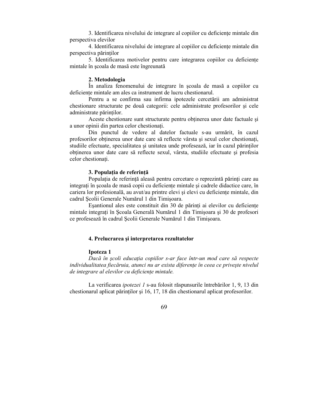3. Identificarea nivelului de integrare al copiilor cu deficiente mintale din perspectiva elevilor

4. Identificarea nivelului de integrare al copiilor cu deficiente mintale din perspectiva părinților

5. Identificarea motivelor pentru care integrarea copiilor cu deficiente mintale în şcoala de masă este îngreunată

#### **2. Metodologia**

În analiza fenomenului de integrare în şcoala de masă a copiilor cu deficiențe mintale am ales ca instrument de lucru chestionarul.

Pentru a se confirma sau infirma ipotezele cercetării am administrat chestionare structurate pe două categorii: cele administrate profesorilor şi cele administrate părinților.

Aceste chestionare sunt structurate pentru obtinerea unor date factuale și a unor opinii din partea celor chestionati.

Din punctul de vedere al datelor factuale s-au urmărit, în cazul profesorilor obținerea unor date care să reflecte vârsta și sexul celor chestionați, studiile efectuate, specialitatea și unitatea unde profesează, iar în cazul părinților obținerea unor date care să reflecte sexul, vârsta, studiile efectuate și profesia celor chestionati.

### **3. Populatia de referintă**

Populația de referință aleasă pentru cercetare o reprezintă părinți care au integrati în scoala de masă copii cu deficiențe mintale și cadrele didactice care, în cariera lor profesională, au avut/au printre elevi și elevi cu deficiențe mintale, din cadrul Şcolii Generale Numărul 1 din Timişoara.

Esantionul ales este constituit din 30 de părinți ai elevilor cu deficiente mintale integrati în Scoala Generală Numărul 1 din Timișoara și 30 de profesori ce profesează în cadrul Şcolii Generale Numărul 1 din Timişoara.

#### **4. Prelucrarea şi interpretarea rezultatelor**

### **Ipoteza 1**

*Dacă în școli educația copiilor s-ar face într-un mod care să respecte individualitatea fiecăruia, atunci nu ar exista diferențe în ceea ce privește nivelul* de integrare al elevilor cu deficiențe mintale.

La verificarea *ipotezei 1* s-au folosit răspunsurile întrebărilor 1, 9, 13 din chestionarul aplicat părinților și 16, 17, 18 din chestionarul aplicat profesorilor.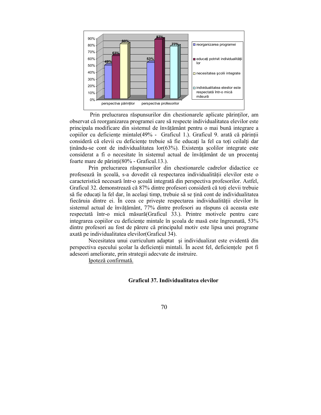

Prin prelucrarea răspunsurilor din chestionarele aplicate părinților, am observat că reorganizarea programei care să respecte individualitatea elevilor este principala modificare din sistemul de învățământ pentru o mai bună integrare a copiilor cu deficiențe mintale(49% - Graficul 1.). Graficul 9. arată că părinții consideră că elevii cu deficiente trebuie să fie educati la fel ca toti ceilalti dar  $t$ inându-se cont de individualitatea lor $(63%)$ . Existenta scolilor integrate este considerat a fi o necesitate în sistemul actual de învățământ de un procentaj foarte mare de părinți(80% - Graficul.13.).

Prin prelucrarea răspunsurilor din chestionarele cadrelor didactice ce profesează în scoală, s-a dovedit că respectarea individualității elevilor este o caracteristică necesară într-o şcoală integrată din perspectiva profesorilor. Astfel, Graficul 32. demonstrează că 87% dintre profesori consideră că toți elevii trebuie să fie educați la fel dar, în același timp, trebuie să se țină cont de individualitatea fiecăruia dintre ei. În ceea ce priveste respectarea individualității elevilor în sistemul actual de învățământ, 77% dintre profesori au răspuns că aceasta este respectată într-o mică măsură(Graficul 33.). Printre motivele pentru care integrarea copiilor cu deficiențe mintale în școala de masă este îngreunată, 53% dintre profesori au fost de părere că principalul motiv este lipsa unei programe axată pe individualitatea elevilor(Graficul 34).

Necesitatea unui curriculum adaptat și individualizat este evidentă din perspectiva esecului scolar la deficienții mintali. În acest fel, deficiențele pot fi adeseori ameliorate, prin strategii adecvate de instruire.

Ipoteză confirmată.

### **Graficul 37. Individualitatea elevilor**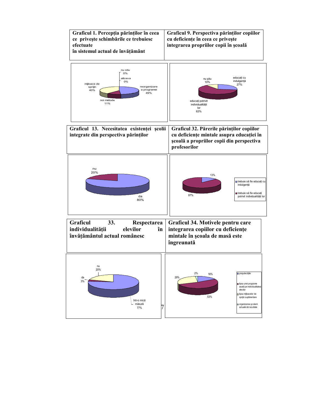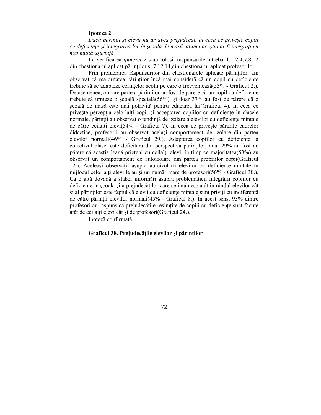### **Ipoteza 2**

Dacă părinții și elevii nu ar avea prejudecăți în ceea ce privește copiii cu deficiențe și integrarea lor în școala de masă, atunci aceștia ar fi integrați cu mai multă usurintă.

La verificarea *ipotezei 2* s-au folosit răspunsurile întrebărilor 2,4,7,8,12  $\sin$  chestionarul aplicat părintilor și 7,12,14,din chestionarul aplicat profesorilor.

Prin prelucrarea răspunsurilor din chestionarele aplicate părinților, am observat că majoritatea părinților încă mai consideră că un copil cu deficiente trebuie să se adapteze cerințelor școlii pe care o frecventează $(53% - Gradient 2)$ . De asemenea, o mare parte a părinților au fost de părere că un copil cu deficiențe trebuie să urmeze o şcoală specială(56%), şi doar 37% au fost de părere că o şcoală de masă este mai potrivită pentru educarea lui(Graficul 4). În ceea ce privește percepția celorlalți copii și acceptarea copiilor cu deficiențe în clasele normale, părinții au observat o tendință de izolare a elevilor cu deficiente mintale de către ceilalți elevi(54% - Graficul 7). În ceea ce privește părerile cadrelor didactice, profesorii au observat acelaşi comportament de izolare din partea elevilor normali(46% - Graficul 29.). Adaptarea copiilor cu deficiențe la colectivul clasei este deficitară din perspectiva părinților, doar 29% au fost de părere că aceștia leagă prieteni cu ceilalți elevi, în timp ce majoritatea(53%) au observat un comportament de autoizolare din partea propriilor copii(Graficul 12.). Aceleași observații asupra autoizolării elevilor cu deficiențe mintale în mijlocul celorlalti elevi le au și un număr mare de profesori(56% - Graficul 30.). Ca o altă dovadă a slabei informări asupra problematicii integrării copiilor cu deficiente în scoală și a prejudecătilor care se întâlnesc atât în rândul elevilor cât și al părinților este faptul că elevii cu deficiențe mintale sunt priviți cu indiferență de către părinții elevilor normali $(45% - Gradient)$  8.). În acest sens, 93% dintre profesori au răspuns că prejudecătile resimtite de copiii cu deficiente sunt făcute atât de ceilalți elevi cât și de profesori(Graficul 24.).

Ipoteză confirmată.

# Graficul 38. Prejudecățile elevilor și părinților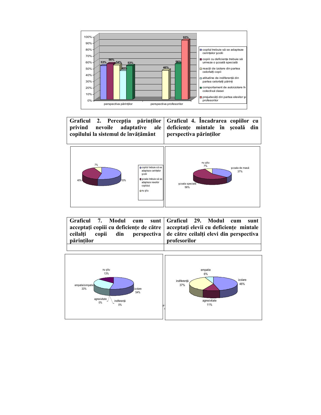

**Graficul 2. Percepția părinților privind nevoile adaptative ale** *adaptative* ale copilului la sistemul de învățământ **Graficul 4. Încadrarea copiilor cu**  deficiențe mintale în școală din perspectiva părinților





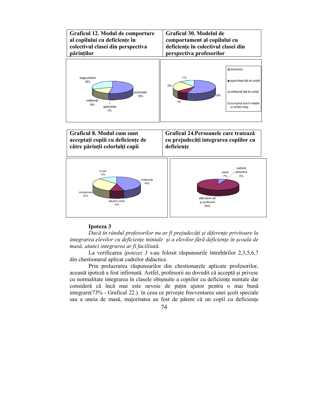

#### **Ipoteza 3**

*Dacă în rândul profesorilor nu ar fi prejudecăți și diferențe privitoare la* integrarea elevilor cu deficiențe mintale și a elevilor fără deficiențe în școala de *masă, atunci integrarea ar fi facilitată.* 

La verificarea *ipotezei 3* s-au folosit răspunsurile întrebărilor 2,3,5,6,7 din chestionarul aplicat cadrelor didactice.

Prin prelucrarea răspunsurilor din chestionarele aplicate profesorilor, această ipoteză a fost infirmată. Astfel, profesorii au dovedit că acceptă şi privesc cu normalitate integrarea în clasele obișnuite a copiilor cu deficiențe mintale dar consideră că încă mai este nevoie de putin ajutor pentru o mai bună integrare(73% - Graficul 22.). în ceea ce priveşte frecventarea unei şcoli speciale sau a uneia de masă, majoritatea au fost de părere că un copil cu deficiențe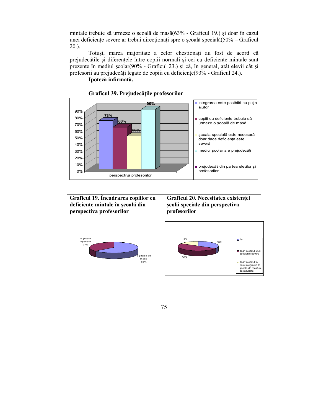mintale trebuie să urmeze o şcoală de masă(63% - Graficul 19.) şi doar în cazul unei deficiente severe ar trebui direcționați spre o scoală specială $(50\% - \text{Graf}$ icul 20.).

Totuși, marea majoritate a celor chestionați au fost de acord că prejudecățile și diferențele între copiii normali și cei cu deficiențe mintale sunt prezente în mediul şcolar(90% - Graficul 23.) şi că, în general, atât elevii cât şi profesorii au prejudecăți legate de copiii cu deficiente (93% - Graficul 24.).

**Ipoteză infirmată.** 



**Graficul 39. Prejudecățile profesorilor** 

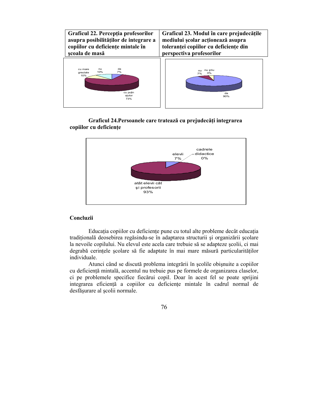

### Graficul 24. Persoanele care tratează cu prejudecăți integrarea copiilor cu deficiente



### **Concluzii**

Educația copiilor cu deficiențe pune cu totul alte probleme decât educația tradițională deosebirea regăsindu-se în adaptarea structurii și organizării școlare la nevoile copilului. Nu elevul este acela care trebuie să se adapteze şcolii, ci mai degrabă cerințele școlare să fie adaptate în mai mare măsură particularităților individuale.

Atunci când se discută problema integrării în şcolile obişnuite a copiilor cu deficiență mintală, accentul nu trebuie pus pe formele de organizarea claselor, ci pe problemele specifice fiecărui copil. Doar în acest fel se poate sprijini integrarea eficiență a copiilor cu deficiențe mintale în cadrul normal de desfăşurare al şcolii normale.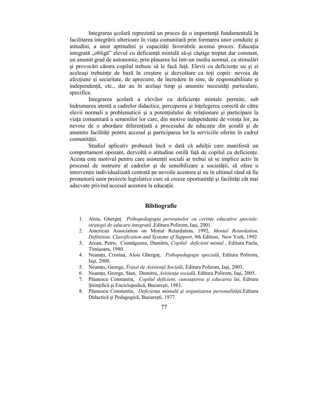Integrarea școlară reprezintă un proces de o importanță fundamentală în facilitarea integrării ulterioare în viața comunitară prin formarea unor conduite și atitudini, a unor aptitudini și capacități favorabile acestui proces. Educația integrată "obligă" elevul cu deficiență mintală să-și câștige treptat dar constant, un anumit grad de autonomie, prin plasarea lui într-un mediu normal, cu stimulări si provocări cărora copilul trebuie să le facă fată. Elevii cu deficiente au și ei aceleași trebuințe de bază în creștere și dezvoltare ca toți copiii: nevoia de afectiune și securitate, de apreciere, de încredere în sine, de responsabilitate și independență, etc., dar au în același timp și anumite necesități particulare, specifice.

Integrarea școlară a elevilor cu deficiențe mintale permite, sub îndrumarea atentă a cadrelor didactice, perceperea și înțelegerea corectă de către elevii normali a problematicii și a potențialului de relaționare și participare la viata comunitară a semenilor lor care, din motive independente de vointa lor, au nevoie de o abordare diferențiată a procesului de educație din scoală și de anumite facilități pentru accesul și participarea lor la serviciile oferite în cadrul comunității.

Studiul aplicativ probează încă o dată că adulții care manifestă un comportament opozant, dezvoltă o atitudine ostilă fată de copilul cu deficiente. Acesta este motivul pentru care asistentii sociali ar trebui să se implice activ în procesul de instruire al cadrelor și de sensibilizare a societății, să ofere o intervenție individualizată centrată pe nevoile acestora și nu în ultimul rând să fie promotorii unor proiecte legislative care să creeze oportunități și facilități cât mai adecvate privind accesul acestora la educatie.

### **Bibliografie**

- 1. Alois, Gherguṭ *Psihopedagogia persoanelor cu cerințe educative speciale: strategii de educare integrată* ,Editura Polirom, Iaşi, 2001.
- 2. American Association on Mintal Retardation, 1992, *Mental Retardation, Definition, Classification and Systems of Support*, 9th Edition, New York, 1992
- 3. Arcan, Petru, Ciumăgeanu, Dumitru, *Copilul deficient mintal* , Editura Facla, Timişoara, 1980. .
- 4. Neamțu, Cristina, Alois Gherguț, *Psihopedagogie specială*, Editura Polirom, Iaşi, 2000.
- 5. Neamțu, George, *Tratat de Asistență Socială*, Editura Polirom, Iași, 2003.
- 6. Neamțu, George, Stan, Dumitru, *Asistența socială*, Editura Polirom, Iași, 2005.
- 7. Păunescu Constantin, *Copilul deficient, cunoaşterea şi educarea lui*, Editura Stiințifică și Enciclopedică, București, 1983.
- 8. Păunescu Constantin, *Deficiența mintală și organizarea personalității*,Editura Didactică şi Pedagogică, Bucureşti, 1977.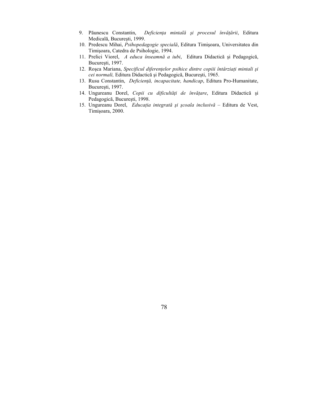- 9. Păunescu Constantin, *Deficiența mintală și procesul învățării*, Editura Medicală, Bucureşti, 1999.
- 10. Predescu Mihai, *Psihopedagogie specială*, Editura Timişoara, Universitatea din Timişoara, Catedra de Psihologie, 1994.
- 11. Prelici Viorel, *A educa înseamnă a iubi*, Editura Didactică şi Pedagogică, Bucureşti, 1997.
- 12. Roșca Mariana, Specificul diferențelor psihice dintre copiii întârziați mintali și *cei normali,* Editura Didactică şi Pedagogică, Bucureşti, 1965.
- 13. Rusu Constantin, *Deficiență, incapacitate, handicap*, Editura Pro-Humanitate, Bucureşti, 1997.
- 14. Ungureanu Dorel, Copii cu dificultăți de învățare, Editura Didactică și Pedagogică, Bucureşti, 1998.
- 15. Ungureanu Dorel, *Educația integrată și școala inclusivă* Editura de Vest, Timişoara, 2000.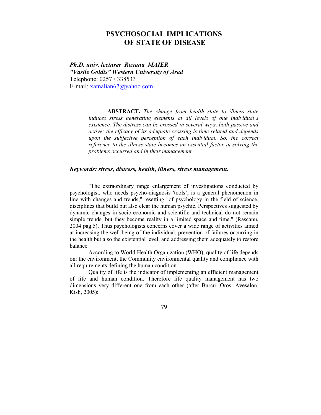# **PSYCHOSOCIAL IMPLICATIONS OF STATE OF DISEASE**

*Ph.D. univ. lecturer Roxana MAIER "Vasile Goldis" Western University of Arad*  Telephone: 0257 / 338533 E-mail: xamalian67@yahoo.com

> **ABSTRACT.** *The change from health state to illness state induces stress generating elements at all levels of one individual's existence. The distress can be crossed in several ways, both passive and active; the efficacy of its adequate crossing is time related and depends upon the subjective perception of each individual. So, the correct reference to the illness state becomes an essential factor in solving the problems occurred and in their management.*

#### *Keywords: stress, distress, health, illness, stress management.*

 "The extraordinary range enlargement of investigations conducted by psychologist, who needs psycho-diagnosis 'tools', is a general phenomenon in line with changes and trends," resetting "of psychology in the field of science, disciplines that build but also clear the human psychic. Perspectives suggested by dynamic changes in socio-economic and scientific and technical do not remain simple trends, but they become reality in a limited space and time." (Rascanu, 2004 pag.5). Thus psychologists concerns cover a wide range of activities aimed at increasing the well-being of the individual, prevention of failures occurring in the health but also the existential level, and addressing them adequately to restore balance.

 According to World Health Organization (WHO), quality of life depends on: the environment, the Community environmental quality and compliance with all requirements defining the human condition.

 Quality of life is the indicator of implementing an efficient management of life and human condition. Therefore life quality management has two dimensions very different one from each other (after Burcu, Oros, Avesalon, Kish, 2005):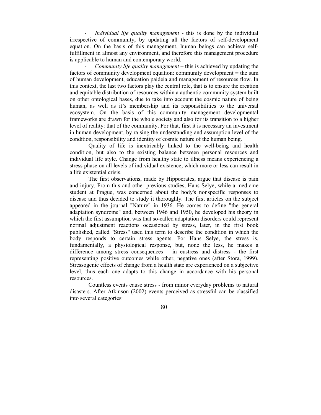- *Individual life quality management* - this is done by the individual irrespective of community, by updating all the factors of self-development equation. On the basis of this management, human beings can achieve selffulfillment in almost any environment, and therefore this management procedure is applicable to human and contemporary world.

- *Community life quality management* – this is achieved by updating the factors of community development equation: community development = the sum of human development, education paideia and management of resources flow. In this context, the last two factors play the central role, that is to ensure the creation and equitable distribution of resources within a authentic community system built on other ontological bases, due to take into account the cosmic nature of being human, as well as it's membership and its responsibilities to the universal ecosystem. On the basis of this community management developmental frameworks are drawn for the whole society and also for its transition to a higher level of reality: that of the community. For that, first it is necessary an investment in human development, by raising the understanding and assumption level of the condition, responsibility and identity of cosmic nature of the human being.

 Quality of life is inextricably linked to the well-being and health condition, but also to the existing balance between personal resources and individual life style. Change from healthy state to illness means experiencing a stress phase on all levels of individual existence, which more or less can result in a life existential crisis.

 The first observations, made by Hippocrates, argue that disease is pain and injury. From this and other previous studies, Hans Selye, while a medicine student at Prague, was concerned about the body's nonspecific responses to disease and thus decided to study it thoroughly. The first articles on the subject appeared in the journal "Nature" in 1936. He comes to define "the general adaptation syndrome" and, between 1946 and 1950, he developed his theory in which the first assumption was that so-called adaptation disorders could represent normal adjustment reactions occasioned by stress, later, in the first book published, called "Stress" used this term to describe the condition in which the body responds to certain stress agents. For Hans Selye, the stress is, fundamentally, a physiological response, but, none the less, he makes a difference among stress consequences – in eustress and distress - the first representing positive outcomes while other, negative ones (after Stora, 1999). Stressogenic effects of change from a health state are experienced on a subjective level, thus each one adapts to this change in accordance with his personal resources.

 Countless events cause stress - from minor everyday problems to natural disasters. After Atkinson (2002) events perceived as stressful can be classified into several categories: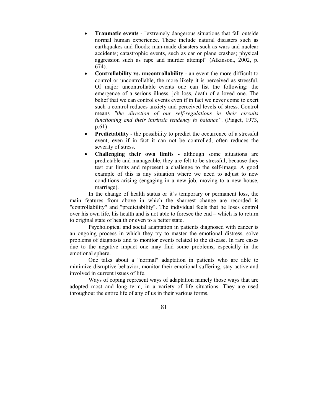- **Traumatic events** "extremely dangerous situations that fall outside normal human experience. These include natural disasters such as earthquakes and floods; man-made disasters such as wars and nuclear accidents; catastrophic events, such as car or plane crashes; physical aggression such as rape and murder attempt" (Atkinson., 2002, p. 674).
- **Controllability vs. uncontrollability** an event the more difficult to control or uncontrollable, the more likely it is perceived as stressful. Of major uncontrollable events one can list the following: the emergence of a serious illness, job loss, death of a loved one. The belief that we can control events even if in fact we never come to exert such a control reduces anxiety and perceived levels of stress. Control means *"the direction of our self-regulations in their circuits functioning and their intrinsic tendency to balance"*. (Piaget, 1973, p.61)
- **Predictability** the possibility to predict the occurrence of a stressful event, even if in fact it can not be controlled, often reduces the severity of stress.
- **Challenging their own limits** although some situations are predictable and manageable, they are felt to be stressful, because they test our limits and represent a challenge to the self-image. A good example of this is any situation where we need to adjust to new conditions arising (engaging in a new job, moving to a new house, marriage).

 In the change of health status or it's temporary or permanent loss, the main features from above in which the sharpest change are recorded is "controllability" and "predictability". The individual feels that he loses control over his own life, his health and is not able to foresee the end – which is to return to original state of health or even to a better state.

 Psychological and social adaptation in patients diagnosed with cancer is an ongoing process in which they try to master the emotional distress, solve problems of diagnosis and to monitor events related to the disease. In rare cases due to the negative impact one may find some problems, especially in the emotional sphere.

 One talks about a "normal" adaptation in patients who are able to minimize disruptive behavior, monitor their emotional suffering, stay active and involved in current issues of life.

 Ways of coping represent ways of adaptation namely those ways that are adopted most and long term, in a variety of life situations. They are used throughout the entire life of any of us in their various forms.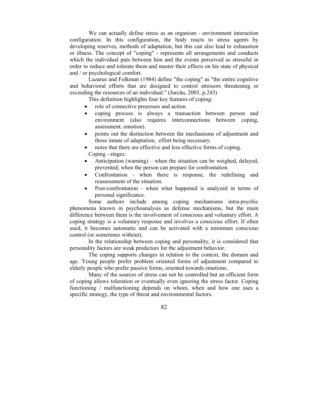We can actually define stress as an organism - environment interaction configuration. In this configuration, the body reacts to stress agents by developing reserves, methods of adaptation, but this can also lead to exhaustion or illness. The concept of "coping" - represents all arrangements and conducts which the individual puts between him and the events perceived as stressful in order to reduce and tolerate them and master their effects on his state of physical and / or psychological comfort.

Lazarus and Folkman (1984) define "the coping" as "the entire cognitive and behavioral efforts that are designed to control stressors threatening or exceeding the resources of an individual." (Jurcău, 2003, p.243)

This definition highlights four key features of coping:

- role of connective processes and action.
- coping process is always a transaction between person and environment (also requires interconnections between coping, assessment, emotion).
- points out the distinction between the mechanisms of adjustment and those innate of adaptation, effort being necessary.
- notes that there are effective and less effective forms of coping. Coping - stages:
- Anticipation (warning) when the situation can be weighed, delayed, prevented; when the person can prepare for confrontation.
- Confrontation when there is response, the redefining and reassessment of the situation.
- Post-confrontation when what happened is analyzed in terms of personal significance.

 Some authors include among coping mechanisms intra-psychic phenomena known in psychoanalysis as defense mechanisms, but the main difference between them is the involvement of conscious and voluntary effort. A coping strategy is a voluntary response and involves a conscious effort. If often used, it becomes automatic and can be activated with a minimum conscious control (or sometimes without).

 In the relationship between coping and personality, it is considered that personality factors are weak predictors for the adjustment behavior.

 The coping supports changes in relation to the context, the domain and age. Young people prefer problem oriented forms of adjustment compared to elderly people who prefer passive forms, oriented towards emotions.

 Many of the sources of stress can not be controlled but an efficient form of coping allows toleration or eventually even ignoring the stress factor. Coping functioning / malfunctioning depends on whom, when and how one uses a specific strategy, the type of threat and environmental factors.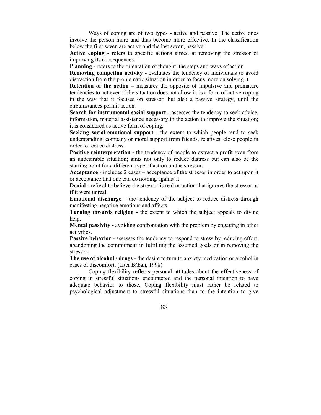Ways of coping are of two types - active and passive. The active ones involve the person more and thus become more effective. In the classification below the first seven are active and the last seven, passive:

**Active coping** - refers to specific actions aimed at removing the stressor or improving its consequences.

**Planning** - refers to the orientation of thought, the steps and ways of action.

**Removing competing activity** - evaluates the tendency of individuals to avoid distraction from the problematic situation in order to focus more on solving it.

**Retention of the action** – measures the opposite of impulsive and premature tendencies to act even if the situation does not allow it; is a form of active coping in the way that it focuses on stressor, but also a passive strategy, until the circumstances permit action.

**Search for instrumental social support** - assesses the tendency to seek advice, information, material assistance necessary in the action to improve the situation; it is considered as active form of coping.

**Seeking social-emotional support** - the extent to which people tend to seek understanding, company or moral support from friends, relatives, close people in order to reduce distress.

**Positive reinterpretation** - the tendency of people to extract a profit even from an undesirable situation; aims not only to reduce distress but can also be the starting point for a different type of action on the stressor.

**Acceptance** - includes 2 cases – acceptance of the stressor in order to act upon it or acceptance that one can do nothing against it.

**Denial** - refusal to believe the stressor is real or action that ignores the stressor as if it were unreal.

**Emotional discharge** – the tendency of the subject to reduce distress through manifesting negative emotions and affects.

**Turning towards religion** - the extent to which the subject appeals to divine help.

**Mental passivity** - avoiding confrontation with the problem by engaging in other activities.

**Passive behavior** - assesses the tendency to respond to stress by reducing effort, abandoning the commitment in fulfilling the assumed goals or in removing the stressor.

**The use of alcohol / drugs** - the desire to turn to anxiety medication or alcohol in cases of discomfort. (after Băban, 1998)

 Coping flexibility reflects personal attitudes about the effectiveness of coping in stressful situations encountered and the personal intention to have adequate behavior to those. Coping flexibility must rather be related to psychological adjustment to stressful situations than to the intention to give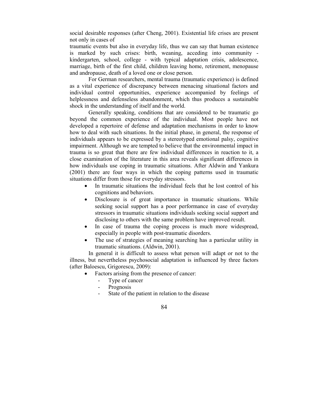social desirable responses (after Cheng, 2001). Existential life crises are present not only in cases of

traumatic events but also in everyday life, thus we can say that human existence is marked by such crises: birth, weaning, acceding into community kindergarten, school, college - with typical adaptation crisis, adolescence, marriage, birth of the first child, children leaving home, retirement, menopause and andropause, death of a loved one or close person.

 For German researchers, mental trauma (traumatic experience) is defined as a vital experience of discrepancy between menacing situational factors and individual control opportunities, experience accompanied by feelings of helplessness and defenseless abandonment, which thus produces a sustainable shock in the understanding of itself and the world.

 Generally speaking, conditions that are considered to be traumatic go beyond the common experience of the individual. Most people have not developed a repertoire of defense and adaptation mechanisms in order to know how to deal with such situations. In the initial phase, in general, the response of individuals appears to be expressed by a stereotyped emotional palsy, cognitive impairment. Although we are tempted to believe that the environmental impact in trauma is so great that there are few individual differences in reaction to it, a close examination of the literature in this area reveals significant differences in how individuals use coping in traumatic situations. After Aldwin and Yankura (2001) there are four ways in which the coping patterns used in traumatic situations differ from those for everyday stressors.

- In traumatic situations the individual feels that he lost control of his cognitions and behaviors.
- Disclosure is of great importance in traumatic situations. While seeking social support has a poor performance in case of everyday stressors in traumatic situations individuals seeking social support and disclosing to others with the same problem have improved result.
- In case of trauma the coping process is much more widespread, especially in people with post-traumatic disorders.
- The use of strategies of meaning searching has a particular utility in traumatic situations. (Aldwin, 2001).

 In general it is difficult to assess what person will adapt or not to the illness, but nevertheless psychosocial adaptation is influenced by three factors (after Baloescu, Grigorescu, 2009):

- Factors arising from the presence of cancer:
	- Type of cancer
	- Prognosis
	- State of the patient in relation to the disease
		- 84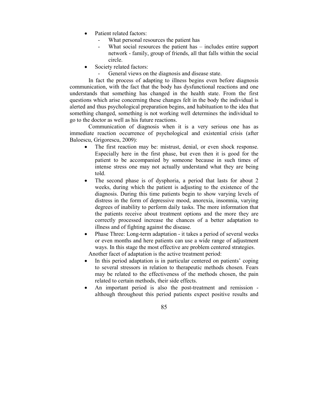- Patient related factors:
	- What personal resources the patient has
	- What social resources the patient has  $-$  includes entire support network - family, group of friends, all that falls within the social circle.
- Society related factors:
	- General views on the diagnosis and disease state.

 In fact the process of adapting to illness begins even before diagnosis communication, with the fact that the body has dysfunctional reactions and one understands that something has changed in the health state. From the first questions which arise concerning these changes felt in the body the individual is alerted and thus psychological preparation begins, and habituation to the idea that something changed, something is not working well determines the individual to go to the doctor as well as his future reactions.

 Communication of diagnosis when it is a very serious one has as immediate reaction occurrence of psychological and existential crisis (after Baloescu, Grigorescu, 2009):

- The first reaction may be: mistrust, denial, or even shock response. Especially here in the first phase, but even then it is good for the patient to be accompanied by someone because in such times of intense stress one may not actually understand what they are being told.
- The second phase is of dysphoria, a period that lasts for about 2 weeks, during which the patient is adjusting to the existence of the diagnosis. During this time patients begin to show varying levels of distress in the form of depressive mood, anorexia, insomnia, varying degrees of inability to perform daily tasks. The more information that the patients receive about treatment options and the more they are correctly processed increase the chances of a better adaptation to illness and of fighting against the disease.
- Phase Three: Long-term adaptation it takes a period of several weeks or even months and here patients can use a wide range of adjustment ways. In this stage the most effective are problem centered strategies.

Another facet of adaptation is the active treatment period:

- In this period adaptation is in particular centered on patients' coping to several stressors in relation to therapeutic methods chosen. Fears may be related to the effectiveness of the methods chosen, the pain related to certain methods, their side effects.
- An important period is also the post-treatment and remission although throughout this period patients expect positive results and
	- 85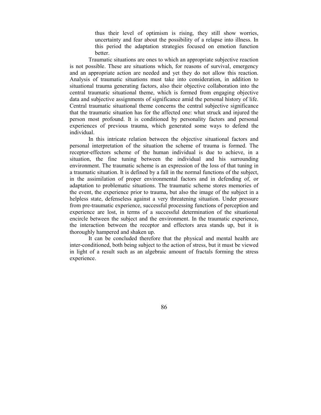thus their level of optimism is rising, they still show worries, uncertainty and fear about the possibility of a relapse into illness. In this period the adaptation strategies focused on emotion function better.

 Traumatic situations are ones to which an appropriate subjective reaction is not possible. These are situations which, for reasons of survival, emergency and an appropriate action are needed and yet they do not allow this reaction. Analysis of traumatic situations must take into consideration, in addition to situational trauma generating factors, also their objective collaboration into the central traumatic situational theme, which is formed from engaging objective data and subjective assignments of significance amid the personal history of life. Central traumatic situational theme concerns the central subjective significance that the traumatic situation has for the affected one: what struck and injured the person most profound. It is conditioned by personality factors and personal experiences of previous trauma, which generated some ways to defend the individual.

 In this intricate relation between the objective situational factors and personal interpretation of the situation the scheme of trauma is formed. The receptor-effectors scheme of the human individual is due to achieve, in a situation, the fine tuning between the individual and his surrounding environment. The traumatic scheme is an expression of the loss of that tuning in a traumatic situation. It is defined by a fall in the normal functions of the subject, in the assimilation of proper environmental factors and in defending of, or adaptation to problematic situations. The traumatic scheme stores memories of the event, the experience prior to trauma, but also the image of the subject in a helpless state, defenseless against a very threatening situation. Under pressure from pre-traumatic experience, successful processing functions of perception and experience are lost, in terms of a successful determination of the situational encircle between the subject and the environment. In the traumatic experience, the interaction between the receptor and effectors area stands up, but it is thoroughly hampered and shaken up.

 It can be concluded therefore that the physical and mental health are inter-conditioned, both being subject to the action of stress, but it must be viewed in light of a result such as an algebraic amount of fractals forming the stress experience.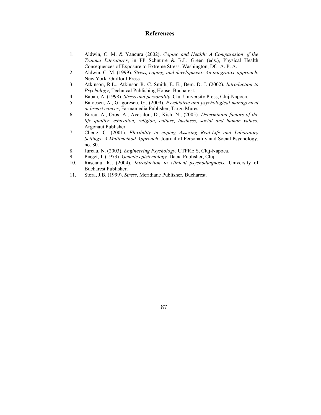### **References**

- 1. Aldwin, C. M. & Yancura (2002). *Coping and Health: A Comparasion of the Trauma Literatures*, in PP Schnurre & B.L. Green (eds.), Physical Health Consequences of Exposure to Extreme Stress. Washington, DC: A. P. A.
- 2. Aldwin, C. M. (1999). *Stress, coping, and development: An integrative approach.*  New York: Guilford Press.
- 3. Atkinson, R.L., Atkinson R. C. Smith, E. E., Bem. D. J. (2002). *Introduction to Psychology*, Technical Publishing House, Bucharest.
- 4. Baban, A. (1998). *Stress and personality*. Cluj University Press, Cluj-Napoca.
- 5. Baloescu, A., Grigorescu, G., (2009). *Psychiatric and psychological management in breast cancer*, Farmamedia Publisher, Targu Mures.
- 6. Burcu, A., Oros, A., Avesalon, D., Kish, N., (2005). *Determinant factors of the life quality: education, religion, culture, business, social and human values*, Argonaut Publisher.
- 7. Cheng, C. (2001). *Flexibility in coping Assesing Real-Life and Laboratory Settings: A Multimethod Approach.* Journal of Personality and Social Psychology, no. 80.
- 8. Jurcau, N. (2003). *Engineering Psychology*, UTPRE S, Cluj-Napoca.
- 9. Piaget, J. (1973). *Genetic epistemology*. Dacia Publisher, Cluj.
- 10. Rascanu. R., (2004). *Introduction to clinical psychodiagnosis.* University of Bucharest Publisher.
- 11. Stora, J.B. (1999). *Stress*, Meridiane Publisher, Bucharest.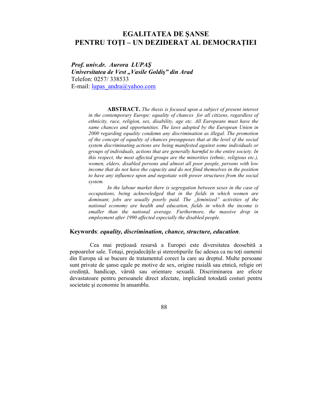# **EGALITATEA DE ŞANSE PENTRU TOTI – UN DEZIDERAT AL DEMOCRATIEI**

 *Prof. univ.dr. Aurora LUPAŞ Universitatea de Vest "Vasile Goldiş" din Arad*  Telefon: 0257/ 338533 E-mail:  $lupas$  andra@yahoo.com

> **ABSTRACT.** *The thesis is focused upon a subject of present interest in the contemporary Europe: equality of chances for all citizens, regardless of ethnicity, race, religion, sex, disability, age etc. All Europeans must have the same chances and opportunities. The laws adopted by the European Union in 2000 regarding equality condemn any discrimination as illegal. The promotion of the concept of equality of chances presupposes that at the level of the social system discriminating actions are being manifested against some individuals or groups of individuals, actions that are generally harmful to the entire society. In this respect, the most affected groups are the minorities (ethnic, religious etc.), women, elders, disabled persons and almost all poor people, persons with low income that do not have the capacity and do not fiind themselves in the position to have any influence upon and negotiate with power structures from the social system.*

> *In the labour market there is segregation between sexes in the case of occupations, being acknowledged that in the fields in which women are*  dominant, jobs are usually poorly paid. The "feminized" activities of the *national economy are health and education, fields in which the income is smaller than the national average. Furthermore, the massive drop in employment after 1990 affected especially the disabled people.*

### **Keywords**: *equality, discrimination, chance, structure, education*.

Cea mai prețioasă resursă a Europei este diversitatea deosebită a popoarelor sale. Totusi, prejudecătile și stereotipurile fac adesea ca nu toti oamenii din Europa să se bucure de tratamentul corect la care au dreptul. Multe persoane sunt private de şanse egale pe motive de sex, origine rasială sau etnică, religie ori credinŃă, handicap, vârstă sau orientare sexuală. Discriminarea are efecte devastatoare pentru persoanele direct afectate, implicând totodată costuri pentru societate şi economie în ansamblu.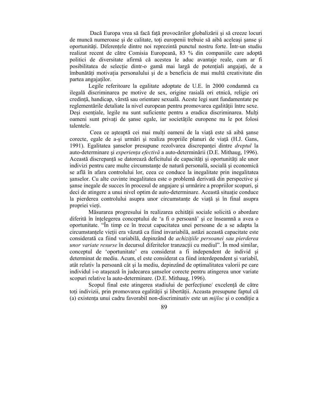Dacă Europa vrea să facă față provocărilor globalizării și să creeze locuri de muncă numeroase și de calitate, toți europenii trebuie să aibă aceleași șanse și oportunități. Diferențele dintre noi reprezintă punctul nostru forte. Într-un studiu realizat recent de către Comisia Europeană, 83 % din companiile care adoptă politici de diversitate afirmă că acestea le aduc avantaje reale, cum ar fi posibilitatea de selectie dintr-o gamă mai largă de potentiali angajati, de a îmbunătăți motivația personalului și de a beneficia de mai multă creativitate din partea angajatilor.

Legile referitoare la egalitate adoptate de U.E. în 2000 condamnă ca ilegală discriminarea pe motive de sex, origine rasială ori etnică, religie ori credintă, handicap, vârstă sau orientare sexuală. Aceste legi sunt fundamentate pe reglementările detaliate la nivel european pentru promovarea egalității între sexe. Deși esențiale, legile nu sunt suficiente pentru a eradica discriminarea. Mulți oameni sunt privati de sanse egale, iar societățile europene nu le pot folosi talentele.

Ceea ce așteaptă cei mai mulți oameni de la viață este să aibă șanse corecte, egale de a-și urmări și realiza propriile planuri de viață (H.J. Gans, 1991). Egalitatea șanselor presupune rezolvarea discrepanței dintre *dreptul* la auto-determinare și *experiența efectivă* a auto-determinării (D.E. Mithaug, 1996). Această discrepantă se datorează deficitului de capacități și oportunități ale unor indivizi pentru care multe circumstanțe de natură personală, socială și economică se află în afara controlului lor, ceea ce conduce la inegalitate prin inegalitatea şanselor. Cu alte cuvinte inegalitatea este o problemă derivată din perspective şi şanse inegale de succes în procesul de angajare şi urmărire a propriilor scopuri, şi deci de atingere a unui nivel optim de auto-determinare. Această situație conduce la pierderea controlului asupra unor circumstanțe de viață și în final asupra propriei vieti.

Măsurarea progresului în realizarea echitătii sociale solicită o abordare diferită în întelegerea conceptului de 'a fi o persoană' și ce înseamnă a avea o oportunitate. "În timp ce în trecut capacitatea unei persoane de a se adapta la circumstanțele vieții era văzută ca fiind invariabilă, astăzi această capacitate este considerată ca fiind variabilă, depinzând de *achizițiile persoanei sau pierderea unor variate resurse* în decursul diferitelor tranzacții cu mediul". În mod similar, conceptul de 'oportunitate' era considerat a fi independent de individ şi determinat de mediu. Acum, el este considerat ca fiind interdependent şi variabil, atât relativ la persoană cât şi la mediu, depinzând de optimalitatea valorii pe care individul i-o ataşează în judecarea şanselor corecte pentru atingerea unor variate scopuri relative la auto-determinare. (D.E. Mithaug, 1996).

Scopul final este atingerea stadiului de perfecțiune/ excelență de către toți indivizii, prin promovarea egalității și libertății. Aceasta presupune faptul că (a) existența unui cadru favorabil non-discriminativ este un *mijloc* și o condiție a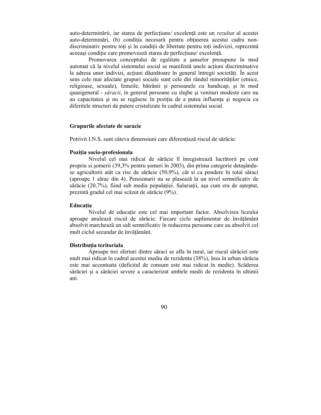auto-determinării, iar starea de perfectiune/ excelentă este un *rezultat* al acestei auto-determinări, (b) condiția necesară pentru obținerea acestui cadru nondiscriminativ pentru toți și în condiții de libertate pentru toți indivizii, reprezintă aceeași condiție care promovează starea de perfecțiune/ excelență.

Promovarea conceptului de egalitate a şanselor presupune în mod automat că la nivelul sistemului social se manifestă unele actiuni discriminative la adresa unor indivizi, acțiuni dăunătoare în general întregii societăți. În acest sens cele mai afectate grupuri sociale sunt cele din rândul minorităților (etnice, religioase, sexuale), femeile, bătrânii şi persoanele cu handicap, şi în mod quasigeneral - *săracii*, în general persoane cu slujbe şi venituri modeste care nu au capacitatea și nu se regăsesc în pozitia de a putea influenta și negocia cu diferitele structuri de putere cristalizate în cadrul sistemului social.

#### **Grupurile afectate de saracie**

Potrivit I.N.S. sunt câteva dimensiuni care diferențiază riscul de sărăcie:

#### Poziția socio-profesionala

Nivelul cel mai ridicat de sărăcie îl înregistrează lucrătorii pe cont propriu si şomerii (39,3% pentru şomeri în 2003), din prima categorie detaşânduse agricultorii atât ca risc de sărăcie (50,9%), cât si ca pondere în total săraci (aproape 1 sărac din 4). Pensionarii nu se plasează la un nivel semnificativ de sărăcie  $(20,7\%)$ , fiind sub media populației. Salariații, așa cum era de așteptat, prezintă gradul cel mai scăzut de sărăcie (9%).

### **Educatia**

Nivelul de educatie este cel mai important factor. Absolvirea liceului aproape anulează riscul de sărăcie. Fiecare ciclu suplimentar de învățământ absolvit marchează un salt semnificativ în reducerea persoane care au absolvit cel mult ciclul secundar de învățământ.

#### **Distributia teritoriala**

Aproape trei sferturi dintre săraci se afla în rural, iar riscul sărăciei este mult mai ridicat în cadrul acestui mediu de rezidenta (38%), însa în urban sărăcia este mai accentuata (deficitul de consum este mai ridicat în medie). Scăderea sărăciei şi a sărăciei severe a caracterizat ambele medii de rezidenta în ultimii ani.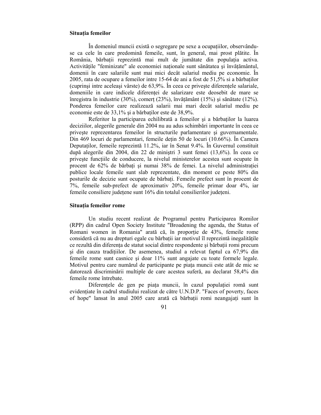### **Situatia femeilor**

În domeniul muncii există o segregare pe sexe a ocupațiilor, observânduse ca cele în care predomină femeile, sunt, în general, mai prost plătite. În România, bărbatii reprezintă mai mult de jumătate din populația activa. Activitățile "feminizate" ale economiei naționale sunt sănătatea și învățământul, domenii în care salariile sunt mai mici decât salariul mediu pe economie. În  $2005$ , rata de ocupare a femeilor intre 15-64 de ani a fost de 51,5% si a bărbaților (cuprinsi intre aceleași vârste) de  $63,9\%$ . În ceea ce privește diferențele salariale, domeniile in care indicele diferenței de salarizare este deosebit de mare se înregistra în industrie (30%), comert (23%), învătământ (15%) și sănătate (12%). Ponderea femeilor care realizează salarii mai mari decât salariul mediu pe economie este de 33,1% și a bărbaților este de 38,9%.

Referitor la participarea echilibrată a femeilor și a bărbaților la luarea deciziilor, alegerile generale din 2004 nu au adus schimbări importante în ceea ce priveşte reprezentarea femeilor în structurile parlamentare şi guvernamentale. Din 469 locuri de parlamentari, femeile detin 50 de locuri (10.66%). În Camera Deputaților, femeile reprezintă 11.2%, iar în Senat 9.4%. În Guvernul constituit după alegerile din 2004, din 22 de miniştri 3 sunt femei (13,6%). În ceea ce priveste functiile de conducere, la nivelul ministerelor acestea sunt ocupate în procent de 62% de bărbați și numai 38% de femei. La nivelul administrației publice locale femeile sunt slab reprezentate, din moment ce peste 80% din posturile de decizie sunt ocupate de bărbați. Femeile prefect sunt în procent de 7%, femeile sub-prefect de aproximativ 20%, femeile primar doar 4%, iar femeile consiliere județene sunt 16% din totalul consilierilor județeni.

#### **Situația femeilor rome**

Un studiu recent realizat de Programul pentru Participarea Romilor (RPP) din cadrul Open Society Institute "Broadening the agenda, the Status of Romani women in Romania" arată că, în proporție de 43%, femeile rome consideră că nu au drepturi egale cu bărbații iar motivul îl reprezintă inegalitățile ce rezultă din diferența de statut social dintre respondente și bărbații romi precum si din cauza traditiilor. De asemenea, studiul a relevat faptul ca 67,9% din femeile rome sunt casnice şi doar 11% sunt angajate cu toate formele legale. Motivul pentru care numărul de participante pe piața muncii este atât de mic se datorează discriminării multiple de care acestea suferă, au declarat 58,4% din femeile rome întrebate.

Diferentele de gen pe piața muncii, în cazul populației romă sunt evidențiate în cadrul studiului realizat de către U.N.D.P. "Faces of poverty, faces of hope" lansat în anul 2005 care arată că bărbații romi neangajați sunt în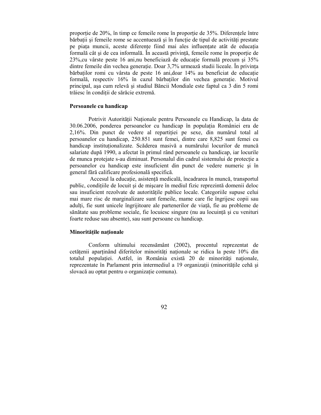proportie de 20%, în timp ce femeile rome în proportie de 35%. Diferentele între bărbații și femeile rome se accentuează și în funcție de tipul de activități prestate pe piața muncii, aceste diferențe fiind mai ales influențate atât de educația formală cât și de cea informală. În această privință, femeile rome în proporție de  $23\%$ ,cu vârste peste 16 ani,nu beneficiază de educatie formală precum și  $35\%$ dintre femeile din vechea generatie. Doar  $3.7\%$  urmează studii liceale. În privinta bărbaților romi cu vârsta de peste 16 ani,doar 14% au beneficiat de educație formală, respectiv 16% în cazul bărbaților din vechea generație. Motivul principal, aşa cum relevă şi studiul Băncii Mondiale este faptul ca 3 din 5 romi trăiesc în condiții de sărăcie extremă.

#### **Persoanele cu handicap**

Potrivit Autorității Naționale pentru Persoanele cu Handicap, la data de 30.06.2006, ponderea persoanelor cu handicap în populația României era de 2,16%. Din punct de vedere al repartiției pe sexe, din numărul total al persoanelor cu handicap, 250.851 sunt femei, dintre care 8,825 sunt femei cu handicap institutionalizate. Scăderea masivă a numărului locurilor de muncă salariate după 1990, a afectat în primul rând persoanele cu handicap, iar locurile de munca protejate s-au diminuat. Personalul din cadrul sistemului de protectie a persoanelor cu handicap este insuficient din punct de vedere numeric şi în general fără calificare profesională specifică.

Accesul la educație, asistență medicală, încadrarea în muncă, transportul public, conditiile de locuit și de mișcare în mediul fizic reprezintă domenii deloc sau insuficient rezolvate de autoritățile publice locale. Categoriile supuse celui mai mare risc de marginalizare sunt femeile, mame care fie îngrijesc copii sau adulti, fie sunt unicele îngrijitoare ale partenerilor de viată, fie au probleme de sănătate sau probleme sociale, fie locuiesc singure (nu au locuință și cu venituri foarte reduse sau absente), sau sunt persoane cu handicap.

#### **Minoritățile naționale**

Conform ultimului recensământ (2002), procentul reprezentat de cetătenii apartinând diferitelor minorităti nationale se ridica la peste 10% din totalul populației. Astfel, in România există 20 de minorități naționale, reprezentate în Parlament prin intermediul a 19 organizații (minoritățile cehă și slovacă au optat pentru o organizație comuna).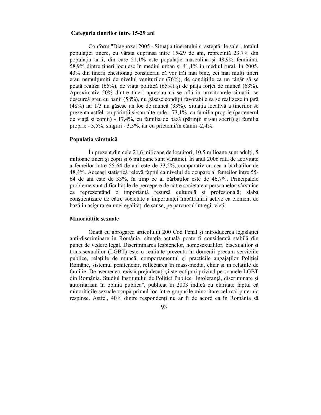#### **Categoria tinerilor între 15-29 ani**

Conform "Diagnozei 2005 - Situația tineretului si așteptările sale", totalul populației tinere, cu vârsta cuprinsa intre 15-29 de ani, reprezintă 23,7% din populația tarii, din care 51,1% este populație masculină și 48,9% feminină. 58,9% dintre tineri locuiesc în mediul urban şi 41,1% în mediul rural. În 2005, 43% din tinerii chestionați considerau că vor trăi mai bine, cei mai mulți tineri erau nemulțumiți de nivelul veniturilor (76%), de condițiile ca un tânăr să se poată realiza (65%), de viața politică (65%) și de piața forței de muncă (63%). Aproximativ 50% dintre tineri apreciau că se află în următoarele situații: se descurcă greu cu banii (58%), nu găsesc conditii favorabile sa se realizeze în tară  $(48%)$  iar  $1/3$  nu găsesc un loc de muncă  $(33%)$ . Situația locativă a tinerilor se prezenta astfel: cu părinții și/sau alte rude - 73,1%, cu familia proprie (partenerul de viață și copiii) - 17,4%, cu familia de bază (părinții și/sau socrii) și familia proprie - 3,5%, singuri - 3,3%, iar cu prietenii/în cămin -2,4%.

### Populația vârstnică

 $\hat{\text{In}}$  prezent, din cele 21,6 milioane de locuitori, 10,5 milioane sunt adulti, 5 milioane tineri şi copii şi 6 milioane sunt vârstnici. În anul 2006 rata de activitate a femeilor între 55-64 de ani este de 33,5%, comparativ cu cea a bărbaților de 48,4%. Aceeaşi statistică relevă faptul ca nivelul de ocupare al femeilor între 55- 64 de ani este de 33%, în timp ce al bărbaților este de 46,7%. Principalele probleme sunt dificultățile de percepere de către societate a persoanelor vârstnice ca reprezentând o importantă resursă culturală şi profesională; slaba conștientizare de către societate a importanței îmbătrânirii active ca element de bază în asigurarea unei egalități de șanse, pe parcursul întregii vieți.

#### **Minoritățile sexuale**

Odată cu abrogarea articolului 200 Cod Penal și introducerea legislației anti-discriminare în România, situația actuală poate fi considerată stabilă din punct de vedere legal. Discriminarea lesbienelor, homosexualilor, bisexualilor şi trans-sexualilor (LGBT) este o realitate prezentă în domenii precum serviciile publice, relatiile de muncă, comportamentul și practicile angajatilor Politiei Române, sistemul penitenciar, reflectarea în mass-media, chiar și în relațiile de familie. De asemenea, există prejudecați și stereotipuri privind persoanele LGBT din România. Studiul Institutului de Politici Publice "Intoleranță, discriminare și autoritarism în opinia publica", publicat în 2003 indică cu claritate faptul că minoritățile sexuale ocupă primul loc între grupurile minoritare cel mai puternic respinse. Astfel, 40% dintre respondenți nu ar fi de acord ca în România să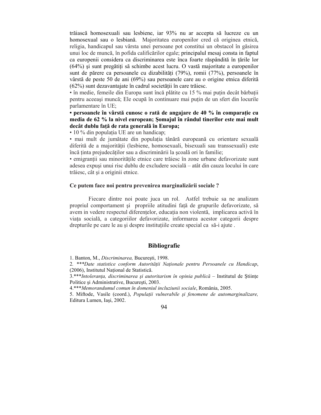trăiască homosexuali sau lesbiene, iar 93% nu ar accepta să lucreze cu un homosexual sau o lesbiană. Majoritatea europenilor cred că originea etnică, religia, handicapul sau vârsta unei persoane pot constitui un obstacol în găsirea unui loc de muncă, în pofida calificărilor egale; principalul mesaj consta in faptul ca europenii considera ca discriminarea este înca foarte răspândită în tările lor  $(64%)$  si sunt pregătiti să schimbe acest lucru. O vastă majoritate a europenilor sunt de părere ca persoanele cu dizabilități (79%), romii (77%), persoanele în vârstă de peste 50 de ani (69%) sau persoanele care au o origine etnica diferită  $(62%)$  sunt dezavantajate în cadrul societății în care trăiesc.

• în medie, femeile din Europa sunt încă plătite cu 15 % mai putin decât bărbatii pentru aceeasi muncă; Ele ocupă în continuare mai putin de un sfert din locurile parlamentare în UE;

• persoanele în vârstă cunosc o rată de angajare de 40 % în comparație cu **media de 62 % la nivel european; Şomajul în rândul tinerilor este mai mult**  decât dublu fată de rata generală în Europa;

 $\cdot$  10 % din populația UE are un handicap;

· mai mult de jumătate din populația tânără europeană cu orientare sexuală diferită de a majorității (lesbiene, homosexuali, bisexuali sau transsexuali) este încă tinta prejudecătilor sau a discriminării la scoală ori în familie;

• emigrantii sau minoritățile etnice care trăiesc în zone urbane defavorizate sunt adesea expuşi unui risc dublu de excludere socială – atât din cauza locului în care trăiesc, cât şi a originii etnice.

#### **Ce putem face noi pentru prevenirea marginalizării sociale ?**

 Fiecare dintre noi poate juca un rol. Astfel trebuie sa ne analizam propriul comportament și propriile atitudini fată de grupurile defavorizate, să avem in vedere respectul diferentelor, educatia non violentă, implicarea activă în viata socială, a categoriilor defavorizate, informarea acestor categorii despre drepturile pe care le au si despre instituțiile create special ca să-i ajute.

### **Bibliografie**

1. Banton, M., *Discriminarea,* Bucureşti, 1998.

2. \*\*\*Date statistice conform Autorității Nationale pentru Persoanele cu Handicap, (2006), Institutul Național de Statistică.

3.\*\*\**Intoleranța, discriminarea și autoritarism în opinia publică* – Institutul de Științe Politice şi Administrative, Bucureşti, 2003.

4.\*\*\**Memorandumul comun în domeniul incluziunii sociale*, România, 2005.

5. Miftode, Vasile (coord.), Populații vulnerabile și fenomene de automarginalizare, Editura Lumen, Iaşi, 2002.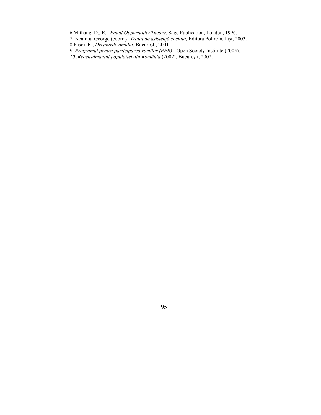6.Mithaug, D., E., *Equal Opportunity Theory*, Sage Publication, London, 1996.

- 7. Neamțu, George (coord.), Tratat de asistență socială, Editura Polirom, Iași, 2003.
- 8.Paşoi, R., *Drepturile omului*, Bucureşti, 2001.
- *9. Programul pentru participarea romilor (PPR)* Open Society Institute (2005).
- 10 .Recensământul populației din România (2002), București, 2002.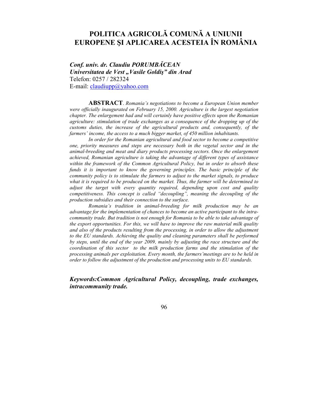# **POLITICA AGRICOLĂ COMUNĂ A UNIUNII EUROPENE ŞI APLICAREA ACESTEIA ÎN ROMÂNIA**

*Conf. univ. dr. Claudiu PORUMBĂCEAN Universitatea de Vest "Vasile Goldiş" din Arad*  Telefon: 0257 / 282324 E-mail: *claudiupp@yahoo.com* 

**ABSTRACT**. *Romania's negotiations to become a European Union member were officially inaugurated on February 15, 2000. Agriculture is the largest negotiation chapter. The enlargement had and will certainly have positive effects upon the Romanian agriculture: stimulation of trade exchanges as a consequence of the dropping up of the customs duties, the increase of the agricultural products and, consequently, of the farmers' income, the access to a much bigger market, of 450 million inhabitants.* 

 *In order for the Romanian agricultural and food sector to become a competitive one, priority measures and steps are necessary both in the vegetal sector and in the animal-breeding and meat and diary products processing sectors. Once the enlargement achieved, Romanian agriculture is taking the advantage of different types of assistance within the framework of the Common Agricultural Policy, but in order to absorb these*  funds it is important to know the governing principles. The basic principle of the *community policy is to stimulate the farmers to adjust to the market signals, to produce what it is required to be produced on the market. Thus, the farmer will be determined to adjust the target with every quantity required, depending upon cost and quality competitiveness. This concept is called "decoupling", meaning the decoupling of the production subsidies and their connection to the surface.* 

 *Romania's tradition in animal-breeding for milk production may be an advantage for the implementation of chances to become an active participant to the intracommunity trade. But tradition is not enough for Romania to be able to take advantage of the export opportunities. For this, we will have to improve the raw material milk quality and also of the products resulting from the processing, in order to allow the adjustment*  to the EU standards. Achieving the quality and cleaning parameters shall be performed *by steps, until the end of the year 2009, mainly by adjusting the race structure and the coordination of this sector to the milk production farms and the stimulation of the processing animals per exploitation. Every month, the farmers'meetings are to be held in order to follow the adjustment of the production and processing units to EU standards.* 

### *Keywords:Common Agricultural Policy, decoupling, trade exchanges, intracommunity trade.*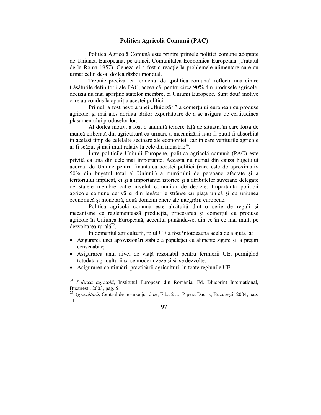### **Politica Agricolă Comună (PAC)**

 Politica Agricolă Comună este printre primele politici comune adoptate de Uniunea Europeană, pe atunci, Comunitatea Economică Europeană (Tratatul de la Roma 1957). Geneza ei a fost o reactie la problemele alimentare care au urmat celui de-al doilea război mondial.

Trebuie precizat că termenul de "politică comună" reflectă una dintre trăsăturile definitorii ale PAC, aceea că, pentru circa 90% din produsele agricole, decizia nu mai aparține statelor membre, ci Uniunii Europene. Sunt două motive care au condus la apariția acestei politici:

Primul, a fost nevoia unei "fluidizări" a comertului european cu produse agricole, si mai ales dorinta tărilor exportatoare de a se asigura de certitudinea plasamentului produselor lor.

Al doilea motiv, a fost o anumită temere față de situația în care forța de muncă eliberată din agricultură ca urmare a mecanizării n-ar fi putut fi absorbită în acelaşi timp de celelalte sectoare ale economiei, caz în care veniturile agricole ar fi scăzut și mai mult relativ la cele din industrie<sup>74</sup>.

 Între politicile Uniunii Europene, politica agricolă comună (PAC) este privită ca una din cele mai importante. Aceasta nu numai din cauza bugetului acordat de Uniune pentru finanțarea acestei politici (care este de aproximativ 50% din bugetul total al Uniunii) a numărului de persoane afectate şi a teritoriului implicat, ci și a importanței istorice și a atributelor suverane delegate de statele membre către nivelul comunitar de decizie. Importanța politicii agricole comune derivă și din legăturile strânse cu piața unică și cu uniunea economică şi monetară, două domenii cheie ale integrării europene.

 Politica agricolă comună este alcătuită dintr-o serie de reguli şi mecanisme ce reglementează producția, procesarea și comerțul cu produse agricole în Uniunea Europeană, accentul punându-se, din ce în ce mai mult, pe dezvoltarea rurală<sup>75</sup>.

În domeniul agriculturii, rolul UE a fost întotdeauna acela de a ajuta la:

- Asigurarea unei aprovizionări stabile a populației cu alimente sigure și la prețuri convenabile;
- · Asigurarea unui nivel de viață rezonabil pentru fermierii UE, permițând totodată agriculturii să se modernizeze şi să se dezvolte;
- Asigurarea continuării practicării agriculturii în toate regiunile UE

 $\overline{a}$ 

<sup>74</sup> *Politica agricolă*, Institutul European din România, Ed. Blueprint International, Bucureşti, 2003, pag. 5.

<sup>75</sup> *Agricultură*, Centrul de resurse juridice, Ed.a 2-a.- Pipera Dacris, Bucureşti, 2004, pag. 11.

<sup>97</sup>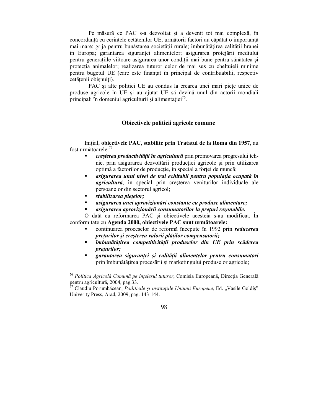Pe măsură ce PAC s-a dezvoltat şi a devenit tot mai complexă, în concordantă cu cerintele cetătenilor UE, următorii factori au căpătat o importanță mai mare: grija pentru bunăstarea societății rurale; îmbunătățirea calității hranei în Europa; garantarea siguranței alimentelor; asigurarea protejării mediului pentru generatiile viitoare asigurarea unor conditii mai bune pentru sănătatea și protectia animalelor; realizarea tuturor celor de mai sus cu cheltuieli minime pentru bugetul UE (care este finanțat în principal de contribuabilii, respectiv cetățenii obișnuiți).

PAC și alte politici UE au condus la crearea unei mari piețe unice de produse agricole în UE şi au ajutat UE să devină unul din actorii mondiali principali în domeniul agriculturii și alimentației<sup>76</sup>.

#### **Obiectivele politicii agricole comune**

Initial, obiectivele PAC, stabilite prin Tratatul de la Roma din 1957, au fost următoarele:<sup>77</sup>

- *creșterea productivității în agricultură* prin promovarea progresului tehnic, prin asigurarea dezvoltării producției agricole și prin utilizarea optimă a factorilor de producție, în special a forței de muncă;
- asigurarea unui nivel de trai echitabil pentru populația ocupată în *agricultură*, în special prin creşterea veniturilor individuale ale persoanelor din sectorul agricol;
- $stabilizarea piețelor;$

 $\overline{a}$ 

- *asigurarea unei aprovizionări constante cu produse alimentare;*
- *asigurarea aprovizionării consumatorilor la preturi rezonabile.*

O dată cu reformarea PAC şi obiectivele acesteia s-au modificat. În conformitate cu **Agenda 2000, obiectivele PAC sunt următoarele:**

- continuarea proceselor de reformă începute în 1992 prin *reducerea prețurilor și creșterea valorii plăților compensatorii;*
- *îmbunătățirea competitivității produselor din UE prin scăderea*  $$
- garantarea sigurantei și calității alimentelor pentru consumatori prin îmbunătățirea procesării și marketingului produselor agricole;

Claudiu Porumbăcean, *Poiliticile și instituțiile Uniunii Europene*, Ed. "Vasile Goldiș" Univerity Press, Arad, 2009, pag. 143-144.



<sup>&</sup>lt;sup>76</sup> Politica Agricolă Comună pe înțelesul tuturor, Comisia Europeană, Direcția Generală pentru agricultură, 2004, pag.33.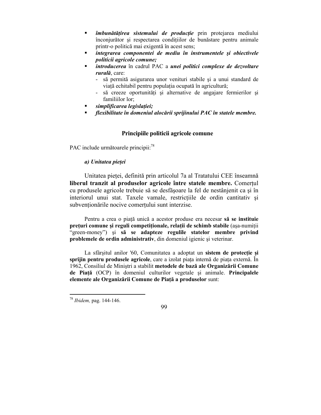- *îmbunătățirea sistemului de producție* prin protejarea mediului înconjurător și respectarea condițiilor de bunăstare pentru animale printr-o politică mai exigentă în acest sens;
- *integrarea componentei de mediu în instrumentele şi obiectivele politicii agricole comune;*
- *introducerea* în cadrul PAC a *unei politici complexe de dezvoltare rurală*, care:
	- să permită asigurarea unor venituri stabile şi a unui standard de viață echitabil pentru populația ocupată în agricultură;
	- să creeze oportunități și alternative de angajare fermierilor și familiilor lor;
- $simplificarea legislatiei;$
- *flexibilitate în domeniul alocării sprijinului PAC în statele membre.*

### **Principiile politicii agricole comune**

PAC include următoarele principii:<sup>78</sup>

### *a*) Unitatea pieței

Unitatea pieței, definită prin articolul 7a al Tratatului CEE înseamnă **liberul tranzit al produselor agricole între statele membre.** Comertul cu produsele agricole trebuie să se desfăşoare la fel de nestânjenit ca şi în interiorul unui stat. Taxele vamale, restrictiile de ordin cantitativ și subvenționările nocive comerțului sunt interzise.

Pentru a crea o piață unică a acestor produse era necesar să se instituie prețuri comune și reguli competiționale, relații de schimb stabile (asa-numitii "green-money") şi **să se adapteze regulile statelor membre privind problemele de ordin administrativ**, din domeniul igienic şi veterinar.

La sfârsitul anilor '60, Comunitatea a adoptat un **sistem de protectie și** sprijin pentru produsele agricole, care a izolat piața internă de piața externă. În 1962, Consiliul de Miniştri a stabilit **metodele de bază ale Organizării Comune de PiaŃă** (OCP) în domeniul culturilor vegetale şi animale. **Principalele**  elemente ale Organizării Comune de Piață a produselor sunt:

 $\overline{a}$ 

<sup>78</sup> *Ibidem,* pag. 144-146.

<sup>99</sup>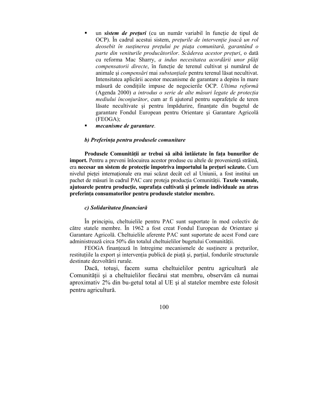- un *sistem de preturi* (cu un număr variabil în funcție de tipul de OCP). În cadrul acestui sistem, *prețurile de intervenție joacă un rol* deosebit în susținerea prețului pe piața comunitară, garantând o parte din veniturile producătorilor. *Scăderea acestor prețuri*, o dată cu reforma Mac Sharry, *a indus necesitatea acordării unor plăți compensatorii directe*, în funcție de terenul cultivat și numărul de animale și *compensări* mai *substanțiale* pentru terenul lăsat necultivat. Intensitatea aplicării acestor mecanisme de garantare a depins în mare măsură de condițiile impuse de negocierile OCP. *Ultima reformă* (Agenda 2000) *a introdus o serie de alte măsuri legate de protecția mediului înconjurător*, cum ar fi ajutorul pentru suprafetele de teren lăsate necultivate și pentru împădurire, finanțate din bugetul de garantare Fondul European pentru Orientare şi Garantare Agricolă (FEOGA);
- *mecanisme de garantare*.

#### *b)* Preferința pentru produsele comunitare

Produsele Comunității ar trebui să aibă întâietate în fata bunurilor de **import.** Pentru a preveni înlocuirea acestor produse cu altele de proveniență străină, era necesar un sistem de protecție împotriva importului la prețuri scăzute. Cum nivelul pieței internaționale era mai scăzut decât cel al Uniunii, a fost institui un pachet de măsuri în cadrul PAC care proteja producția Comunității. **Taxele vamale,** ajutoarele pentru producție, suprafața cultivată și primele individuale au atras **preferinta consumatorilor pentru produsele statelor membre.** 

#### *c) Solidaritatea financiară*

În principiu, cheltuielile pentru PAC sunt suportate în mod colectiv de către statele membre. În 1962 a fost creat Fondul European de Orientare şi Garantare Agricolă. Cheltuielile aferente PAC sunt suportate de acest Fond care administrează circa 50% din totalul cheltuielilor bugetului Comunității.

FEOGA finanțează în întregime mecanismele de susținere a prețurilor, restituțiile la export și intervenția publică de piață și, parțial, fondurile structurale destinate dezvoltării rurale.

Dacă, totuşi, facem suma cheltuielilor pentru agricultură ale Comunității și a cheltuielilor fiecărui stat membru, observăm că numai aproximativ 2% din bu-getul total al UE şi al statelor membre este folosit pentru agricultură.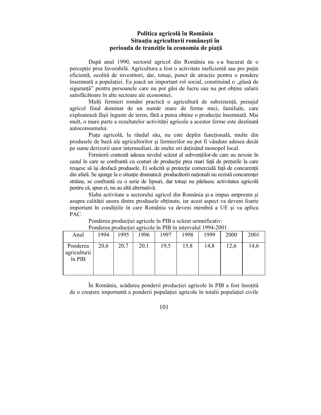### **Politica agricolă în România**  Situația agriculturii românești în perioada de tranziție la economia de piață

 După anul 1990, sectorul agricol din România nu s-a bucurat de o perceptie prea favorabilă. Agricultura a fost o activitate ineficientă sau pre putin eficientă, ocolită de investitori, dar, totuși, punct de atracție pentru o pondere însemnată a populației. Ea joacă un important rol social, constituind o "plasă de siguranță" pentru persoanele care nu pot găsi de lucru sau nu pot obține salarii satisfăcătoare în alte sectoare ale economiei.

Mulți fermieri români practică o agricultură de subzistență, peisajul agricol fiind dominat de un număr mare de ferme mici, familiale, care exploatează fâșii înguste de teren, fără a putea obtine o productie însemnată. Mai mult, o mare parte a rezultatelor activității agricole a acestor ferme este destinată autoconsumului.

Piața agricolă, la rândul său, nu este deplin funcțională, multe din produsele de bază ale agricultorilor şi fermierilor nu pot fi vândute adesea decât pe sume derizorii unor intermediari, de multe ori deținând monopol local.

Fermierii contestă adesea nivelul scăzut al subventiilor-de care au nevoie în cazul în care se confruntă cu costuri de producție prea mari față de prețurile la care reusesc să își desfacă produsele. Ei solicită și protectie comercială fată de concurentii din afară. Se ajunge la o situație dramatică: producătorii naționali nu rezistă concurenței străine, se confruntă cu o serie de lipsuri, dar totuşi nu părăsesc activitatea agricolă pentru că, spun ei, nu au altă alternativă.

 Slaba activitate a sectorului agricol din România şi-a impus amprenta şi asupra calității unora dintre produsele obținute, iar acest aspect va deveni foarte important în condițiile în care România va deveni membră a UE și va aplica PAC.

| Anul                               | 1994 | 1995 | 1996 | 1997 | 1998 | 1999 | 2000 | 2001 |
|------------------------------------|------|------|------|------|------|------|------|------|
| Ponderea<br>agriculturii<br>în PIB | 20,6 | 20,7 | 20,1 | 19,5 | 15,8 | 14,8 | 12,6 | 14,6 |

Ponderea producției agricole în PIB a scăzut semnificativ: Ponderea producției agricole în PIB în intervalul 1994-2001

În România, scăderea ponderii producției agricole în PIB a fost însoțită de o creștere importantă a ponderii populației agricole în totalii populației civile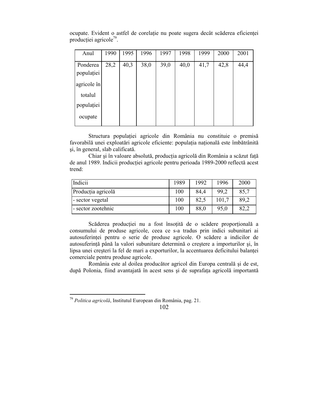| Anul                   | 1990 | 1995 | 1996 | 1997 | 1998 | 1999 | 2000 | 2001 |
|------------------------|------|------|------|------|------|------|------|------|
| Ponderea<br>populației | 28,2 | 40,3 | 38,0 | 39,0 | 40,0 | 41,7 | 42,8 | 44,4 |
| agricole în            |      |      |      |      |      |      |      |      |
| totalul                |      |      |      |      |      |      |      |      |
| populației             |      |      |      |      |      |      |      |      |
| ocupate                |      |      |      |      |      |      |      |      |

ocupate. Evident o astfel de corelație nu poate sugera decât scăderea eficienței producției agricole<sup>79</sup>.

Structura populației agricole din România nu constituie o premisă favorabilă unei exploatări agricole eficiente: populația națională este îmbătrânită şi, în general, slab calificată.

Chiar și în valoare absolută, producția agricolă din România a scăzut față de anul 1989. Indicii producției agricole pentru perioada 1989-2000 reflectă acest trend:

| Indicii            | 1989 | 1992 | 1996  | 2000 |
|--------------------|------|------|-------|------|
| Producția agricolă | 100  | 84,4 | 99,2  | 85,7 |
| - sector vegetal   | 100  | 82,5 | 101,7 | 89,2 |
| - sector zootehnic | 100  | 88,0 | 95,0  | 82,2 |

Scăderea producției nu a fost însoțită de o scădere proporțională a consumului de produse agricole, ceea ce s-a tradus prin indici subunitari ai autosuferinței pentru o serie de produse agricole. O scădere a indicilor de autosuferință până la valori subunitare determină o creștere a importurilor și, în lipsa unei creșteri la fel de mari a exporturilor, la accentuarea deficitului balanței comerciale pentru produse agricole.

 România este al doilea producător agricol din Europa centrală şi de est, după Polonia, fiind avantajată în acest sens și de suprafața agricolă importantă

 $\overline{a}$ 

<sup>79</sup> *Politica agricolă*, Institutul European din România, pag. 21.

<sup>102</sup>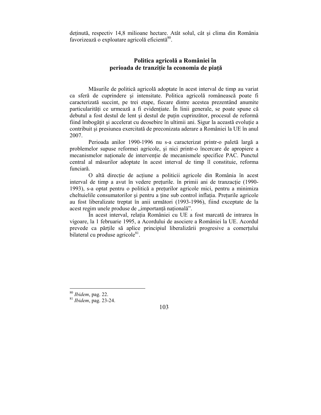deținută, respectiv 14,8 milioane hectare. Atât solul, cât și clima din România favorizează o exploatare agricolă eficientă<sup>80</sup>.

## **Politica agricolă a României în**  perioada de tranzitie la economia de piată

 Măsurile de politică agricolă adoptate în acest interval de timp au variat ca sferă de cuprindere şi intensitate. Politica agricolă românească poate fi caracterizată succint, pe trei etape, fiecare dintre acestea prezentând anumite particularități ce urmează a fi evidențiate. În linii generale, se poate spune că debutul a fost destul de lent și destul de puțin cuprinzător, procesul de reformă fiind îmbogățit și accelerat cu deosebire în ultimii ani. Sigur la această evoluție a contribuit şi presiunea exercitată de preconizata aderare a României la UE în anul 2007.

 Perioada anilor 1990-1996 nu s-a caracterizat printr-o paletă largă a problemelor supuse reformei agricole, şi nici printr-o încercare de apropiere a mecanismelor nationale de intervenție de mecanismele specifice PAC. Punctul central al măsurilor adoptate în acest interval de timp îl constituie, reforma funciară.

O altă direcție de acțiune a politicii agricole din România în acest interval de timp a avut în vedere prețurile. în primii ani de tranzacție (1990-1993), s-a optat pentru o politică a prețurilor agricole mici, pentru a minimiza cheltuielile consumatorilor si pentru a tine sub control inflatia. Preturile agricole au fost liberalizate treptat în anii următori (1993-1996), fiind exceptate de la acest regim unele produse de "importanță națională".

În acest interval, relația României cu UE a fost marcată de intrarea în vigoare, la 1 februarie 1995, a Acordului de asociere a României la UE. Acordul prevede ca părtile să aplice principiul liberalizării progresive a comertului bilateral cu produse agricole<sup>81</sup>.

 $\overline{a}$ <sup>80</sup> *Ibidem*, pag. 22.

<sup>81</sup> *Ibidem*, pag. 23-24.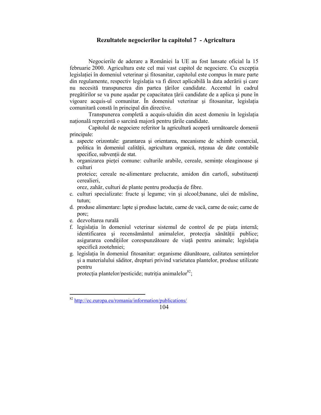### **Rezultatele negocierilor la capitolul 7 - Agricultura**

 Negocierile de aderare a României la UE au fost lansate oficial la 15 februarie 2000. Agricultura este cel mai vast capitol de negociere. Cu exceptia legislației în domeniul veterinar și fitosanitar, capitolul este compus în mare parte din regulamente, respectiv legislatia va fi direct aplicabilă la data aderării și care nu necesită transpunerea din partea țărilor candidate. Accentul în cadrul pregătirilor se va pune așadar pe capacitatea țării candidate de a aplica și pune în vigoare acquis-ul comunitar. În domeniul veterinar și fitosanitar, legislația comunitară constă în principal din directive.

Transpunerea completă a acquis-uluidin din acest domeniu în legislația națională reprezintă o sarcină majoră pentru țările candidate.

 Capitolul de negociere referitor la agricultură acoperă următoarele domenii principale:

- a. aspecte orizontale: garantarea şi orientarea, mecanisme de schimb comercial, politica în domeniul calității, agricultura organică, rețeaua de date contabile specifice, subvenții de stat.
- b. organizarea pietei comune: culturile arabile, cereale, seminte oleaginoase si culturi

proteice; cereale ne-alimentare prelucrate, amidon din cartofi, substituenți cerealieri,

orez, zahăr, culturi de plante pentru producția de fibre.

- c. culturi specializate: fructe şi legume; vin şi alcool;banane, ulei de măsline, tutun;
- d. produse alimentare: lapte şi produse lactate, carne de vacă, carne de oaie; carne de porc;
- e. dezvoltarea rurală

 $\overline{a}$ 

- f. legislația în domeniul veterinar sistemul de control de pe piața internă; identificarea și recensământul animalelor, protectia sănătătii publice; asigurarea conditiilor corespunzătoare de viată pentru animale; legislatia specifică zootehniei;
- g. legislația în domeniul fitosanitar: organisme dăunătoare, calitatea semințelor şi a materialului săditor, drepturi privind varietatea plantelor, produse utilizate pentru

protecția plantelor/pesticide; nutriția animalelor $^{82}$ ;

<sup>&</sup>lt;sup>82</sup> http://ec.europa.eu/romania/information/publications/

<sup>104</sup>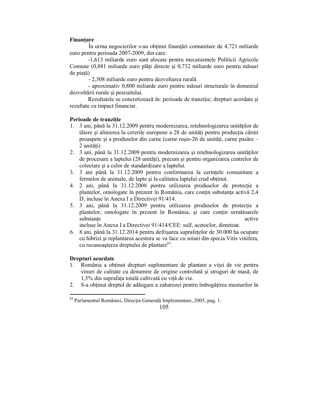### **Finantare**

În urma negocierilor s-au obținut finanțări comunitare de 4,721 miliarde euro pentru perioada 2007-2009, din care:

-1,613 miliarde euro sunt alocate pentru mecanismele Politicii Agricole Comune (0,881 miliarde euro plăti directe și 0,732 miliarde euro pentru măsuri de piață)

- 2,308 miliarde euro pentru dezvoltarea rurală

- aproximativ 0,800 miliarde euro pentru măsuri structurale în domeniul dezvoltării rurale şi pescuitului.

Rezultatele se concretizează în: perioade de tranziție; drepturi acordate și rezultate cu impact financiar.

### **Perioade de tranzitie**

- 1. 3 ani, până la 31.12.2009 pentru modernizarea, retehnologizarea unităților de tăiere și alinierea la cererile europene a 28 de unități pentru producția cărnii proaspete și a produselor din carne (carne roșie-26 de unități, carne pasăre – 2 unități)
- 2.  $\overline{3}$  ani, până la  $\overline{31.12.2009}$  pentru modernizarea și retehnologizarea unitătilor de procesare a laptelui (28 unități), precum și pentru organizarea centrelor de colectare şi a celor de standardizare a laptelui.
- 3. 3 ani până la 31.12.2009 pentru conformarea la cerintele comunitare a fermelor de animale, de lapte și la calitatea laptelui crud obținut.
- 4. 2 ani, până la 31.12.2008 pentru utilizarea produselor de protecție a plantelor, omologate în prezent în România, care conțin substanța activă 2,4 D, incluse în Anexa I a Directivei 91/414.
- 5. 3 ani, până la 31.12.2009 pentru utilizarea produselor de protectie a plantelor, omologate în prezent în România, și care contin următoarele substante active active

incluse în Anexa I a Directivei 91/414/CEE: sulf, acetoclor, dimetoat.

6. 8 ani, până la  $31.12.2014$  pentru defrisarea suprafetelor de  $30.000$  ha ocupate cu hibrizi şi replantarea acestora se va face cu soiuri din specia Vitis vinifera, cu recunoașterea dreptului de plantare<sup>83</sup>.

### **Drepturi acordate**

 $\overline{a}$ 

- 1. România a obținut drepturi suplimentare de plantare a viței de vie pentru vinuri de calitate cu denumire de origine controlată şi struguri de masă, de 1,5% din suprafața totală cultivată cu viță de vie.
- 2. S-a obținut dreptul de adăugare a zaharozei pentru îmbogățirea musturilor în

<sup>83</sup> Parlamentul României, Direcția Generală Implementare, 2005, pag. 1.

<sup>105</sup>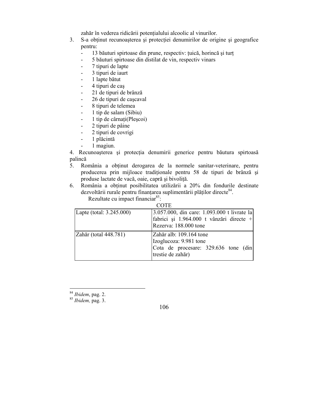zahăr în vederea ridicării potențialului alcoolic al vinurilor.

- 3. S-a obtinut recunoașterea și protecției denumirilor de origine și geografice pentru:
	- 13 băuturi spirtoase din prune, respectiv: țuică, horincă și turț
	- 5 băuturi spirtoase din distilat de vin, respectiv vinars
	- 7 tipuri de lapte
	- 3 tipuri de iaurt
	- 1 lapte bătut
	- 4 tipuri de caş
	- 21 de tipuri de brânză
	- 26 de tipuri de cascaval
	- 8 tipuri de telemea
	- 1 tip de salam (Sibiu)
	- 1 tip de cârnați (Plescoi)
	- 2 tipuri de pâine
	- 2 tipuri de covrigi
	- 1 plăcintă
	- 1 magiun.

4. Recunoașterea și protecția denumirii generice pentru băutura spirtoasă palincă

- 5. România a obținut derogarea de la normele sanitar-veterinare, pentru producerea prin mijloace tradiționale pentru 58 de tipuri de brânză și produse lactate de vacă, oaie, capră și bivoliță.
- 6. România a obținut posibilitatea utilizării a 20% din fondurile destinate dezvoltării rurale pentru finanțarea suplimentării plăților directe<sup>84</sup>. Rezultate cu impact financiar $85$

|  | ezunale cu impact imanciar |           |  |
|--|----------------------------|-----------|--|
|  |                            | $\cap$ TE |  |

| Lapte (total: 3.245.000) | 3.057.000, din care: 1.093.000 t livrate la<br>fabrici și 1.964.000 t vânzări directe +<br>Rezerva: 188.000 tone |
|--------------------------|------------------------------------------------------------------------------------------------------------------|
| Zahăr (total 448.781)    | Zahăr alb: 109.164 tone<br>Izoglucoza: 9.981 tone<br>Cota de procesare: 329.636 tone (din<br>trestie de zahăr)   |

 $\overline{a}$ <sup>84</sup> *Ibidem*, pag. 2.

<sup>85</sup> *Ibidem,* pag. 3.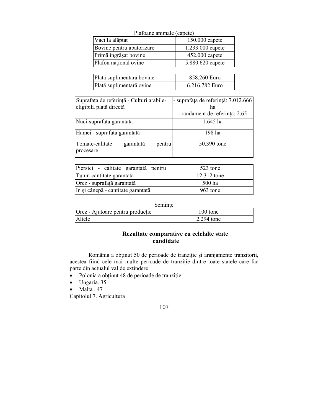| Plafoane animale (capete) |                  |  |  |  |
|---------------------------|------------------|--|--|--|
| Vaci la alăptat           | 150.000 capete   |  |  |  |
| Bovine pentru abatorizare | 1.233.000 capete |  |  |  |
| Primă îngrășat bovine     | 452.000 capete   |  |  |  |
| Plafon national ovine     | 5.880.620 capete |  |  |  |

| Plată suplimentară bovine | 858.260 Euro   |
|---------------------------|----------------|
| Plată suplimentară ovine  | 6.216.782 Euro |

| Suprafața de referință - Culturi arabile-           | - suprafața de referință: 7.012.666 |  |  |
|-----------------------------------------------------|-------------------------------------|--|--|
| eligibila plată directă                             | ha                                  |  |  |
|                                                     | - randament de referință: 2.65      |  |  |
| Nuci-suprafața garantată                            | 1.645 ha                            |  |  |
| Hamei - suprafața garantată                         | 198 ha                              |  |  |
| Tomate-calitate<br>garantată<br>pentru<br>procesare | 50.390 tone                         |  |  |

| Piersici - calitate garantată pentru | 523 tone    |  |  |
|--------------------------------------|-------------|--|--|
| Tutun-cantitate garantată            | 12.312 tone |  |  |
| Orez - suprafață garantată           | 500 ha      |  |  |
| In și cânepă - cantitate garantată   | 963 tone    |  |  |

Seminte

| Orez - Ajutoare pentru producție | 100 tone   |
|----------------------------------|------------|
| Altele                           | 2.294 tone |

# **Rezultate comparative cu celelalte state candidate**

România a obținut 50 de perioade de tranziție și aranjamente tranzitorii, acestea fiind cele mai multe perioade de tranziție dintre toate statele care fac parte din actualul val de extindere

- $\bullet$  Polonia a obținut 48 de perioade de tranziție
- Ungaria. 35
- $\bullet$  Malta  $.47$

Capitolul 7. Agricultura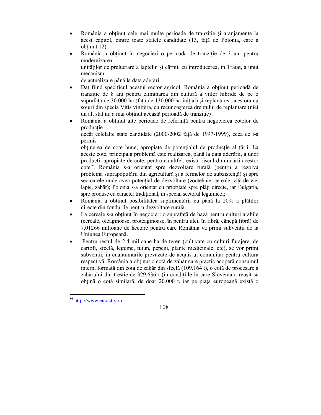- România a obținut cele mai multe perioade de tranziție și aranjamente la acest capitol, dintre toate statele candidate (13, față de Polonia, care a obtinut  $12$ )
- România a obtinut în negocieri o perioadă de tranzitie de 3 ani pentru modernizarea unităților de prelucrare a laptelui și cărnii, cu introducerea, în Tratat, a unui mecanism

de actualizare până la data aderării

- Dat fiind specificul acestui sector agricol, România a obtinut perioadă de tranzitie de 8 ani pentru eliminarea din cultură a viilor hibride de pe o suprafața de 30.000 ha (față de 130.000 ha inițial) și replantarea acestora cu soiuri din specia Vitis vinifera, cu recunoaşterea dreptului de replantare (nici un alt stat nu a mai obținut această perioadă de tranziție)
- România a obtinut alte perioade de referintă pentru negocierea cotelor de productie

decât celelalte state candidate (2000-2002 față de 1997-1999), ceea ce i-a permis

obtinerea de cote bune, apropiate de potențialul de producție al țării. La aceste cote, principala problemă este realizarea, până la data aderării, a unor producții apropiate de cote, pentru că altfel, există riscul diminuării acestor cote<sup>86</sup>. România s-a orientat spre dezvoltare rurală (pentru a rezolva problema suprapopulării din agricultură și a fermelor de subzistență) și spre sectoarele unde avea potențial de dezvoltare (zootehnie, cereale, viță-de-vie, lapte, zahăr); Polonia s-a orientat cu prioritate spre plăți directe, iar Bulgaria, spre produse cu caracter traditional, în special sectorul legumicol;

- România a obținut posibilitatea suplimentării cu până la 20% a plăților directe din fondurile pentru dezvoltare rurală
- La cereale s-a obtinut în negocieri o suprafată de bază pentru culturi arabile (cereale, oleaginoase, proteaginoase, în pentru ulei, în fibră, cânepă fibră) de 7,01266 milioane de hectare pentru care România va primi subventii de la Uniunea Europeană.
- Pentru restul de 2,4 milioane ha de teren (cultivate cu culturi furajere, de cartofi, sfeclă, legume, tutun, pepeni, plante medicinale, etc), se vor primi subvenții, în cuantumurile prevăzute de acquis-ul comunitar pentru cultura respectivă. România a obtinut o cotă de zahăr care practic acoperă consumul intern, formată din cota de zahăr din sfeclă (109.164 t), o cotă de procesare a zahărului din trestie de 329.636 t (în conditiile în care Slovenia a reusit să obtină o cotă similară, de doar 20.000 t, iar pe piata europeană există o

 $\overline{a}$ 

<sup>&</sup>lt;sup>86</sup> http://www.euractiv.ro.

<sup>108</sup>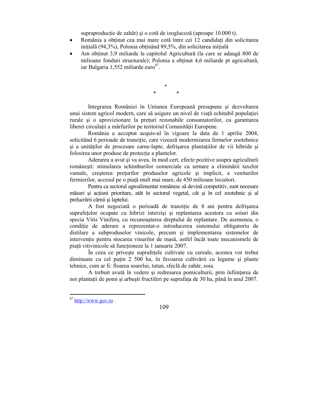supraproducție de zahăr) și o cotă de izoglucoză (aproape 10.000 t).

- România a obținut cea mai mare cotă între cei 12 candidați din solicitarea initială (94,3%), Polonia obtinând 89,5%, din solicitarea initială
- Am obtinut 3,9 miliarde la capitolul Agricultură (la care se adaugă 800 de milioane fonduri structurale); Polonia a obtinut 4,6 miliarde pt agricultură, iar Bulgaria 1,552 miliarde euro<sup>87</sup>.

\* \* \*

Integrarea României în Uniunea Europeană presupune şi dezvoltarea unui sistem agricol modern, care să asigure un nivel de viată echitabil populației rurale si o aprovizionare la preturi rezonabile consumatorilor, cu garantarea liberei circulații a mărfurilor pe teritoriul Comunității Europene.

România a acceptat acquis-ul în vigoare la data de 1 aprilie 2004, solicitând 6 perioade de tranziție, care vizează modernizarea fermelor zootehnice si a unităților de procesare carne-lapte, defrișarea plantațiilor de vii hibride și folosirea unor produse de protecție a plantelor.

Aderarea a avut și va avea, în mod cert, efecte pozitive asupra agriculturii româneşti: stimularea schimburilor comerciale ca urmare a eliminării taxelor vamale, creșterea prețurilor produselor agricole și implicit, a veniturilor fermierilor, accesul pe o piață mult mai mare, de 450 milioane locuitori.

Pentru ca sectorul agroalimentar românesc să devină competitiv, sunt necesare măsuri și acțiuni prioritare, atât în sectorul vegetal, cât și în cel zootehnic și al prelucrării cărnii şi laptelui.

A fost negociată o perioadă de tranziție de 8 ani pentru defrisarea suprafetelor ocupate cu hibrizi interzisi și replantarea acestora cu soiuri din specia Vitis Vinifera, cu recunoaşterea dreptului de replantare. De asemenea, o condiție de aderare a reprezentat-o introducerea sistemului obligatoriu de distilare a subproduselor vinicole, precum şi implementarea sistemelor de intervenție pentru stocarea vinurilor de masă, astfel încât toate mecanismele de piată vitivinicole să functioneze la 1 ianuarie 2007.

În ceea ce privește suprafețele cultivate cu cereale, acestea vor trebui diminuate cu cel puțin 2 500 ha, în favoarea cultivării cu legume și plante tehnice, cum ar fi: floarea soarelui, tutun, sfeclă de zahăr, soia.

A trebuit avută în vedere și redresarea pomiculturii, prin înființarea de noi plantatii de pomi și arbuști fructiferi pe suprafața de 30 ha, până în anul 2007.

 $\overline{a}$ 

<sup>&</sup>lt;sup>87</sup> http://www.gov.ro.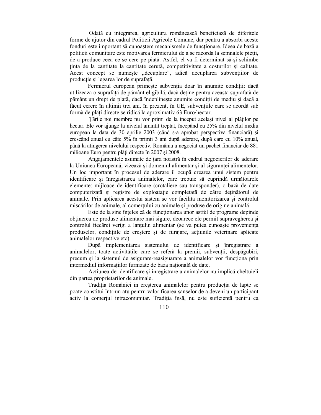Odată cu integrarea, agricultura românească beneficiază de diferitele forme de ajutor din cadrul Politicii Agricole Comune, dar pentru a absorbi aceste fonduri este important să cunoaștem mecanismele de funcționare. Ideea de bază a politicii comunitare este motivarea fermierului de a se racorda la semnalele pieții, de a produce ceea ce se cere pe piaŃă. Astfel, el va fi determinat să-şi schimbe tinta de la cantitate la cantitate cerută, competitivitate a costurilor și calitate. Acest concept se numeste "decuplare", adică decuplarea subvențiilor de producție și legarea lor de suprafață.

Fermierul european primește subvenția doar în anumite condiții: dacă utilizează o suprafață de pământ eligibilă, dacă deține pentru această suprafață de pământ un drept de plată, dacă îndeplinește anumite conditii de mediu și dacă a făcut cerere în ultimii trei ani. în prezent, în UE, subvențiile care se acordă sub formă de plăți directe se ridică la aproximativ 63 Euro/hectar.

Tările noi membre nu vor primi de la început același nivel al plăților pe hectar. Ele vor ajunge la nivelul amintit treptat, începând cu 25% din nivelul mediu european la data de 30 aprilie 2003 (când s-a aprobat perspectiva financiară) şi crescând anual cu câte 5% în primii 3 ani după aderare, după care cu 10% anual, până la atingerea nivelului respectiv. România a negociat un pachet financiar de 881 milioane Euro pentru plăti directe în 2007 și 2008.

Angajamentele asumate de tara noastră în cadrul negocierilor de aderare la Uniunea Europeană, vizează și domeniul alimentar și al siguranței alimentelor. Un loc important în procesul de aderare îl ocupă crearea unui sistem pentru identificare şi înregistrarea animalelor, care trebuie să cuprindă următoarele elemente: mijloace de identificare (crotaliere sau transponder), o bază de date computerizată și registre de exploatație completată de către deținătorul de animale. Prin aplicarea acestui sistem se vor facilita monitorizarea şi controlul miscărilor de animale, al comertului cu animale și produse de origine animală.

Este de la sine înteles că de functionarea unor astfel de programe depinde obtinerea de produse alimentare mai sigure, deoarece ele permit supravegherea și controlul fiecărei verigi a lanțului alimentar (se va putea cunoaște proveniența produselor, condițiile de creștere și de furajare, acțiunile veterinare aplicate animalelor respective etc).

După implementarea sistemului de identificare şi înregistrare a animalelor, toate activitățile care se referă la premii, subvenții, despăgubiri, precum și la sistemul de asigurare-reasiguarare a animalelor vor functiona prin intermediul informațiilor furnizate de baza națională de date.

Acțiunea de identificare și înregistrare a animalelor nu implică cheltuieli din partea proprietarilor de animale.

Tradiția României în creșterea animalelor pentru producția de lapte se poate constitui într-un atu pentru valorificarea şanselor de a deveni un participant activ la comerțul intracomunitar. Tradiția însă, nu este suficientă pentru ca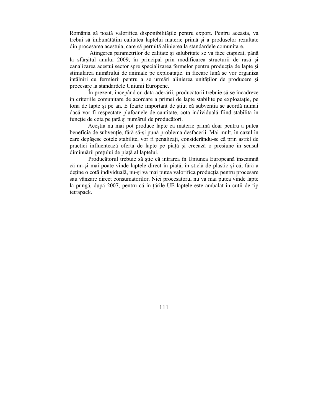România să poată valorifica disponibilitățile pentru export. Pentru aceasta, va trebui să îmbunătățim calitatea laptelui materie primă și a produselor rezultate din procesarea acestuia, care să permită alinierea la standardele comunitare.

Atingerea parametrilor de calitate şi salubritate se va face etapizat, până la sfârşitul anului 2009, în principal prin modificarea structurii de rasă şi canalizarea acestui sector spre specializarea fermelor pentru productia de lapte si stimularea numărului de animale pe exploatație. în fiecare lună se vor organiza întâlniri cu fermierii pentru a se urmări alinierea unităților de producere și procesare la standardele Uniunii Europene.

În prezent, începând cu data aderării, producătorii trebuie să se încadreze în criteriile comunitare de acordare a primei de lapte stabilite pe exploatatie, pe tona de lapte și pe an. E foarte important de știut că subvenția se acordă numai dacă vor fi respectate plafoanele de cantitate, cota individuală fiind stabilită în funcție de cota pe țară și numărul de producători.

Aceştia nu mai pot produce lapte ca materie primă doar pentru a putea beneficia de subvenție, fără să-și pună problema desfacerii. Mai mult, în cazul în care depășesc cotele stabilite, vor fi penalizați, considerându-se că prin astfel de practici influențează oferta de lapte pe piață și creează o presiune în sensul diminuării prețului de piață al laptelui.

Producătorul trebuie să ştie că intrarea în Uniunea Europeană înseamnă că nu-și mai poate vinde laptele direct în piață, în sticlă de plastic și că, fără a detine o cotă individuală, nu-și va mai putea valorifica producția pentru procesare sau vânzare direct consumatorilor. Nici procesatorul nu va mai putea vinde lapte la pungă, după 2007, pentru că în tările UE laptele este ambalat în cutii de tip tetrapack.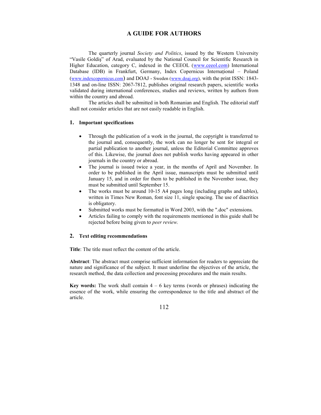# **A GUIDE FOR AUTHORS**

The quarterly journal *Society and Politics*, issued by the Western University "Vasile Goldiş" of Arad, evaluated by the National Council for Scientific Research in Higher Education, category C, indexed in the CEEOL (www.ceeol.com) International Database (IDB) in Frankfurt, Germany, Index Copernicus International - Poland (www.indexcopernicus.com) and DOAJ - Sweden (www.doaj.org), with the print ISSN: 1843- 1348 and on-line ISSN: 2067-7812, publishes original research papers, scientific works validated during international conferences, studies and reviews, written by authors from within the country and abroad.

The articles shall be submitted in both Romanian and English. The editorial staff shall not consider articles that are not easily readable in English.

## **1. Important specifications**

- Through the publication of a work in the journal, the copyright is transferred to the journal and, consequently, the work can no longer be sent for integral or partial publication to another journal, unless the Editorial Committee approves of this. Likewise, the journal does not publish works having appeared in other journals in the country or abroad.
- The journal is issued twice a year, in the months of April and November. In order to be published in the April issue, manuscripts must be submitted until January 15, and in order for them to be published in the November issue, they must be submitted until September 15.
- The works must be around 10-15 A4 pages long (including graphs and tables), written in Times New Roman, font size 11, single spacing. The use of diacritics is obligatory.
- Submitted works must be formatted in Word 2003, with the ".doc" extensions.
- Articles failing to comply with the requirements mentioned in this guide shall be rejected before being given to *peer review.*

## **2. Text editing recommendations**

**Title**: The title must reflect the content of the article.

**Abstract**: The abstract must comprise sufficient information for readers to appreciate the nature and significance of the subject. It must underline the objectives of the article, the research method, the data collection and processing procedures and the main results.

**Key words:** The work shall contain  $4 - 6$  key terms (words or phrases) indicating the essence of the work, while ensuring the correspondence to the title and abstract of the article.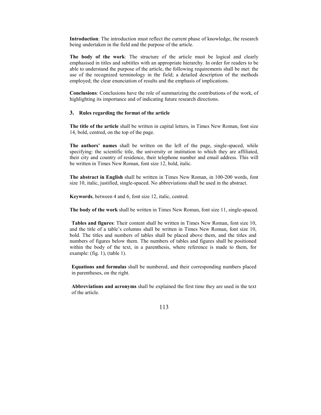**Introduction**: The introduction must reflect the current phase of knowledge, the research being undertaken in the field and the purpose of the article.

**The body of the work**: The structure of the article must be logical and clearly emphasised in titles and subtitles with an appropriate hierarchy. In order for readers to be able to understand the purpose of the article, the following requirements shall be met: the use of the recognized terminology in the field; a detailed description of the methods employed; the clear enunciation of results and the emphasis of implications.

**Conclusions**: Conclusions have the role of summarizing the contributions of the work, of highlighting its importance and of indicating future research directions.

## **3. Rules regarding the format of the article**

**The title of the article** shall be written in capital letters, in Times New Roman, font size 14, bold, centred, on the top of the page.

**The authors' names** shall be written on the left of the page, single-spaced, while specifying: the scientific title, the university or institution to which they are affiliated, their city and country of residence, their telephone number and email address. This will be written in Times New Roman, font size 12, bold, italic.

**The abstract in English** shall be written in Times New Roman, in 100-200 words, font size 10, italic, justified, single-spaced. No abbreviations shall be used in the abstract.

**Keywords**, between 4 and 6, font size 12, italic, centred.

**The body of the work** shall be written in Times New Roman, font size 11, single-spaced.

**Tables and figures**: Their content shall be written in Times New Roman, font size 10, and the title of a table's columns shall be written in Times New Roman, font size 10, bold. The titles and numbers of tables shall be placed above them, and the titles and numbers of figures below them. The numbers of tables and figures shall be positioned within the body of the text, in a parenthesis, where reference is made to them, for example: (fig. 1), (table 1).

**Equations and formulas** shall be numbered, and their corresponding numbers placed in parentheses, on the right.

**Abbreviations and acronyms** shall be explained the first time they are used in the text of the article.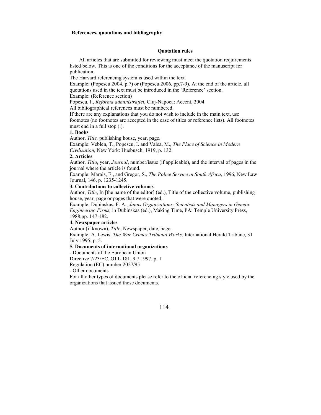#### **References, quotations and bibliography**:

## **Quotation rules**

All articles that are submitted for reviewing must meet the quotation requirements listed below. This is one of the conditions for the acceptance of the manuscript for publication.

The Harvard referencing system is used within the text.

Example: (Popescu 2004, p.7) or (Popescu 2006, pp.7-9). At the end of the article, all quotations used in the text must be introduced in the 'Reference' section.

Example: (Reference section)

Popescu, I., *Reforma administrației*, Cluj-Napoca: Accent, 2004.

All bibliographical references must be numbered.

If there are any explanations that you do not wish to include in the main text, use footnotes (no footnotes are accepted in the case of titles or reference lists). All footnotes must end in a full stop (.).

# **1. Books**

Author, *Title,* publishing house, year, page.

Example: Veblen, T., Popescu, I. and Valea, M., *The Place of Science in Modern Civilization*, New York: Huebusch, 1919, p. 132.

### **2. Articles**

Author, *Titlu*, year, *Journal*, number/issue (if applicable), and the interval of pages in the journal where the article is found.

Example: Marais, E., and Gregor, S., *The Police Service in South Africa*, 1996, New Law Journal, 146, p. 1235-1245.

## **3. Contributions to collective volumes**

Author, *Title*, In [the name of the editor] (ed.), Title of the collective volume, publishing house, year, page or pages that were quoted.

Example: Dubinskas, F. A., *Janus Organizations: Scientists and Managers in Genetic Engineering Firms,* in Dubinskas (ed.), Making Time, PA: Temple University Press, 1988,pp. 147-182.

#### **4. Newspaper articles**

Author (if known), *Title*, Newspaper, date, page.

Example: A. Lewis, *The War Crimes Tribunal Works*, International Herald Tribune, 31 July 1995, p. 5.

### **5. Documents of international organizations**

- Documents of the European Union

Directive 7/23/EC, OJ L 181, 9.7.1997, p. 1

Regulation (EC) number 2027/95

- Other documents

For all other types of documents please refer to the official referencing style used by the organizations that issued those documents.